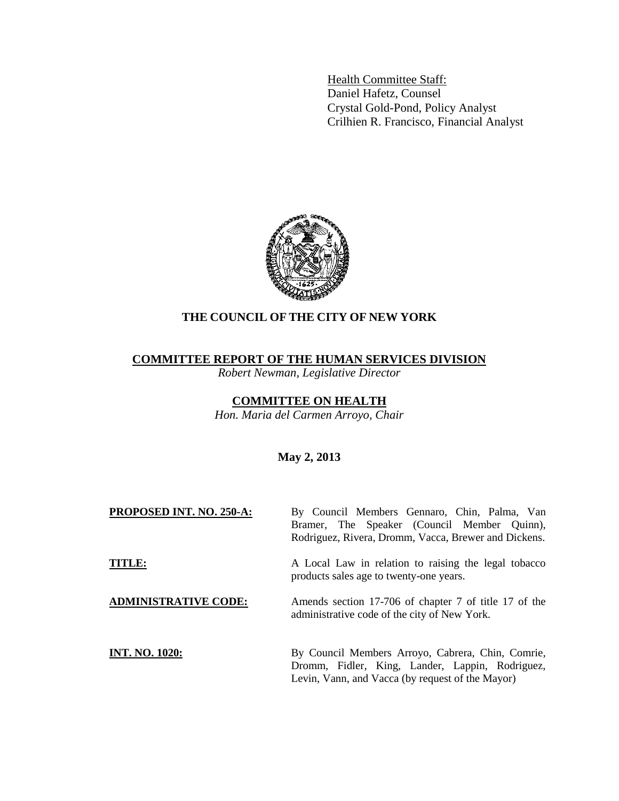Health Committee Staff: Daniel Hafetz, Counsel Crystal Gold-Pond, Policy Analyst Crilhien R. Francisco, Financial Analyst



# **THE COUNCIL OF THE CITY OF NEW YORK**

## **COMMITTEE REPORT OF THE HUMAN SERVICES DIVISION**

*Robert Newman, Legislative Director*

# **COMMITTEE ON HEALTH**

*Hon. Maria del Carmen Arroyo, Chair* 

# **May 2, 2013**

| PROPOSED INT. NO. 250-A:    | By Council Members Gennaro, Chin, Palma, Van<br>Bramer, The Speaker (Council Member Quinn),<br>Rodriguez, Rivera, Dromm, Vacca, Brewer and Dickens.      |
|-----------------------------|----------------------------------------------------------------------------------------------------------------------------------------------------------|
| <b>TITLE:</b>               | A Local Law in relation to raising the legal tobacco<br>products sales age to twenty-one years.                                                          |
| <b>ADMINISTRATIVE CODE:</b> | Amends section 17-706 of chapter 7 of title 17 of the<br>administrative code of the city of New York.                                                    |
| <b>INT. NO. 1020:</b>       | By Council Members Arroyo, Cabrera, Chin, Comrie,<br>Dromm, Fidler, King, Lander, Lappin, Rodriguez,<br>Levin, Vann, and Vacca (by request of the Mayor) |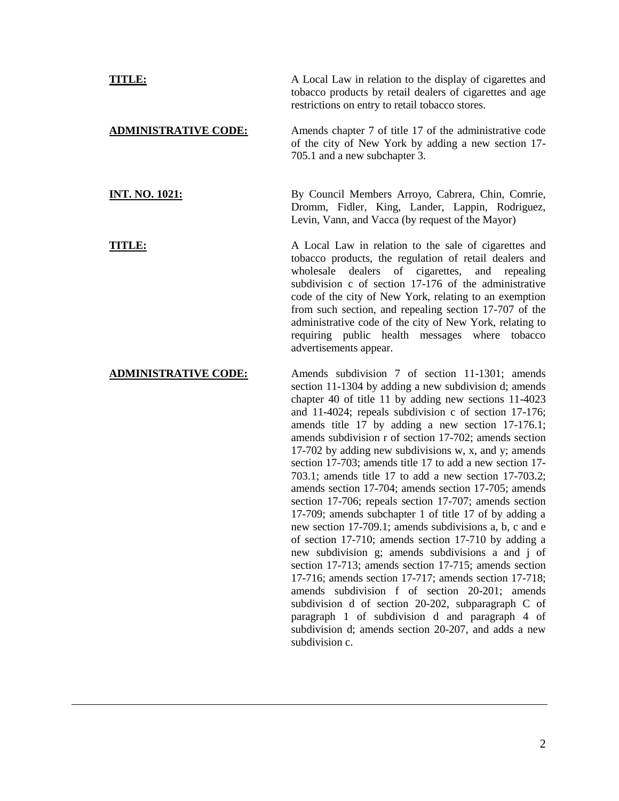**TITLE:** A Local Law in relation to the display of cigarettes and tobacco products by retail dealers of cigarettes and age restrictions on entry to retail tobacco stores. **ADMINISTRATIVE CODE:** Amends chapter 7 of title 17 of the administrative code of the city of New York by adding a new section 17- 705.1 and a new subchapter 3. **INT. NO. 1021:** By Council Members Arroyo, Cabrera, Chin, Comrie, Dromm, Fidler, King, Lander, Lappin, Rodriguez, Levin, Vann, and Vacca (by request of the Mayor) **TITLE:** A Local Law in relation to the sale of cigarettes and tobacco products, the regulation of retail dealers and wholesale dealers of cigarettes, and repealing subdivision c of section 17-176 of the administrative code of the city of New York, relating to an exemption from such section, and repealing section 17-707 of the administrative code of the city of New York, relating to requiring public health messages where tobacco advertisements appear.

## **ADMINISTRATIVE CODE:** Amends subdivision 7 of section 11-1301; amends section 11-1304 by adding a new subdivision d; amends chapter 40 of title 11 by adding new sections 11-4023 and 11-4024; repeals subdivision c of section 17-176; amends title 17 by adding a new section 17-176.1; amends subdivision r of section 17-702; amends section 17-702 by adding new subdivisions w, x, and y; amends section 17-703; amends title 17 to add a new section 17- 703.1; amends title 17 to add a new section 17-703.2; amends section 17-704; amends section 17-705; amends section 17-706; repeals section 17-707; amends section 17-709; amends subchapter 1 of title 17 of by adding a new section 17-709.1; amends subdivisions a, b, c and e of section 17-710; amends section 17-710 by adding a new subdivision g; amends subdivisions a and j of section 17-713; amends section 17-715; amends section 17-716; amends section 17-717; amends section 17-718; amends subdivision f of section 20-201; amends subdivision d of section 20-202, subparagraph C of paragraph 1 of subdivision d and paragraph 4 of subdivision d; amends section 20-207, and adds a new subdivision c.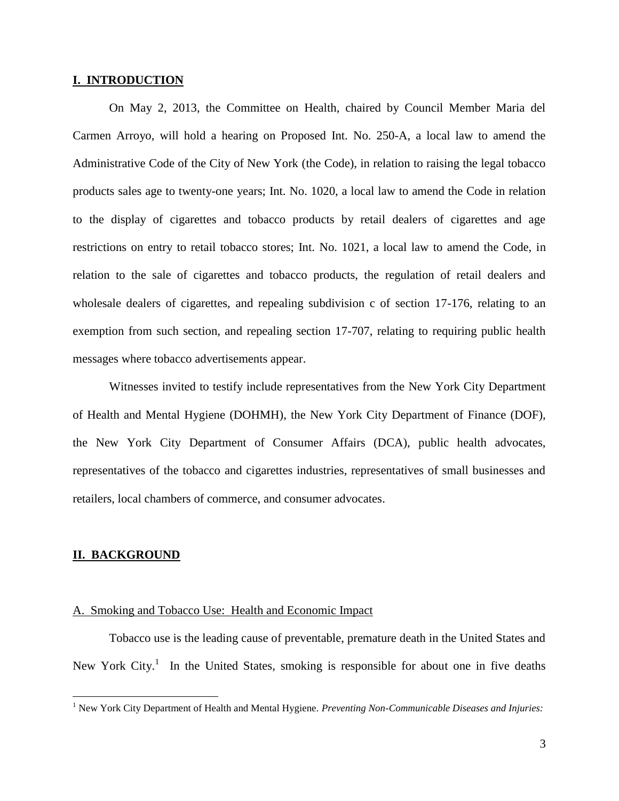#### **I. INTRODUCTION**

On May 2, 2013, the Committee on Health, chaired by Council Member Maria del Carmen Arroyo, will hold a hearing on Proposed Int. No. 250-A, a local law to amend the Administrative Code of the City of New York (the Code), in relation to raising the legal tobacco products sales age to twenty-one years; Int. No. 1020, a local law to amend the Code in relation to the display of cigarettes and tobacco products by retail dealers of cigarettes and age restrictions on entry to retail tobacco stores; Int. No. 1021, a local law to amend the Code, in relation to the sale of cigarettes and tobacco products, the regulation of retail dealers and wholesale dealers of cigarettes, and repealing subdivision c of section 17-176, relating to an exemption from such section, and repealing section 17-707, relating to requiring public health messages where tobacco advertisements appear.

Witnesses invited to testify include representatives from the New York City Department of Health and Mental Hygiene (DOHMH), the New York City Department of Finance (DOF), the New York City Department of Consumer Affairs (DCA), public health advocates, representatives of the tobacco and cigarettes industries, representatives of small businesses and retailers, local chambers of commerce, and consumer advocates.

#### **II. BACKGROUND**

 $\overline{a}$ 

#### A. Smoking and Tobacco Use: Health and Economic Impact

Tobacco use is the leading cause of preventable, premature death in the United States and New York City.<sup>1</sup> In the United States, smoking is responsible for about one in five deaths

<sup>&</sup>lt;sup>1</sup> New York City Department of Health and Mental Hygiene. *Preventing Non-Communicable Diseases and Injuries:*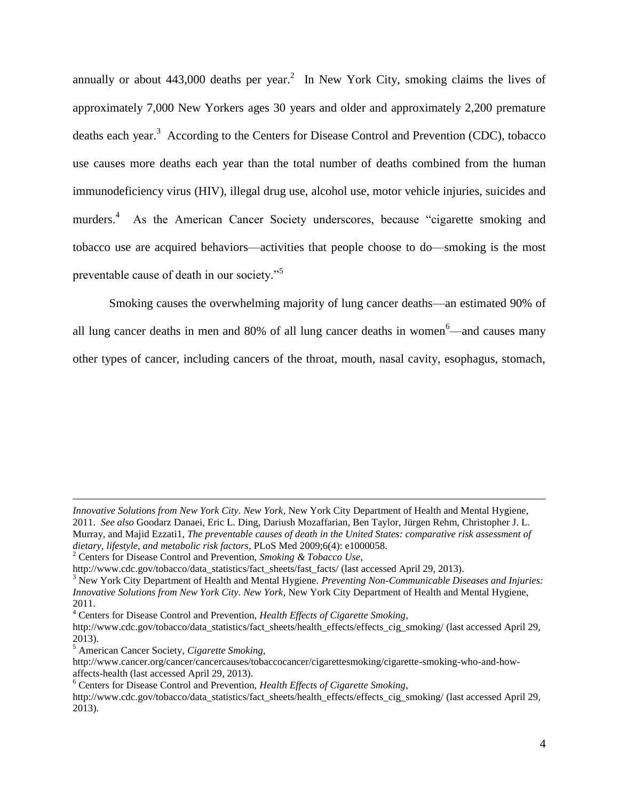annually or about  $443,000$  deaths per year.<sup>2</sup> In New York City, smoking claims the lives of approximately 7,000 New Yorkers ages 30 years and older and approximately 2,200 premature deaths each year.<sup>3</sup> According to the Centers for Disease Control and Prevention (CDC), tobacco use causes more deaths each year than the total number of deaths combined from the human immunodeficiency virus (HIV), illegal drug use, alcohol use, motor vehicle injuries, suicides and murders.<sup>4</sup> As the American Cancer Society underscores, because "cigarette smoking and tobacco use are acquired behaviors—activities that people choose to do—smoking is the most preventable cause of death in our society."<sup>5</sup>

Smoking causes the overwhelming majority of lung cancer deaths—an estimated 90% of all lung cancer deaths in men and 80% of all lung cancer deaths in women<sup>6</sup>—and causes many other types of cancer, including cancers of the throat, mouth, nasal cavity, esophagus, stomach,

*Innovative Solutions from New York City. New York,* New York City Department of Health and Mental Hygiene, 2011. *See also* Goodarz Danaei, Eric L. Ding, Dariush Mozaffarian, Ben Taylor, Jürgen Rehm, Christopher J. L. Murray, and Majid Ezzati1, *The preventable causes of death in the United States: comparative risk assessment of dietary, lifestyle, and metabolic risk factors,* PLoS Med 2009;6(4): e1000058.

<sup>2</sup> Centers for Disease Control and Prevention, *Smoking & Tobacco Use*,

http://www.cdc.gov/tobacco/data\_statistics/fact\_sheets/fast\_facts/ (last accessed April 29, 2013).

<sup>3</sup> New York City Department of Health and Mental Hygiene. *Preventing Non-Communicable Diseases and Injuries: Innovative Solutions from New York City. New York,* New York City Department of Health and Mental Hygiene, 2011.

<sup>4</sup> Centers for Disease Control and Prevention, *Health Effects of Cigarette Smoking*,

http://www.cdc.gov/tobacco/data\_statistics/fact\_sheets/health\_effects/effects\_cig\_smoking/ (last accessed April 29, 2013).

<sup>5</sup> American Cancer Society, *Cigarette Smoking,* 

http://www.cancer.org/cancer/cancercauses/tobaccocancer/cigarettesmoking/cigarette-smoking-who-and-howaffects-health (last accessed April 29, 2013).

<sup>6</sup> Centers for Disease Control and Prevention, *Health Effects of Cigarette Smoking*,

http://www.cdc.gov/tobacco/data\_statistics/fact\_sheets/health\_effects/effects\_cig\_smoking/ (last accessed April 29, 2013).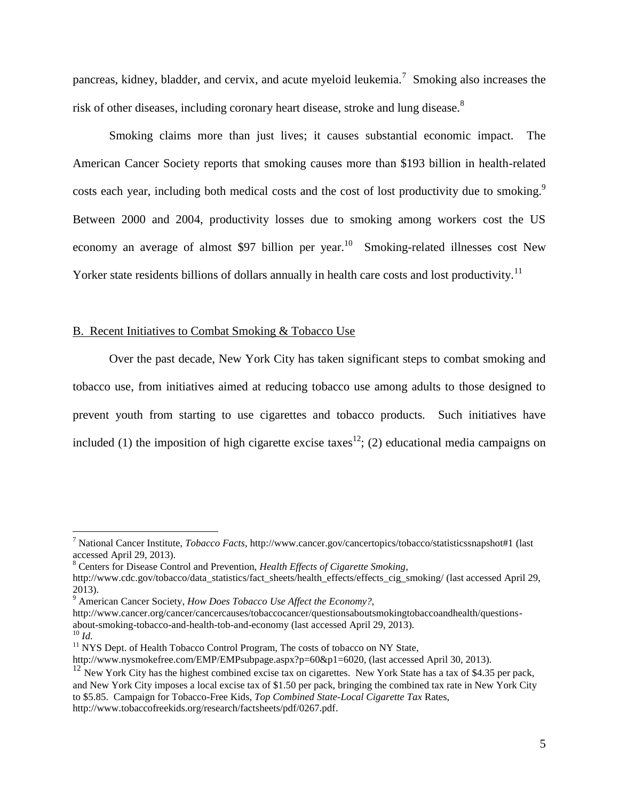pancreas, kidney, bladder, and cervix, and acute myeloid leukemia.<sup>7</sup> Smoking also increases the risk of other diseases, including coronary heart disease, stroke and lung disease.<sup>8</sup>

Smoking claims more than just lives; it causes substantial economic impact. The American Cancer Society reports that smoking causes more than \$193 billion in health-related costs each year, including both medical costs and the cost of lost productivity due to smoking.<sup>9</sup> Between 2000 and 2004, productivity losses due to smoking among workers cost the US economy an average of almost \$97 billion per year.<sup>10</sup> Smoking-related illnesses cost New Yorker state residents billions of dollars annually in health care costs and lost productivity.<sup>11</sup>

### B. Recent Initiatives to Combat Smoking & Tobacco Use

Over the past decade, New York City has taken significant steps to combat smoking and tobacco use, from initiatives aimed at reducing tobacco use among adults to those designed to prevent youth from starting to use cigarettes and tobacco products*.* Such initiatives have included (1) the imposition of high cigarette excise taxes<sup>12</sup>; (2) educational media campaigns on

<sup>7</sup> National Cancer Institute, *Tobacco Facts,* http://www.cancer.gov/cancertopics/tobacco/statisticssnapshot#1 (last accessed April 29, 2013).

<sup>8</sup> Centers for Disease Control and Prevention, *Health Effects of Cigarette Smoking*,

http://www.cdc.gov/tobacco/data\_statistics/fact\_sheets/health\_effects/effects\_cig\_smoking/ (last accessed April 29, 2013).

<sup>9</sup> American Cancer Society, *How Does Tobacco Use Affect the Economy?,* 

http://www.cancer.org/cancer/cancercauses/tobaccocancer/questionsaboutsmokingtobaccoandhealth/questionsabout-smoking-tobacco-and-health-tob-and-economy (last accessed April 29, 2013). <sup>10</sup> *Id.*

<sup>&</sup>lt;sup>11</sup> NYS Dept. of Health Tobacco Control Program, The costs of tobacco on NY State,

http://www.nysmokefree.com/EMP/EMPsubpage.aspx?p=60&p1=6020, (last accessed April 30, 2013).

 $12$  New York City has the highest combined excise tax on cigarettes. New York State has a tax of \$4.35 per pack, and New York City imposes a local excise tax of \$1.50 per pack, bringing the combined tax rate in New York City to \$5.85. Campaign for Tobacco-Free Kids, *Top Combined State-Local Cigarette Tax* Rates, http://www.tobaccofreekids.org/research/factsheets/pdf/0267.pdf.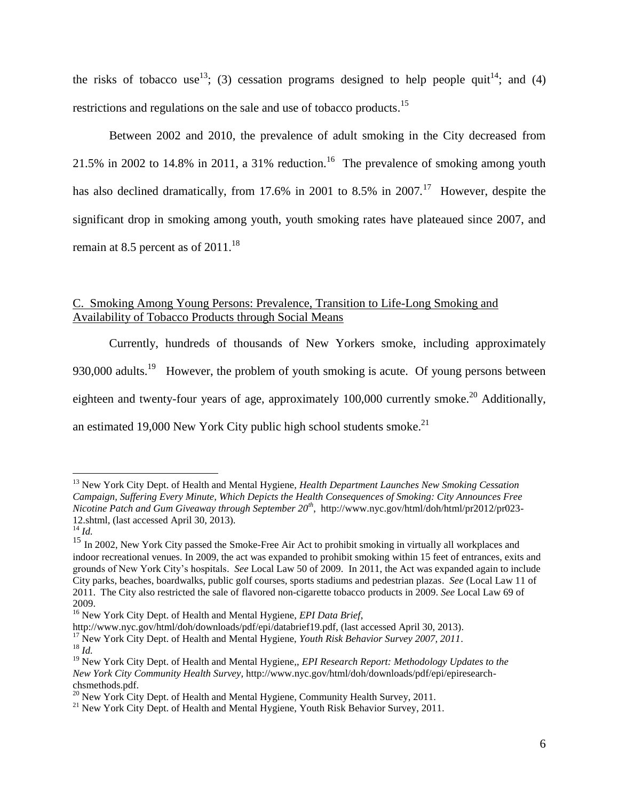the risks of tobacco use<sup>13</sup>; (3) cessation programs designed to help people quit<sup>14</sup>; and (4) restrictions and regulations on the sale and use of tobacco products.<sup>15</sup>

Between 2002 and 2010, the prevalence of adult smoking in the City decreased from 21.5% in 2002 to 14.8% in 2011, a 31% reduction.<sup>16</sup> The prevalence of smoking among youth has also declined dramatically, from 17.6% in 2001 to 8.5% in 2007.<sup>17</sup> However, despite the significant drop in smoking among youth, youth smoking rates have plateaued since 2007, and remain at 8.5 percent as of  $2011.^{18}$ 

# C. Smoking Among Young Persons: Prevalence, Transition to Life-Long Smoking and Availability of Tobacco Products through Social Means

Currently, hundreds of thousands of New Yorkers smoke, including approximately 930,000 adults.<sup>19</sup> However, the problem of youth smoking is acute. Of young persons between eighteen and twenty-four years of age, approximately  $100,000$  currently smoke.<sup>20</sup> Additionally, an estimated 19,000 New York City public high school students smoke.<sup>21</sup>

<sup>13</sup> New York City Dept. of Health and Mental Hygiene, *Health Department Launches New Smoking Cessation Campaign, Suffering Every Minute, Which Depicts the Health Consequences of Smoking: City Announces Free Nicotine Patch and Gum Giveaway through September 20th* , http://www.nyc.gov/html/doh/html/pr2012/pr023- 12.shtml, (last accessed April 30, 2013).

<sup>14</sup> *Id.*

<sup>&</sup>lt;sup>15</sup> In 2002, New York City passed the Smoke-Free Air Act to prohibit smoking in virtually all workplaces and indoor recreational venues. In 2009, the act was expanded to prohibit smoking within 15 feet of entrances, exits and grounds of New York City's hospitals. *See* Local Law 50 of 2009. In 2011, the Act was expanded again to include City parks, beaches, boardwalks, public golf courses, sports stadiums and pedestrian plazas. *See* (Local Law 11 of 2011. The City also restricted the sale of flavored non-cigarette tobacco products in 2009. *See* Local Law 69 of 2009.

<sup>16</sup> New York City Dept. of Health and Mental Hygiene, *EPI Data Brief*,

http://www.nyc.gov/html/doh/downloads/pdf/epi/databrief19.pdf, (last accessed April 30, 2013).

<sup>&</sup>lt;sup>17</sup> New York City Dept. of Health and Mental Hygiene, *Youth Risk Behavior Survey 2007, 2011*. <sup>18</sup> *Id.*

<sup>19</sup> New York City Dept. of Health and Mental Hygiene,, *EPI Research Report: Methodology Updates to the New York City Community Health Survey,* http://www.nyc.gov/html/doh/downloads/pdf/epi/epiresearchchsmethods.pdf.

<sup>&</sup>lt;sup>20</sup> New York City Dept. of Health and Mental Hygiene, Community Health Survey, 2011.

<sup>&</sup>lt;sup>21</sup> New York City Dept. of Health and Mental Hygiene, Youth Risk Behavior Survey, 2011.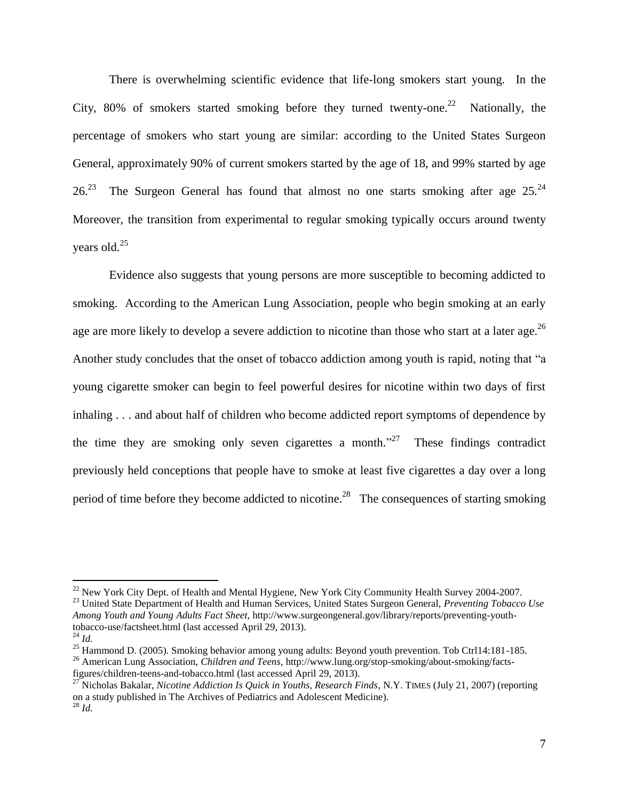There is overwhelming scientific evidence that life-long smokers start young. In the City, 80% of smokers started smoking before they turned twenty-one.<sup>22</sup> Nationally, the percentage of smokers who start young are similar: according to the United States Surgeon General, approximately 90% of current smokers started by the age of 18, and 99% started by age  $26<sup>23</sup>$  The Surgeon General has found that almost no one starts smoking after age  $25<sup>24</sup>$ Moreover, the transition from experimental to regular smoking typically occurs around twenty years old.<sup>25</sup> 

Evidence also suggests that young persons are more susceptible to becoming addicted to smoking. According to the American Lung Association, people who begin smoking at an early age are more likely to develop a severe addiction to nicotine than those who start at a later age.<sup>26</sup> Another study concludes that the onset of tobacco addiction among youth is rapid, noting that "a young cigarette smoker can begin to feel powerful desires for nicotine within two days of first inhaling . . . and about half of children who become addicted report symptoms of dependence by the time they are smoking only seven cigarettes a month.<sup>27</sup> These findings contradict previously held conceptions that people have to smoke at least five cigarettes a day over a long period of time before they become addicted to nicotine.<sup>28</sup> The consequences of starting smoking

<sup>&</sup>lt;sup>22</sup> New York City Dept. of Health and Mental Hygiene, New York City Community Health Survey 2004-2007.

<sup>23</sup> United State Department of Health and Human Services, United States Surgeon General, *Preventing Tobacco Use Among Youth and Young Adults Fact Sheet*, http://www.surgeongeneral.gov/library/reports/preventing-youthtobacco-use/factsheet.html (last accessed April 29, 2013).

<sup>24</sup> *Id.*

<sup>&</sup>lt;sup>25</sup> Hammond D. (2005). Smoking behavior among young adults: Beyond youth prevention. Tob Ctrl14:181-185.

<sup>26</sup> American Lung Association, *Children and Teens,* http://www.lung.org/stop-smoking/about-smoking/factsfigures/children-teens-and-tobacco.html (last accessed April 29, 2013).

<sup>&</sup>lt;sup>27</sup> Nicholas Bakalar, *Nicotine Addiction Is Quick in Youths, Research Finds*, N.Y. TIMES (July 21, 2007) (reporting on a study published in The Archives of Pediatrics and Adolescent Medicine). <sup>28</sup> *Id.*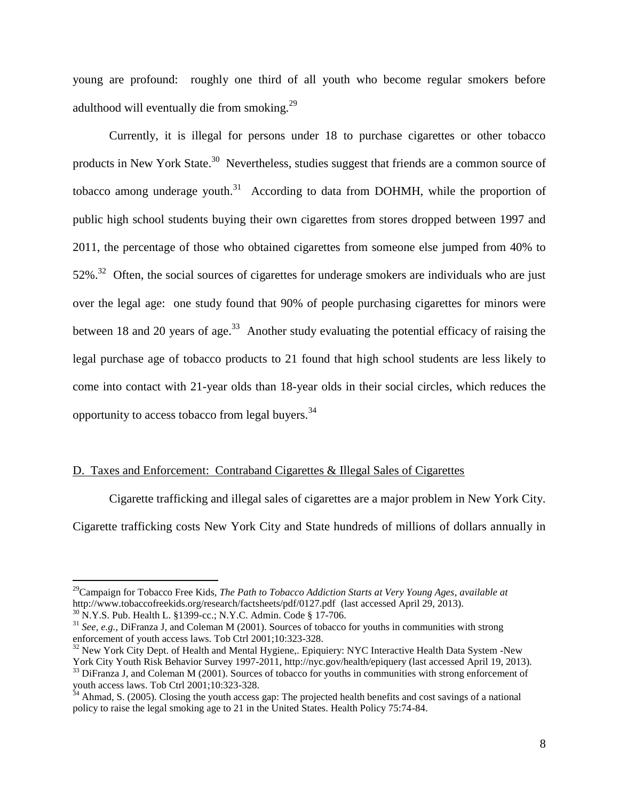young are profound: roughly one third of all youth who become regular smokers before adulthood will eventually die from smoking.<sup>29</sup>

Currently, it is illegal for persons under 18 to purchase cigarettes or other tobacco products in New York State.<sup>30</sup> Nevertheless, studies suggest that friends are a common source of tobacco among underage youth.<sup>31</sup> According to data from DOHMH, while the proportion of public high school students buying their own cigarettes from stores dropped between 1997 and 2011, the percentage of those who obtained cigarettes from someone else jumped from 40% to  $52\%$ <sup>32</sup> Often, the social sources of cigarettes for underage smokers are individuals who are just over the legal age: one study found that 90% of people purchasing cigarettes for minors were between 18 and 20 years of age.<sup>33</sup> Another study evaluating the potential efficacy of raising the legal purchase age of tobacco products to 21 found that high school students are less likely to come into contact with 21-year olds than 18-year olds in their social circles, which reduces the opportunity to access tobacco from legal buyers.<sup>34</sup>

## D. Taxes and Enforcement: Contraband Cigarettes & Illegal Sales of Cigarettes

Cigarette trafficking and illegal sales of cigarettes are a major problem in New York City.

Cigarette trafficking costs New York City and State hundreds of millions of dollars annually in

<sup>29</sup>Campaign for Tobacco Free Kids, *The Path to Tobacco Addiction Starts at Very Young Ages*, *available at*  http://www.tobaccofreekids.org/research/factsheets/pdf/0127.pdf (last accessed April 29, 2013).

<sup>30</sup> N.Y.S. Pub. Health L. §1399-cc.; N.Y.C. Admin. Code § 17-706.

<sup>31</sup> *See, e.g.,* DiFranza J, and Coleman M (2001). Sources of tobacco for youths in communities with strong enforcement of youth access laws. Tob Ctrl 2001;10:323-328.

<sup>&</sup>lt;sup>32</sup> New York City Dept. of Health and Mental Hygiene,. Epiquiery: NYC Interactive Health Data System -New York City Youth Risk Behavior Survey 1997-2011, http://nyc.gov/health/epiquery (last accessed April 19, 2013).

<sup>&</sup>lt;sup>33</sup> DiFranza J, and Coleman M (2001). Sources of tobacco for youths in communities with strong enforcement of youth access laws. Tob Ctrl 2001;10:323-328.

 $34$  Ahmad, S. (2005). Closing the youth access gap: The projected health benefits and cost savings of a national policy to raise the legal smoking age to 21 in the United States. Health Policy 75:74-84.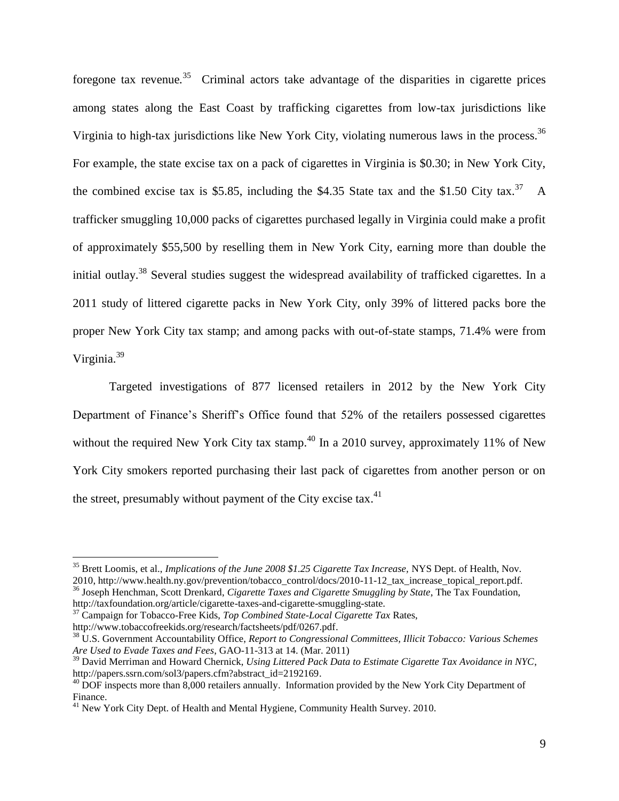foregone tax revenue*.* <sup>35</sup> Criminal actors take advantage of the disparities in cigarette prices among states along the East Coast by trafficking cigarettes from low-tax jurisdictions like Virginia to high-tax jurisdictions like New York City, violating numerous laws in the process.<sup>36</sup> For example, the state excise tax on a pack of cigarettes in Virginia is \$0.30; in New York City, the combined excise tax is \$5.85, including the \$4.35 State tax and the \$1.50 City tax.<sup>37</sup> A trafficker smuggling 10,000 packs of cigarettes purchased legally in Virginia could make a profit of approximately \$55,500 by reselling them in New York City, earning more than double the initial outlay.<sup>38</sup> Several studies suggest the widespread availability of trafficked cigarettes. In a 2011 study of littered cigarette packs in New York City, only 39% of littered packs bore the proper New York City tax stamp; and among packs with out-of-state stamps, 71.4% were from Virginia.<sup>39</sup> 

Targeted investigations of 877 licensed retailers in 2012 by the New York City Department of Finance's Sheriff's Office found that 52% of the retailers possessed cigarettes without the required New York City tax stamp.<sup>40</sup> In a 2010 survey, approximately 11% of New York City smokers reported purchasing their last pack of cigarettes from another person or on the street, presumably without payment of the City excise tax. $41$ 

<sup>35</sup> Brett Loomis, et al., *Implications of the June 2008 \$1.25 Cigarette Tax Increase,* NYS Dept. of Health, Nov. 2010, http://www.health.ny.gov/prevention/tobacco\_control/docs/2010-11-12\_tax\_increase\_topical\_report.pdf.

<sup>36</sup> Joseph Henchman, Scott Drenkard, *Cigarette Taxes and Cigarette Smuggling by State*, The Tax Foundation, http://taxfoundation.org/article/cigarette-taxes-and-cigarette-smuggling-state.

<sup>37</sup> Campaign for Tobacco-Free Kids, *Top Combined State-Local Cigarette Tax* Rates, http://www.tobaccofreekids.org/research/factsheets/pdf/0267.pdf.

<sup>38</sup> U.S. Government Accountability Office, *Report to Congressional Committees, Illicit Tobacco: Various Schemes Are Used to Evade Taxes and Fees*, GAO-11-313 at 14. (Mar. 2011)

<sup>39</sup> David Merriman and Howard Chernick, *Using Littered Pack Data to Estimate Cigarette Tax Avoidance in NYC*, http://papers.ssrn.com/sol3/papers.cfm?abstract\_id=2192169.

 $^{40}$  DOF inspects more than 8,000 retailers annually. Information provided by the New York City Department of Finance.

<sup>&</sup>lt;sup>41</sup> New York City Dept. of Health and Mental Hygiene, Community Health Survey. 2010.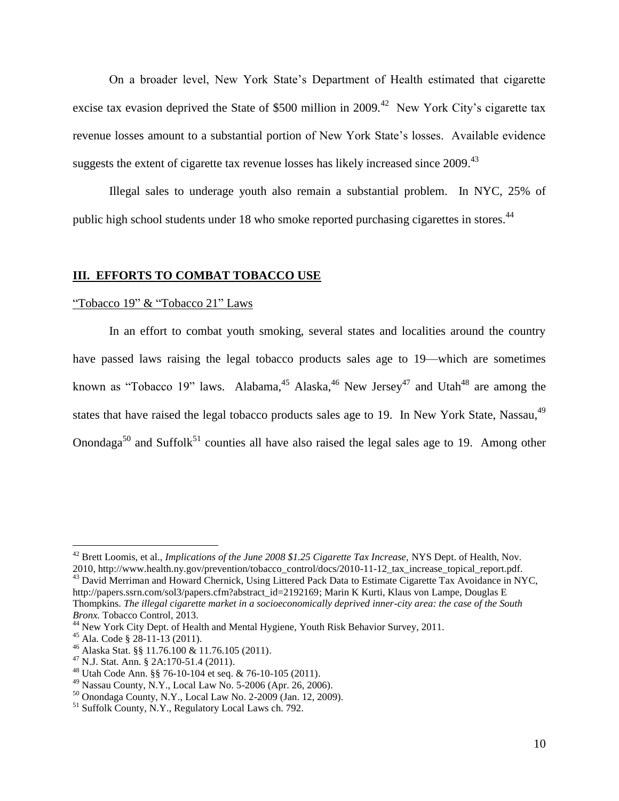On a broader level, New York State's Department of Health estimated that cigarette excise tax evasion deprived the State of \$500 million in 2009.<sup>42</sup> New York City's cigarette tax revenue losses amount to a substantial portion of New York State's losses. Available evidence suggests the extent of cigarette tax revenue losses has likely increased since 2009. 43 

Illegal sales to underage youth also remain a substantial problem. In NYC, 25% of public high school students under 18 who smoke reported purchasing cigarettes in stores.<sup>44</sup>

## **III. EFFORTS TO COMBAT TOBACCO USE**

## "Tobacco 19" & "Tobacco 21" Laws

In an effort to combat youth smoking, several states and localities around the country have passed laws raising the legal tobacco products sales age to 19—which are sometimes known as "Tobacco 19" laws. Alabama,  $45$  Alaska,  $46$  New Jersey  $47$  and Utah<sup>48</sup> are among the states that have raised the legal tobacco products sales age to 19. In New York State, Nassau, <sup>49</sup> Onondaga<sup>50</sup> and Suffolk<sup>51</sup> counties all have also raised the legal sales age to 19. Among other

<sup>42</sup> Brett Loomis, et al., *Implications of the June 2008 \$1.25 Cigarette Tax Increase,* NYS Dept. of Health, Nov. 2010, http://www.health.ny.gov/prevention/tobacco\_control/docs/2010-11-12\_tax\_increase\_topical\_report.pdf.

<sup>&</sup>lt;sup>43</sup> David Merriman and Howard Chernick, Using Littered Pack Data to Estimate Cigarette Tax Avoidance in NYC, http://papers.ssrn.com/sol3/papers.cfm?abstract\_id=2192169; Marin K Kurti, Klaus von Lampe, Douglas E Thompkins. *The illegal cigarette market in a socioeconomically deprived inner-city area: the case of the South Bronx.* Tobacco Control, 2013.

<sup>&</sup>lt;sup>44</sup> New York City Dept. of Health and Mental Hygiene, Youth Risk Behavior Survey, 2011.

<sup>45</sup> Ala. Code § 28-11-13 (2011).

<sup>46</sup> Alaska Stat. §§ 11.76.100 & 11.76.105 (2011).

<sup>47</sup> N.J. Stat. Ann. § 2A:170-51.4 (2011).

<sup>48</sup> Utah Code Ann. §§ 76-10-104 et seq. & 76-10-105 (2011).

 $^{49}$  Nassau County, N.Y., Local Law No. 5-2006 (Apr. 26, 2006).

<sup>50</sup> Onondaga County, N.Y., Local Law No. 2-2009 (Jan. 12, 2009).

<sup>&</sup>lt;sup>51</sup> Suffolk County, N.Y., Regulatory Local Laws ch. 792.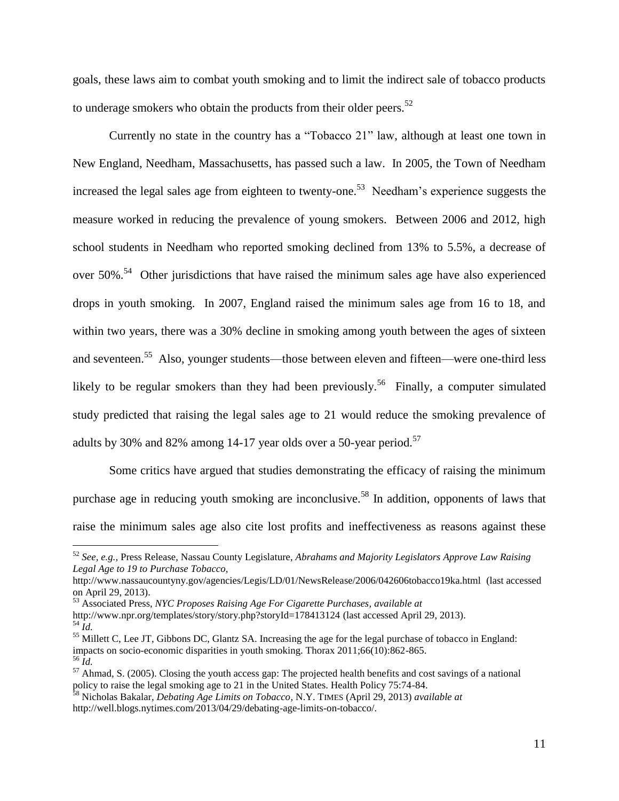goals, these laws aim to combat youth smoking and to limit the indirect sale of tobacco products to underage smokers who obtain the products from their older peers. $52$ 

Currently no state in the country has a "Tobacco 21" law, although at least one town in New England, Needham, Massachusetts, has passed such a law. In 2005, the Town of Needham increased the legal sales age from eighteen to twenty-one.<sup>53</sup> Needham's experience suggests the measure worked in reducing the prevalence of young smokers. Between 2006 and 2012, high school students in Needham who reported smoking declined from 13% to 5.5%, a decrease of over  $50\%$ .<sup>54</sup> Other jurisdictions that have raised the minimum sales age have also experienced drops in youth smoking. In 2007, England raised the minimum sales age from 16 to 18, and within two years, there was a 30% decline in smoking among youth between the ages of sixteen and seventeen.<sup>55</sup> Also, younger students—those between eleven and fifteen—were one-third less likely to be regular smokers than they had been previously.<sup>56</sup> Finally, a computer simulated study predicted that raising the legal sales age to 21 would reduce the smoking prevalence of adults by 30% and 82% among 14-17 year olds over a 50-year period.<sup>57</sup>

Some critics have argued that studies demonstrating the efficacy of raising the minimum purchase age in reducing youth smoking are inconclusive.<sup>58</sup> In addition, opponents of laws that raise the minimum sales age also cite lost profits and ineffectiveness as reasons against these

<sup>52</sup> *See, e.g.,* Press Release, Nassau County Legislature, *Abrahams and Majority Legislators Approve Law Raising Legal Age to 19 to Purchase Tobacco,* 

http://www.nassaucountyny.gov/agencies/Legis/LD/01/NewsRelease/2006/042606tobacco19ka.html (last accessed on April 29, 2013).

<sup>53</sup> Associated Press, *NYC Proposes Raising Age For Cigarette Purchases, available at*

http://www.npr.org/templates/story/story.php?storyId=178413124 (last accessed April 29, 2013). <sup>54</sup> *Id.*

<sup>55</sup> Millett C, Lee JT, Gibbons DC, Glantz SA. Increasing the age for the legal purchase of tobacco in England: impacts on socio-economic disparities in youth smoking. Thorax 2011;66(10):862-865. <sup>56</sup> *Id.*

<sup>&</sup>lt;sup>57</sup> Ahmad, S. (2005). Closing the youth access gap: The projected health benefits and cost savings of a national policy to raise the legal smoking age to 21 in the United States. Health Policy 75:74-84.

<sup>58</sup> Nicholas Bakalar, *Debating Age Limits on Tobacco,* N.Y. TIMES (April 29, 2013) *available at*  http://well.blogs.nytimes.com/2013/04/29/debating-age-limits-on-tobacco/.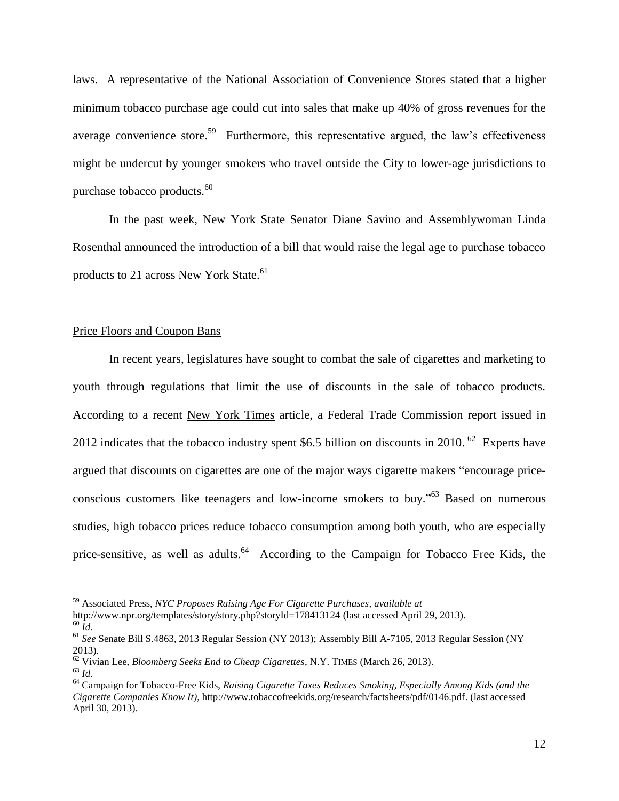laws. A representative of the National Association of Convenience Stores stated that a higher minimum tobacco purchase age could cut into sales that make up 40% of gross revenues for the average convenience store.<sup>59</sup> Furthermore, this representative argued, the law's effectiveness might be undercut by younger smokers who travel outside the City to lower-age jurisdictions to purchase tobacco products.<sup>60</sup>

In the past week, New York State Senator Diane Savino and Assemblywoman Linda Rosenthal announced the introduction of a bill that would raise the legal age to purchase tobacco products to 21 across New York State.<sup>61</sup>

### Price Floors and Coupon Bans

In recent years, legislatures have sought to combat the sale of cigarettes and marketing to youth through regulations that limit the use of discounts in the sale of tobacco products. According to a recent New York Times article, a Federal Trade Commission report issued in 2012 indicates that the tobacco industry spent \$6.5 billion on discounts in 2010.  $62$  Experts have argued that discounts on cigarettes are one of the major ways cigarette makers "encourage priceconscious customers like teenagers and low-income smokers to buy.<sup>563</sup> Based on numerous studies, high tobacco prices reduce tobacco consumption among both youth, who are especially price-sensitive, as well as adults.<sup>64</sup> According to the Campaign for Tobacco Free Kids, the

<sup>59</sup> Associated Press, *NYC Proposes Raising Age For Cigarette Purchases, available at*

http://www.npr.org/templates/story/story.php?storyId=178413124 (last accessed April 29, 2013).

 $60$   $\tilde{I}$ *d*.

<sup>61</sup> *See* Senate Bill S.4863, 2013 Regular Session (NY 2013); Assembly Bill A-7105, 2013 Regular Session (NY 2013).

<sup>62</sup> Vivian Lee, *Bloomberg Seeks End to Cheap Cigarettes*, N.Y. TIMES (March 26, 2013).

<sup>63</sup> *Id.*

<sup>64</sup> Campaign for Tobacco-Free Kids, *Raising Cigarette Taxes Reduces Smoking, Especially Among Kids (and the Cigarette Companies Know It)*, http://www.tobaccofreekids.org/research/factsheets/pdf/0146.pdf. (last accessed April 30, 2013).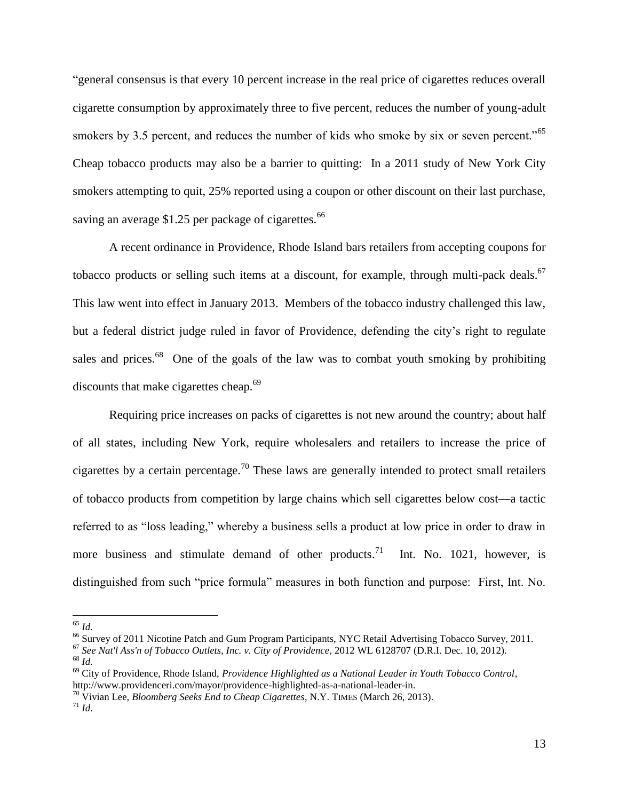―general consensus is that every 10 percent increase in the real price of cigarettes reduces overall cigarette consumption by approximately three to five percent, reduces the number of young-adult smokers by 3.5 percent, and reduces the number of kids who smoke by six or seven percent."<sup>65</sup> Cheap tobacco products may also be a barrier to quitting: In a 2011 study of New York City smokers attempting to quit, 25% reported using a coupon or other discount on their last purchase, saving an average \$1.25 per package of cigarettes.<sup>66</sup>

A recent ordinance in Providence, Rhode Island bars retailers from accepting coupons for tobacco products or selling such items at a discount, for example, through multi-pack deals.<sup>67</sup> This law went into effect in January 2013. Members of the tobacco industry challenged this law, but a federal district judge ruled in favor of Providence, defending the city's right to regulate sales and prices. $68$  One of the goals of the law was to combat youth smoking by prohibiting discounts that make cigarettes cheap.<sup>69</sup>

Requiring price increases on packs of cigarettes is not new around the country; about half of all states, including New York, require wholesalers and retailers to increase the price of cigarettes by a certain percentage.<sup>70</sup> These laws are generally intended to protect small retailers of tobacco products from competition by large chains which sell cigarettes below cost—a tactic referred to as "loss leading," whereby a business sells a product at low price in order to draw in more business and stimulate demand of other products.<sup>71</sup> Int. No. 1021, however, is distinguished from such "price formula" measures in both function and purpose: First, Int. No.

<sup>65</sup> *Id.*

<sup>&</sup>lt;sup>66</sup> Survey of 2011 Nicotine Patch and Gum Program Participants, NYC Retail Advertising Tobacco Survey, 2011.

<sup>67</sup> *See Nat'l Ass'n of Tobacco Outlets, Inc. v. City of Providence*, 2012 WL 6128707 (D.R.I. Dec. 10, 2012).

<sup>68</sup> *Id.*

<sup>69</sup> City of Providence, Rhode Island, *Providence Highlighted as a National Leader in Youth Tobacco Control*, http://www.providenceri.com/mayor/providence-highlighted-as-a-national-leader-in.

<sup>70</sup> Vivian Lee, *Bloomberg Seeks End to Cheap Cigarettes*, N.Y. TIMES (March 26, 2013).

<sup>71</sup> *Id.*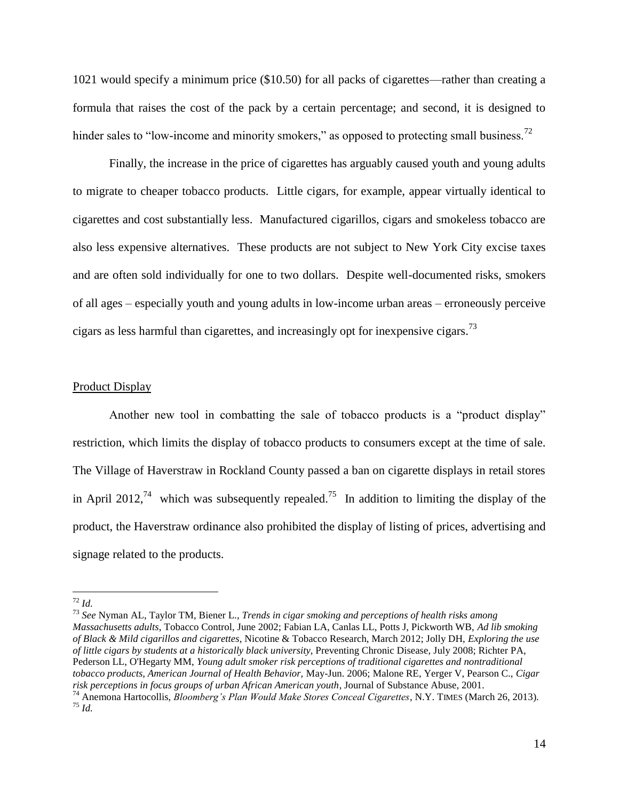1021 would specify a minimum price (\$10.50) for all packs of cigarettes—rather than creating a formula that raises the cost of the pack by a certain percentage; and second, it is designed to hinder sales to "low-income and minority smokers," as opposed to protecting small business.<sup>72</sup>

Finally, the increase in the price of cigarettes has arguably caused youth and young adults to migrate to cheaper tobacco products. Little cigars, for example, appear virtually identical to cigarettes and cost substantially less. Manufactured cigarillos, cigars and smokeless tobacco are also less expensive alternatives. These products are not subject to New York City excise taxes and are often sold individually for one to two dollars. Despite well-documented risks, smokers of all ages – especially youth and young adults in low-income urban areas – erroneously perceive cigars as less harmful than cigarettes, and increasingly opt for inexpensive cigars.<sup>73</sup>

#### Product Display

Another new tool in combatting the sale of tobacco products is a "product display" restriction, which limits the display of tobacco products to consumers except at the time of sale. The Village of Haverstraw in Rockland County passed a ban on cigarette displays in retail stores in April 2012,<sup>74</sup> which was subsequently repealed.<sup>75</sup> In addition to limiting the display of the product, the Haverstraw ordinance also prohibited the display of listing of prices, advertising and signage related to the products.

<sup>72</sup> *Id.*

<sup>73</sup> *See* Nyman AL, Taylor TM, Biener L., *Trends in cigar smoking and perceptions of health risks among Massachusetts adults*, Tobacco Control, June 2002; Fabian LA, Canlas LL, Potts J, Pickworth WB, *Ad lib smoking of Black & Mild cigarillos and cigarettes*, Nicotine & Tobacco Research, March 2012; Jolly DH, *Exploring the use of little cigars by students at a historically black university*, Preventing Chronic Disease, July 2008; Richter PA, Pederson LL, O'Hegarty MM, *Young adult smoker risk perceptions of traditional cigarettes and nontraditional tobacco products, American Journal of Health Behavior,* May-Jun. 2006; Malone RE, Yerger V, Pearson C., *Cigar risk perceptions in focus groups of urban African American youth*, Journal of Substance Abuse, 2001.

<sup>74</sup> Anemona Hartocollis, *Bloomberg's Plan Would Make Stores Conceal Cigarettes*, N.Y. TIMES (March 26, 2013). <sup>75</sup> *Id.*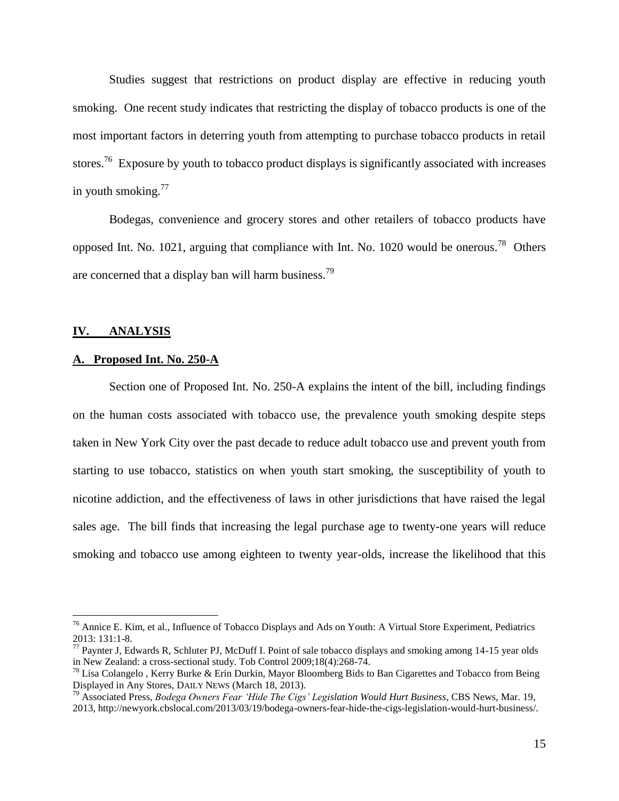Studies suggest that restrictions on product display are effective in reducing youth smoking. One recent study indicates that restricting the display of tobacco products is one of the most important factors in deterring youth from attempting to purchase tobacco products in retail stores.<sup>76</sup> Exposure by youth to tobacco product displays is significantly associated with increases in youth smoking. $77$ 

Bodegas, convenience and grocery stores and other retailers of tobacco products have opposed Int. No. 1021, arguing that compliance with Int. No. 1020 would be onerous.<sup>78</sup> Others are concerned that a display ban will harm business.<sup>79</sup>

#### **IV. ANALYSIS**

 $\overline{a}$ 

#### **A. Proposed Int. No. 250-A**

Section one of Proposed Int. No. 250-A explains the intent of the bill, including findings on the human costs associated with tobacco use, the prevalence youth smoking despite steps taken in New York City over the past decade to reduce adult tobacco use and prevent youth from starting to use tobacco, statistics on when youth start smoking, the susceptibility of youth to nicotine addiction, and the effectiveness of laws in other jurisdictions that have raised the legal sales age. The bill finds that increasing the legal purchase age to twenty-one years will reduce smoking and tobacco use among eighteen to twenty year-olds, increase the likelihood that this

<sup>&</sup>lt;sup>76</sup> Annice E. Kim, et al., Influence of Tobacco Displays and Ads on Youth: A Virtual Store Experiment, Pediatrics 2013: 131:1-8.

<sup>&</sup>lt;sup>77</sup> Paynter J, Edwards R, Schluter PJ, McDuff I. Point of sale tobacco displays and smoking among 14-15 year olds in New Zealand: a cross-sectional study. Tob Control 2009;18(4):268-74.

 $^{78}$  Lisa Colangelo, Kerry Burke & Erin Durkin, Mayor Bloomberg Bids to Ban Cigarettes and Tobacco from Being Displayed in Any Stores, DAILY NEWS (March 18, 2013).

<sup>79</sup> Associated Press, *Bodega Owners Fear 'Hide The Cigs' Legislation Would Hurt Business*, CBS News, Mar. 19,

<sup>2013,</sup> http://newyork.cbslocal.com/2013/03/19/bodega-owners-fear-hide-the-cigs-legislation-would-hurt-business/.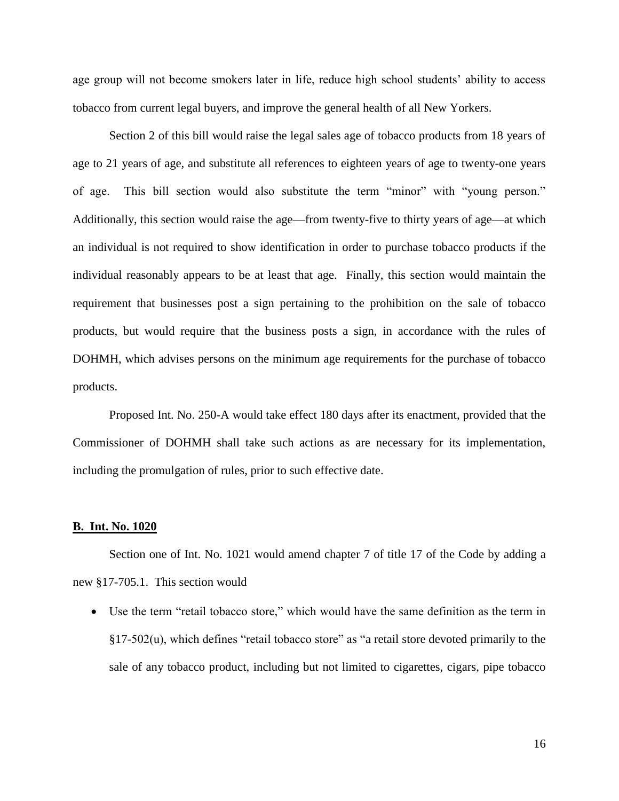age group will not become smokers later in life, reduce high school students' ability to access tobacco from current legal buyers, and improve the general health of all New Yorkers.

Section 2 of this bill would raise the legal sales age of tobacco products from 18 years of age to 21 years of age, and substitute all references to eighteen years of age to twenty-one years of age. This bill section would also substitute the term "minor" with "young person." Additionally, this section would raise the age—from twenty-five to thirty years of age—at which an individual is not required to show identification in order to purchase tobacco products if the individual reasonably appears to be at least that age. Finally, this section would maintain the requirement that businesses post a sign pertaining to the prohibition on the sale of tobacco products, but would require that the business posts a sign, in accordance with the rules of DOHMH, which advises persons on the minimum age requirements for the purchase of tobacco products.

Proposed Int. No. 250-A would take effect 180 days after its enactment, provided that the Commissioner of DOHMH shall take such actions as are necessary for its implementation, including the promulgation of rules, prior to such effective date.

### **B. Int. No. 1020**

Section one of Int. No. 1021 would amend chapter 7 of title 17 of the Code by adding a new §17-705.1. This section would

• Use the term "retail tobacco store," which would have the same definition as the term in  $§17-502(u)$ , which defines "retail tobacco store" as "a retail store devoted primarily to the sale of any tobacco product, including but not limited to cigarettes, cigars, pipe tobacco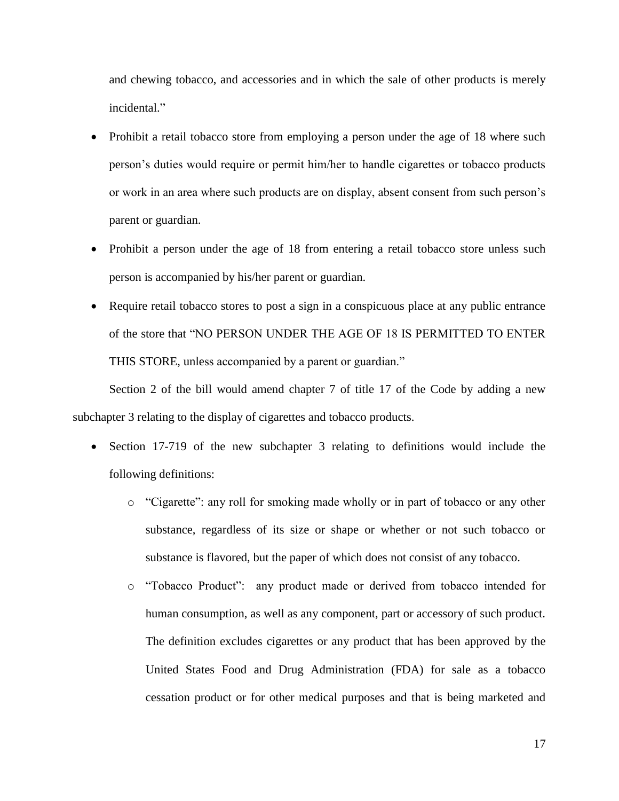and chewing tobacco, and accessories and in which the sale of other products is merely incidental."

- Prohibit a retail tobacco store from employing a person under the age of 18 where such person's duties would require or permit him/her to handle cigarettes or tobacco products or work in an area where such products are on display, absent consent from such person's parent or guardian.
- Prohibit a person under the age of 18 from entering a retail tobacco store unless such person is accompanied by his/her parent or guardian.
- Require retail tobacco stores to post a sign in a conspicuous place at any public entrance of the store that "NO PERSON UNDER THE AGE OF 18 IS PERMITTED TO ENTER THIS STORE, unless accompanied by a parent or guardian."

Section 2 of the bill would amend chapter 7 of title 17 of the Code by adding a new subchapter 3 relating to the display of cigarettes and tobacco products.

- Section 17-719 of the new subchapter 3 relating to definitions would include the following definitions:
	- $\circ$  "Cigarette": any roll for smoking made wholly or in part of tobacco or any other substance, regardless of its size or shape or whether or not such tobacco or substance is flavored, but the paper of which does not consist of any tobacco.
	- o ―Tobacco Product‖: any product made or derived from tobacco intended for human consumption, as well as any component, part or accessory of such product. The definition excludes cigarettes or any product that has been approved by the United States Food and Drug Administration (FDA) for sale as a tobacco cessation product or for other medical purposes and that is being marketed and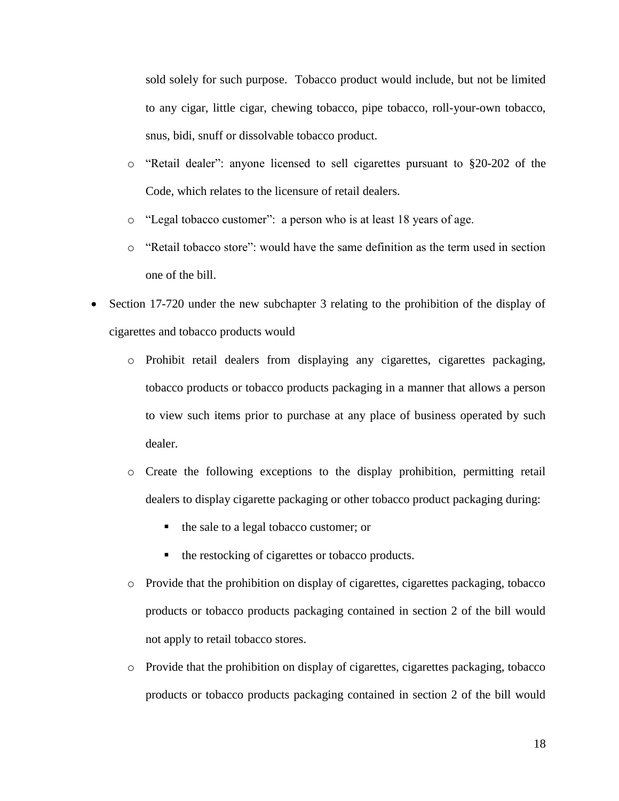sold solely for such purpose. Tobacco product would include, but not be limited to any cigar, little cigar, chewing tobacco, pipe tobacco, roll-your-own tobacco, snus, bidi, snuff or dissolvable tobacco product.

- $\circ$  "Retail dealer": anyone licensed to sell cigarettes pursuant to §20-202 of the Code, which relates to the licensure of retail dealers.
- o "Legal tobacco customer": a person who is at least 18 years of age.
- $\circ$  "Retail tobacco store": would have the same definition as the term used in section one of the bill.
- Section 17-720 under the new subchapter 3 relating to the prohibition of the display of cigarettes and tobacco products would
	- o Prohibit retail dealers from displaying any cigarettes, cigarettes packaging, tobacco products or tobacco products packaging in a manner that allows a person to view such items prior to purchase at any place of business operated by such dealer.
	- o Create the following exceptions to the display prohibition, permitting retail dealers to display cigarette packaging or other tobacco product packaging during:
		- the sale to a legal tobacco customer; or
		- the restocking of cigarettes or tobacco products.
	- o Provide that the prohibition on display of cigarettes, cigarettes packaging, tobacco products or tobacco products packaging contained in section 2 of the bill would not apply to retail tobacco stores.
	- o Provide that the prohibition on display of cigarettes, cigarettes packaging, tobacco products or tobacco products packaging contained in section 2 of the bill would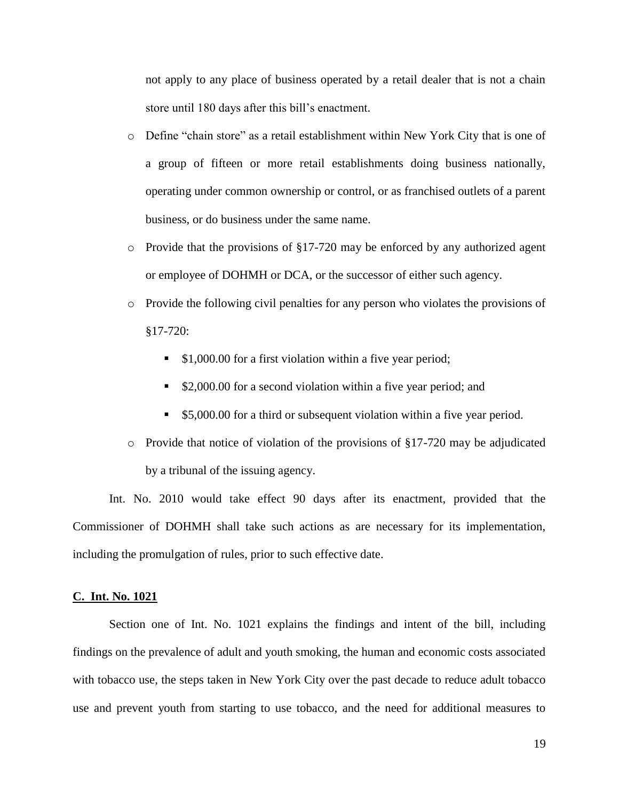not apply to any place of business operated by a retail dealer that is not a chain store until 180 days after this bill's enactment.

- $\circ$  Define "chain store" as a retail establishment within New York City that is one of a group of fifteen or more retail establishments doing business nationally, operating under common ownership or control, or as franchised outlets of a parent business, or do business under the same name.
- o Provide that the provisions of §17-720 may be enforced by any authorized agent or employee of DOHMH or DCA, or the successor of either such agency.
- o Provide the following civil penalties for any person who violates the provisions of §17-720:
	- **51,000.00** for a first violation within a five year period;
	- **52,000.00 for a second violation within a five year period; and**
	- **55,000.00 for a third or subsequent violation within a five year period.**
- o Provide that notice of violation of the provisions of §17-720 may be adjudicated by a tribunal of the issuing agency.

Int. No. 2010 would take effect 90 days after its enactment, provided that the Commissioner of DOHMH shall take such actions as are necessary for its implementation, including the promulgation of rules, prior to such effective date.

## **C. Int. No. 1021**

Section one of Int. No. 1021 explains the findings and intent of the bill, including findings on the prevalence of adult and youth smoking, the human and economic costs associated with tobacco use, the steps taken in New York City over the past decade to reduce adult tobacco use and prevent youth from starting to use tobacco, and the need for additional measures to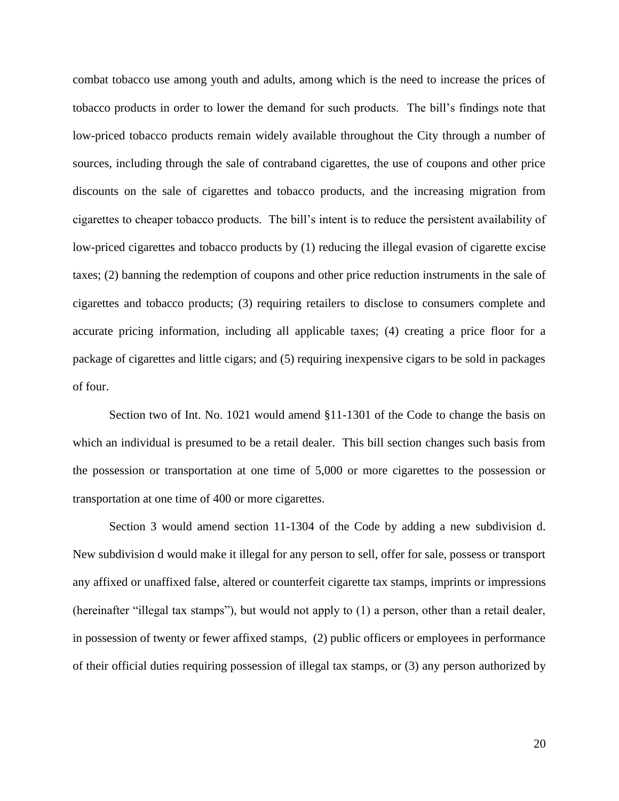combat tobacco use among youth and adults, among which is the need to increase the prices of tobacco products in order to lower the demand for such products. The bill's findings note that low-priced tobacco products remain widely available throughout the City through a number of sources, including through the sale of contraband cigarettes, the use of coupons and other price discounts on the sale of cigarettes and tobacco products, and the increasing migration from cigarettes to cheaper tobacco products. The bill's intent is to reduce the persistent availability of low-priced cigarettes and tobacco products by (1) reducing the illegal evasion of cigarette excise taxes; (2) banning the redemption of coupons and other price reduction instruments in the sale of cigarettes and tobacco products; (3) requiring retailers to disclose to consumers complete and accurate pricing information, including all applicable taxes; (4) creating a price floor for a package of cigarettes and little cigars; and (5) requiring inexpensive cigars to be sold in packages of four.

Section two of Int. No. 1021 would amend §11-1301 of the Code to change the basis on which an individual is presumed to be a retail dealer. This bill section changes such basis from the possession or transportation at one time of 5,000 or more cigarettes to the possession or transportation at one time of 400 or more cigarettes.

Section 3 would amend section 11-1304 of the Code by adding a new subdivision d. New subdivision d would make it illegal for any person to sell, offer for sale, possess or transport any affixed or unaffixed false, altered or counterfeit cigarette tax stamps, imprints or impressions (hereinafter "illegal tax stamps"), but would not apply to  $(1)$  a person, other than a retail dealer, in possession of twenty or fewer affixed stamps, (2) public officers or employees in performance of their official duties requiring possession of illegal tax stamps, or (3) any person authorized by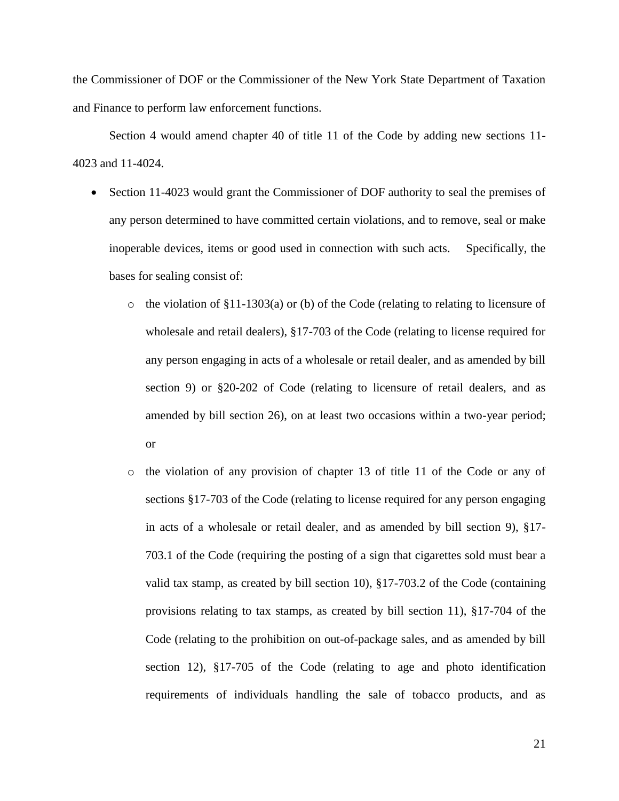the Commissioner of DOF or the Commissioner of the New York State Department of Taxation and Finance to perform law enforcement functions.

Section 4 would amend chapter 40 of title 11 of the Code by adding new sections 11- 4023 and 11-4024.

- Section 11-4023 would grant the Commissioner of DOF authority to seal the premises of any person determined to have committed certain violations, and to remove, seal or make inoperable devices, items or good used in connection with such acts. Specifically, the bases for sealing consist of:
	- $\circ$  the violation of §11-1303(a) or (b) of the Code (relating to relating to licensure of wholesale and retail dealers), §17-703 of the Code (relating to license required for any person engaging in acts of a wholesale or retail dealer, and as amended by bill section 9) or §20-202 of Code (relating to licensure of retail dealers, and as amended by bill section 26), on at least two occasions within a two-year period; or
	- o the violation of any provision of chapter 13 of title 11 of the Code or any of sections §17-703 of the Code (relating to license required for any person engaging in acts of a wholesale or retail dealer, and as amended by bill section 9), §17- 703.1 of the Code (requiring the posting of a sign that cigarettes sold must bear a valid tax stamp, as created by bill section 10), §17-703.2 of the Code (containing provisions relating to tax stamps, as created by bill section 11), §17-704 of the Code (relating to the prohibition on out-of-package sales, and as amended by bill section 12), §17-705 of the Code (relating to age and photo identification requirements of individuals handling the sale of tobacco products, and as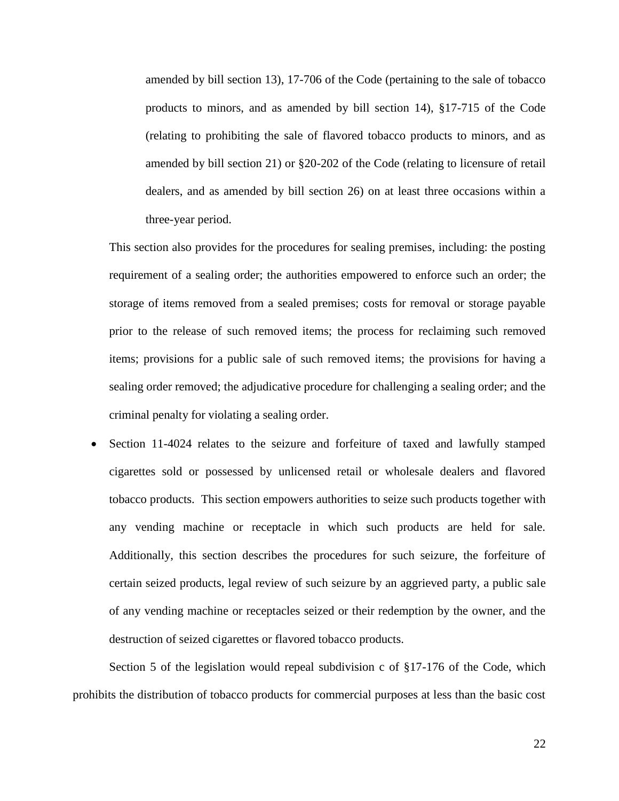amended by bill section 13), 17-706 of the Code (pertaining to the sale of tobacco products to minors, and as amended by bill section 14), §17-715 of the Code (relating to prohibiting the sale of flavored tobacco products to minors, and as amended by bill section 21) or §20-202 of the Code (relating to licensure of retail dealers, and as amended by bill section 26) on at least three occasions within a three-year period.

This section also provides for the procedures for sealing premises, including: the posting requirement of a sealing order; the authorities empowered to enforce such an order; the storage of items removed from a sealed premises; costs for removal or storage payable prior to the release of such removed items; the process for reclaiming such removed items; provisions for a public sale of such removed items; the provisions for having a sealing order removed; the adjudicative procedure for challenging a sealing order; and the criminal penalty for violating a sealing order.

 Section 11-4024 relates to the seizure and forfeiture of taxed and lawfully stamped cigarettes sold or possessed by unlicensed retail or wholesale dealers and flavored tobacco products. This section empowers authorities to seize such products together with any vending machine or receptacle in which such products are held for sale. Additionally, this section describes the procedures for such seizure, the forfeiture of certain seized products, legal review of such seizure by an aggrieved party, a public sale of any vending machine or receptacles seized or their redemption by the owner, and the destruction of seized cigarettes or flavored tobacco products.

Section 5 of the legislation would repeal subdivision c of §17-176 of the Code, which prohibits the distribution of tobacco products for commercial purposes at less than the basic cost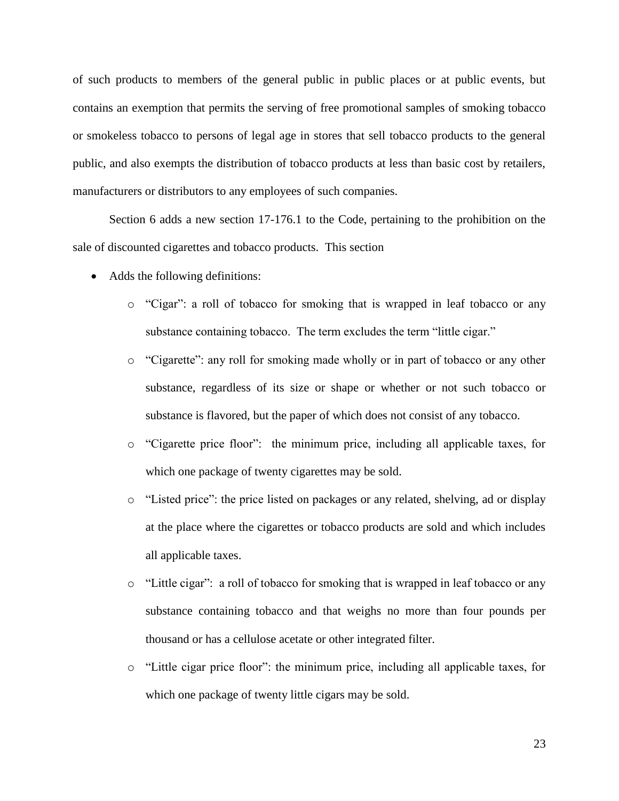of such products to members of the general public in public places or at public events, but contains an exemption that permits the serving of free promotional samples of smoking tobacco or smokeless tobacco to persons of legal age in stores that sell tobacco products to the general public, and also exempts the distribution of tobacco products at less than basic cost by retailers, manufacturers or distributors to any employees of such companies.

Section 6 adds a new section 17-176.1 to the Code, pertaining to the prohibition on the sale of discounted cigarettes and tobacco products. This section

- Adds the following definitions:
	- $\circ$  "Cigar": a roll of tobacco for smoking that is wrapped in leaf tobacco or any substance containing tobacco. The term excludes the term "little cigar."
	- $\circ$  "Cigarette": any roll for smoking made wholly or in part of tobacco or any other substance, regardless of its size or shape or whether or not such tobacco or substance is flavored, but the paper of which does not consist of any tobacco.
	- o ―Cigarette price floor‖: the minimum price, including all applicable taxes, for which one package of twenty cigarettes may be sold.
	- $\circ$  "Listed price": the price listed on packages or any related, shelving, ad or display at the place where the cigarettes or tobacco products are sold and which includes all applicable taxes.
	- $\circ$  "Little cigar": a roll of tobacco for smoking that is wrapped in leaf tobacco or any substance containing tobacco and that weighs no more than four pounds per thousand or has a cellulose acetate or other integrated filter.
	- o ―Little cigar price floor‖: the minimum price, including all applicable taxes, for which one package of twenty little cigars may be sold.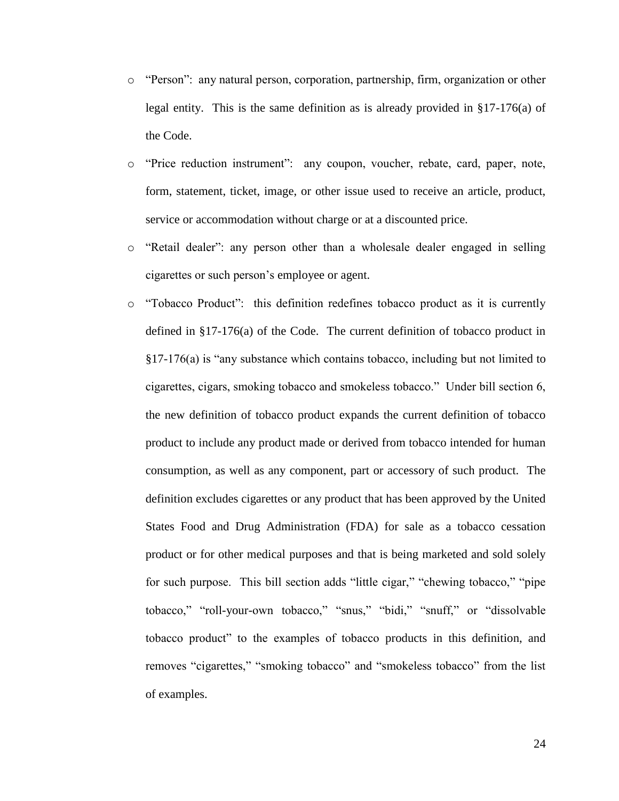- $\circ$  "Person": any natural person, corporation, partnership, firm, organization or other legal entity. This is the same definition as is already provided in §17-176(a) of the Code.
- $\circ$  "Price reduction instrument": any coupon, voucher, rebate, card, paper, note, form, statement, ticket, image, or other issue used to receive an article, product, service or accommodation without charge or at a discounted price.
- o "Retail dealer": any person other than a wholesale dealer engaged in selling cigarettes or such person's employee or agent.
- o ―Tobacco Product‖: this definition redefines tobacco product as it is currently defined in §17-176(a) of the Code. The current definition of tobacco product in  $§17-176(a)$  is "any substance which contains tobacco, including but not limited to cigarettes, cigars, smoking tobacco and smokeless tobacco.‖ Under bill section 6, the new definition of tobacco product expands the current definition of tobacco product to include any product made or derived from tobacco intended for human consumption, as well as any component, part or accessory of such product. The definition excludes cigarettes or any product that has been approved by the United States Food and Drug Administration (FDA) for sale as a tobacco cessation product or for other medical purposes and that is being marketed and sold solely for such purpose. This bill section adds "little cigar," "chewing tobacco," "pipe tobacco," "roll-your-own tobacco," "snus," "bidi," "snuff," or "dissolvable tobacco product‖ to the examples of tobacco products in this definition, and removes "cigarettes," "smoking tobacco" and "smokeless tobacco" from the list of examples.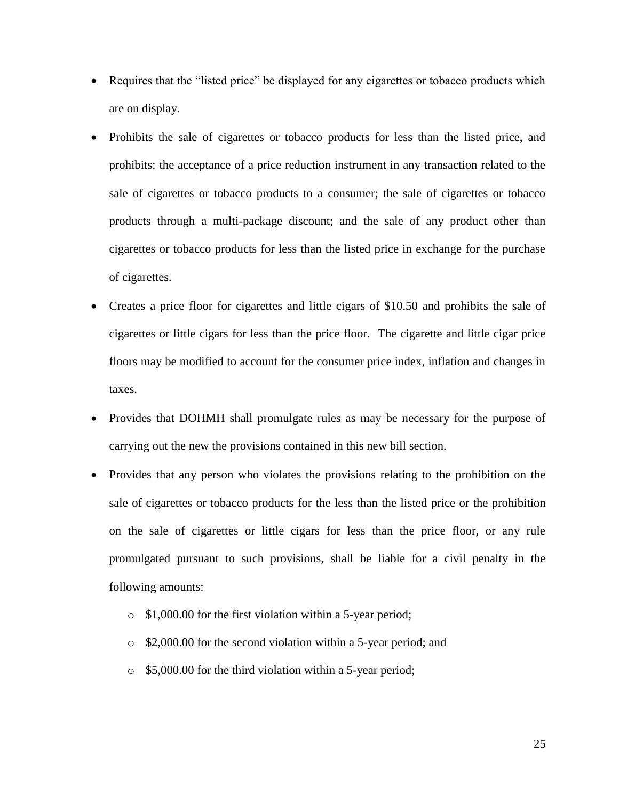- Requires that the "listed price" be displayed for any cigarettes or tobacco products which are on display.
- Prohibits the sale of cigarettes or tobacco products for less than the listed price, and prohibits: the acceptance of a price reduction instrument in any transaction related to the sale of cigarettes or tobacco products to a consumer; the sale of cigarettes or tobacco products through a multi-package discount; and the sale of any product other than cigarettes or tobacco products for less than the listed price in exchange for the purchase of cigarettes.
- Creates a price floor for cigarettes and little cigars of \$10.50 and prohibits the sale of cigarettes or little cigars for less than the price floor. The cigarette and little cigar price floors may be modified to account for the consumer price index, inflation and changes in taxes.
- Provides that DOHMH shall promulgate rules as may be necessary for the purpose of carrying out the new the provisions contained in this new bill section.
- Provides that any person who violates the provisions relating to the prohibition on the sale of cigarettes or tobacco products for the less than the listed price or the prohibition on the sale of cigarettes or little cigars for less than the price floor, or any rule promulgated pursuant to such provisions, shall be liable for a civil penalty in the following amounts:
	- o \$1,000.00 for the first violation within a 5-year period;
	- o \$2,000.00 for the second violation within a 5-year period; and
	- o \$5,000.00 for the third violation within a 5-year period;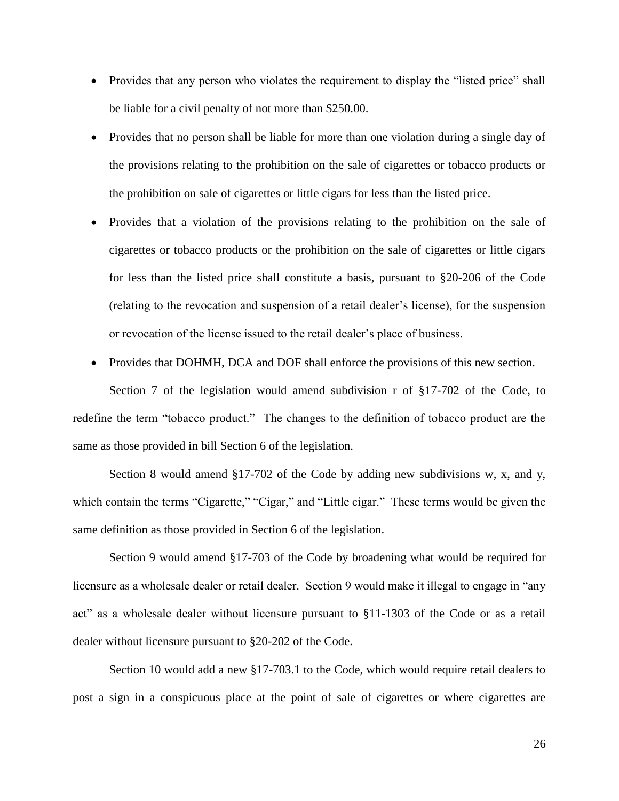- Provides that any person who violates the requirement to display the "listed price" shall be liable for a civil penalty of not more than \$250.00.
- Provides that no person shall be liable for more than one violation during a single day of the provisions relating to the prohibition on the sale of cigarettes or tobacco products or the prohibition on sale of cigarettes or little cigars for less than the listed price.
- Provides that a violation of the provisions relating to the prohibition on the sale of cigarettes or tobacco products or the prohibition on the sale of cigarettes or little cigars for less than the listed price shall constitute a basis, pursuant to §20-206 of the Code (relating to the revocation and suspension of a retail dealer's license), for the suspension or revocation of the license issued to the retail dealer's place of business.
- Provides that DOHMH, DCA and DOF shall enforce the provisions of this new section.

Section 7 of the legislation would amend subdivision r of §17-702 of the Code, to redefine the term "tobacco product." The changes to the definition of tobacco product are the same as those provided in bill Section 6 of the legislation.

Section 8 would amend §17-702 of the Code by adding new subdivisions w, x, and y, which contain the terms "Cigarette," "Cigar," and "Little cigar." These terms would be given the same definition as those provided in Section 6 of the legislation.

Section 9 would amend §17-703 of the Code by broadening what would be required for licensure as a wholesale dealer or retail dealer. Section 9 would make it illegal to engage in "any act" as a wholesale dealer without licensure pursuant to  $$11-1303$  of the Code or as a retail dealer without licensure pursuant to §20-202 of the Code.

Section 10 would add a new §17-703.1 to the Code, which would require retail dealers to post a sign in a conspicuous place at the point of sale of cigarettes or where cigarettes are

26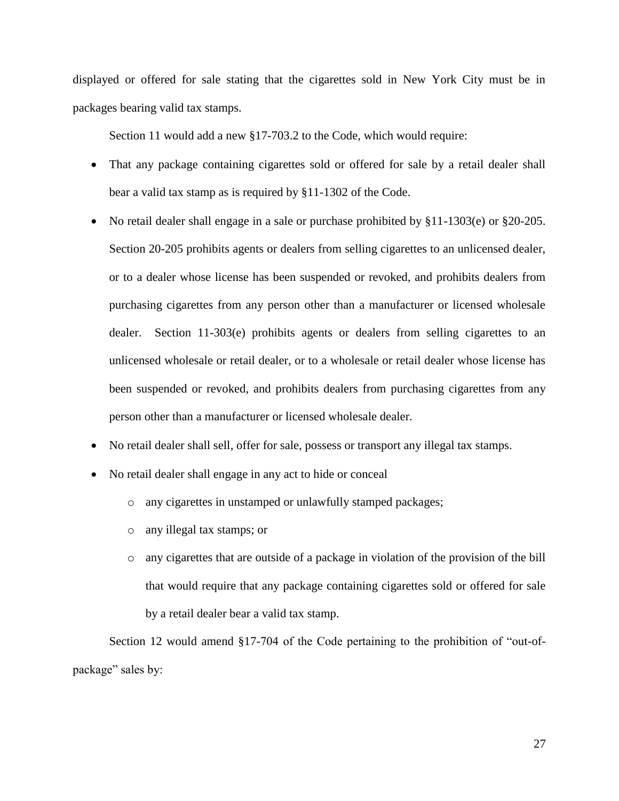displayed or offered for sale stating that the cigarettes sold in New York City must be in packages bearing valid tax stamps.

Section 11 would add a new §17-703.2 to the Code, which would require:

- That any package containing cigarettes sold or offered for sale by a retail dealer shall bear a valid tax stamp as is required by §11-1302 of the Code.
- No retail dealer shall engage in a sale or purchase prohibited by §11-1303(e) or §20-205. Section 20-205 prohibits agents or dealers from selling cigarettes to an unlicensed dealer, or to a dealer whose license has been suspended or revoked, and prohibits dealers from purchasing cigarettes from any person other than a manufacturer or licensed wholesale dealer. Section 11-303(e) prohibits agents or dealers from selling cigarettes to an unlicensed wholesale or retail dealer, or to a wholesale or retail dealer whose license has been suspended or revoked, and prohibits dealers from purchasing cigarettes from any person other than a manufacturer or licensed wholesale dealer.
- No retail dealer shall sell, offer for sale, possess or transport any illegal tax stamps.
- No retail dealer shall engage in any act to hide or conceal
	- o any cigarettes in unstamped or unlawfully stamped packages;
	- o any illegal tax stamps; or
	- o any cigarettes that are outside of a package in violation of the provision of the bill that would require that any package containing cigarettes sold or offered for sale by a retail dealer bear a valid tax stamp.

Section 12 would amend §17-704 of the Code pertaining to the prohibition of "out-ofpackage" sales by: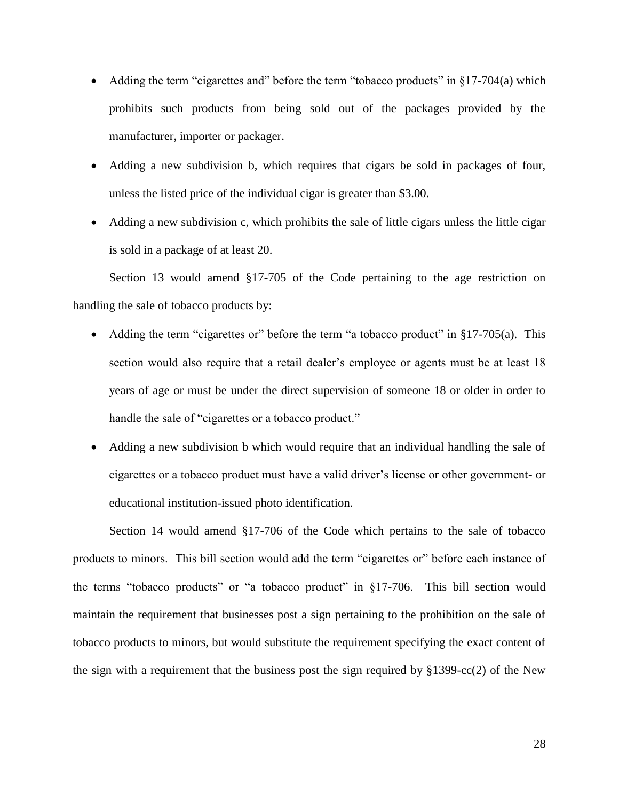- Adding the term "cigarettes and" before the term "tobacco products" in  $\S 17-704(a)$  which prohibits such products from being sold out of the packages provided by the manufacturer, importer or packager.
- Adding a new subdivision b, which requires that cigars be sold in packages of four, unless the listed price of the individual cigar is greater than \$3.00.
- Adding a new subdivision c, which prohibits the sale of little cigars unless the little cigar is sold in a package of at least 20.

Section 13 would amend §17-705 of the Code pertaining to the age restriction on handling the sale of tobacco products by:

- Adding the term "cigarettes or" before the term "a tobacco product" in  $\S 17-705(a)$ . This section would also require that a retail dealer's employee or agents must be at least 18 years of age or must be under the direct supervision of someone 18 or older in order to handle the sale of "cigarettes or a tobacco product."
- Adding a new subdivision b which would require that an individual handling the sale of cigarettes or a tobacco product must have a valid driver's license or other government- or educational institution-issued photo identification.

Section 14 would amend §17-706 of the Code which pertains to the sale of tobacco products to minors. This bill section would add the term "cigarettes or" before each instance of the terms "tobacco products" or "a tobacco product" in §17-706. This bill section would maintain the requirement that businesses post a sign pertaining to the prohibition on the sale of tobacco products to minors, but would substitute the requirement specifying the exact content of the sign with a requirement that the business post the sign required by  $\S 1399 - cc(2)$  of the New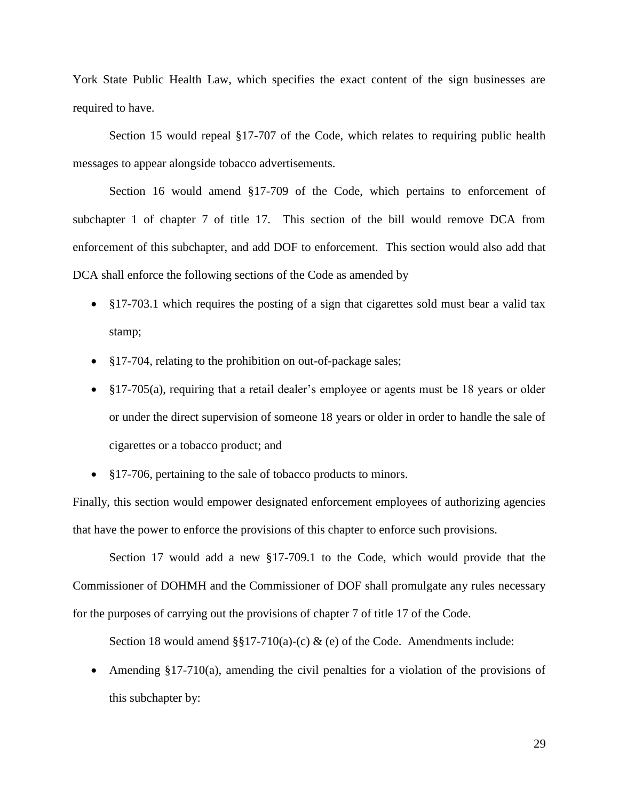York State Public Health Law, which specifies the exact content of the sign businesses are required to have.

Section 15 would repeal §17-707 of the Code, which relates to requiring public health messages to appear alongside tobacco advertisements.

Section 16 would amend §17-709 of the Code, which pertains to enforcement of subchapter 1 of chapter 7 of title 17. This section of the bill would remove DCA from enforcement of this subchapter, and add DOF to enforcement. This section would also add that DCA shall enforce the following sections of the Code as amended by

- §17-703.1 which requires the posting of a sign that cigarettes sold must bear a valid tax stamp;
- §17-704, relating to the prohibition on out-of-package sales;
- §17-705(a), requiring that a retail dealer's employee or agents must be 18 years or older or under the direct supervision of someone 18 years or older in order to handle the sale of cigarettes or a tobacco product; and
- $$17-706$ , pertaining to the sale of tobacco products to minors.

Finally, this section would empower designated enforcement employees of authorizing agencies that have the power to enforce the provisions of this chapter to enforce such provisions.

Section 17 would add a new §17-709.1 to the Code, which would provide that the Commissioner of DOHMH and the Commissioner of DOF shall promulgate any rules necessary for the purposes of carrying out the provisions of chapter 7 of title 17 of the Code.

Section 18 would amend  $\S$ §17-710(a)-(c) & (e) of the Code. Amendments include:

• Amending  $\S17-710(a)$ , amending the civil penalties for a violation of the provisions of this subchapter by: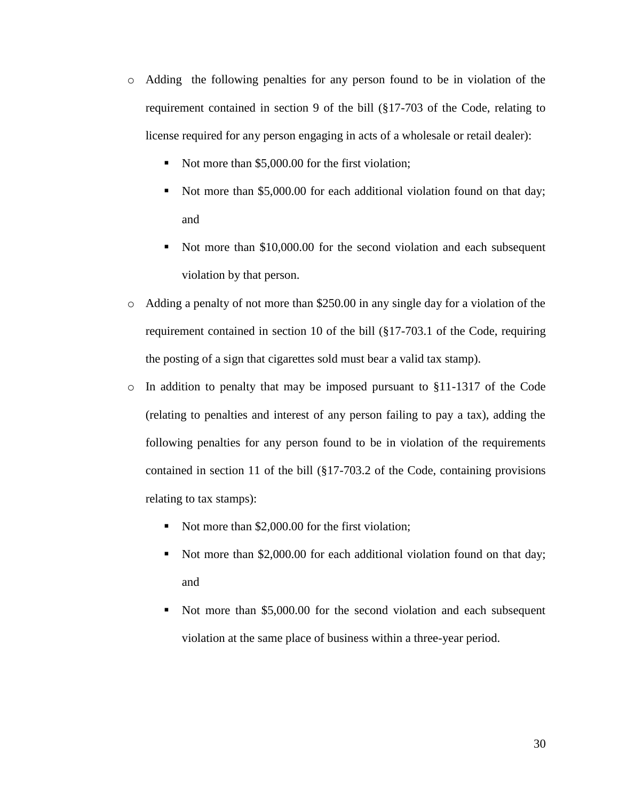- o Adding the following penalties for any person found to be in violation of the requirement contained in section 9 of the bill (§17-703 of the Code, relating to license required for any person engaging in acts of a wholesale or retail dealer):
	- Not more than \$5,000.00 for the first violation;
	- Not more than \$5,000.00 for each additional violation found on that day; and
	- Not more than \$10,000.00 for the second violation and each subsequent violation by that person.
- o Adding a penalty of not more than \$250.00 in any single day for a violation of the requirement contained in section 10 of the bill (§17-703.1 of the Code, requiring the posting of a sign that cigarettes sold must bear a valid tax stamp).
- $\circ$  In addition to penalty that may be imposed pursuant to §11-1317 of the Code (relating to penalties and interest of any person failing to pay a tax), adding the following penalties for any person found to be in violation of the requirements contained in section 11 of the bill (§17-703.2 of the Code, containing provisions relating to tax stamps):
	- Not more than \$2,000.00 for the first violation;
	- Not more than \$2,000.00 for each additional violation found on that day; and
	- Not more than \$5,000.00 for the second violation and each subsequent violation at the same place of business within a three-year period.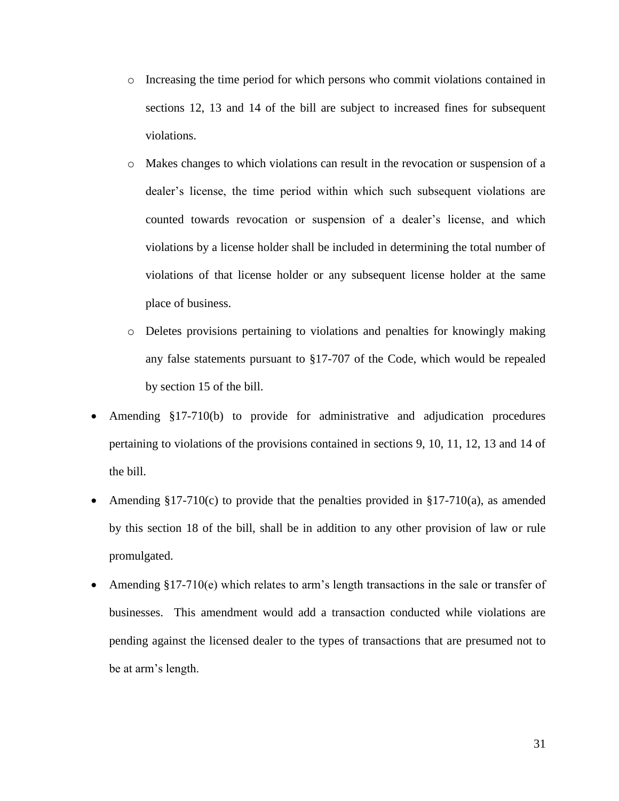- o Increasing the time period for which persons who commit violations contained in sections 12, 13 and 14 of the bill are subject to increased fines for subsequent violations.
- o Makes changes to which violations can result in the revocation or suspension of a dealer's license, the time period within which such subsequent violations are counted towards revocation or suspension of a dealer's license, and which violations by a license holder shall be included in determining the total number of violations of that license holder or any subsequent license holder at the same place of business.
- o Deletes provisions pertaining to violations and penalties for knowingly making any false statements pursuant to §17-707 of the Code, which would be repealed by section 15 of the bill.
- Amending §17-710(b) to provide for administrative and adjudication procedures pertaining to violations of the provisions contained in sections 9, 10, 11, 12, 13 and 14 of the bill.
- Amending  $$17-710(c)$  to provide that the penalties provided in  $$17-710(a)$ , as amended by this section 18 of the bill, shall be in addition to any other provision of law or rule promulgated.
- Amending §17-710(e) which relates to arm's length transactions in the sale or transfer of businesses. This amendment would add a transaction conducted while violations are pending against the licensed dealer to the types of transactions that are presumed not to be at arm's length.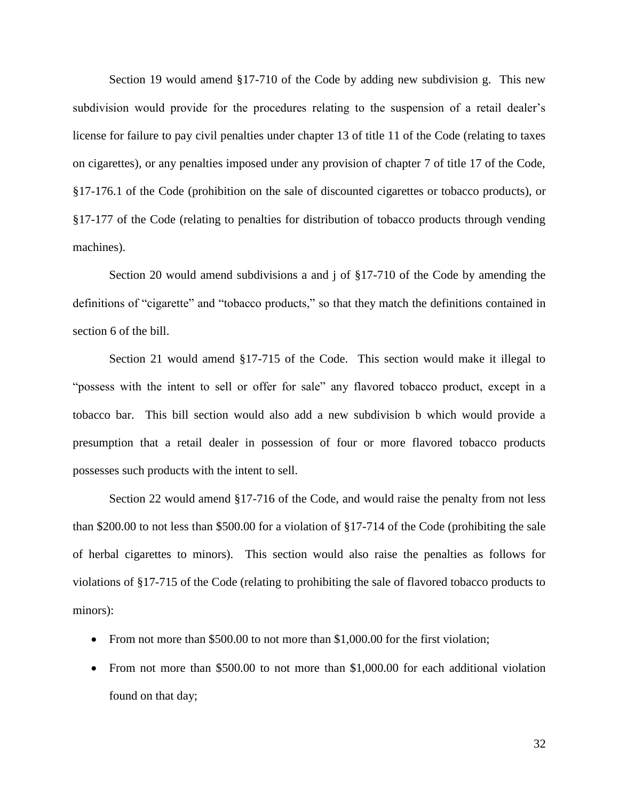Section 19 would amend §17-710 of the Code by adding new subdivision g. This new subdivision would provide for the procedures relating to the suspension of a retail dealer's license for failure to pay civil penalties under chapter 13 of title 11 of the Code (relating to taxes on cigarettes), or any penalties imposed under any provision of chapter 7 of title 17 of the Code, §17-176.1 of the Code (prohibition on the sale of discounted cigarettes or tobacco products), or §17-177 of the Code (relating to penalties for distribution of tobacco products through vending machines).

Section 20 would amend subdivisions a and j of §17-710 of the Code by amending the definitions of "cigarette" and "tobacco products," so that they match the definitions contained in section 6 of the bill.

Section 21 would amend §17-715 of the Code. This section would make it illegal to "possess with the intent to sell or offer for sale" any flavored tobacco product, except in a tobacco bar. This bill section would also add a new subdivision b which would provide a presumption that a retail dealer in possession of four or more flavored tobacco products possesses such products with the intent to sell.

Section 22 would amend §17-716 of the Code, and would raise the penalty from not less than \$200.00 to not less than \$500.00 for a violation of §17-714 of the Code (prohibiting the sale of herbal cigarettes to minors). This section would also raise the penalties as follows for violations of §17-715 of the Code (relating to prohibiting the sale of flavored tobacco products to minors):

- From not more than \$500.00 to not more than \$1,000.00 for the first violation;
- From not more than \$500.00 to not more than \$1,000.00 for each additional violation found on that day;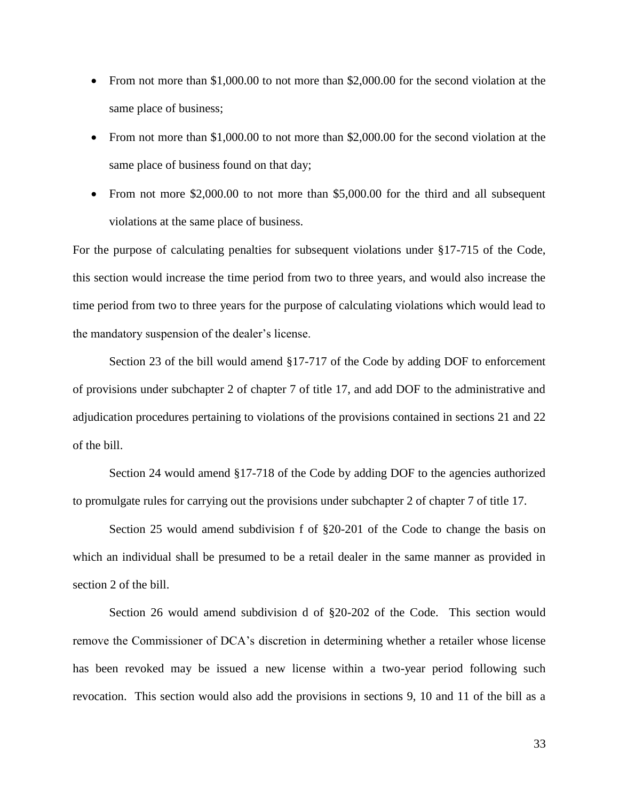- From not more than \$1,000.00 to not more than \$2,000.00 for the second violation at the same place of business;
- From not more than \$1,000.00 to not more than \$2,000.00 for the second violation at the same place of business found on that day;
- From not more \$2,000.00 to not more than \$5,000.00 for the third and all subsequent violations at the same place of business.

For the purpose of calculating penalties for subsequent violations under §17-715 of the Code, this section would increase the time period from two to three years, and would also increase the time period from two to three years for the purpose of calculating violations which would lead to the mandatory suspension of the dealer's license.

Section 23 of the bill would amend §17-717 of the Code by adding DOF to enforcement of provisions under subchapter 2 of chapter 7 of title 17, and add DOF to the administrative and adjudication procedures pertaining to violations of the provisions contained in sections 21 and 22 of the bill.

Section 24 would amend §17-718 of the Code by adding DOF to the agencies authorized to promulgate rules for carrying out the provisions under subchapter 2 of chapter 7 of title 17.

Section 25 would amend subdivision f of §20-201 of the Code to change the basis on which an individual shall be presumed to be a retail dealer in the same manner as provided in section 2 of the bill.

Section 26 would amend subdivision d of §20-202 of the Code. This section would remove the Commissioner of DCA's discretion in determining whether a retailer whose license has been revoked may be issued a new license within a two-year period following such revocation. This section would also add the provisions in sections 9, 10 and 11 of the bill as a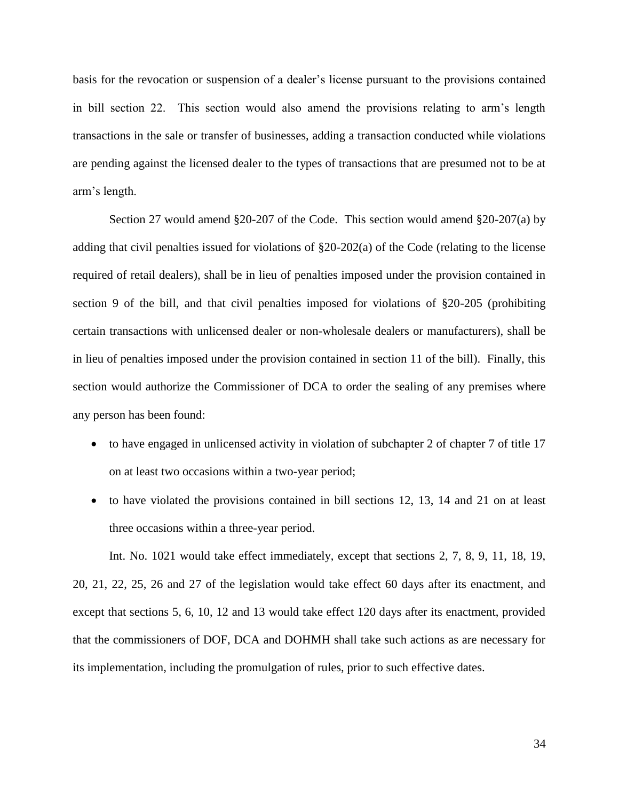basis for the revocation or suspension of a dealer's license pursuant to the provisions contained in bill section 22. This section would also amend the provisions relating to arm's length transactions in the sale or transfer of businesses, adding a transaction conducted while violations are pending against the licensed dealer to the types of transactions that are presumed not to be at arm's length.

Section 27 would amend §20-207 of the Code. This section would amend §20-207(a) by adding that civil penalties issued for violations of §20-202(a) of the Code (relating to the license required of retail dealers), shall be in lieu of penalties imposed under the provision contained in section 9 of the bill, and that civil penalties imposed for violations of §20-205 (prohibiting certain transactions with unlicensed dealer or non-wholesale dealers or manufacturers), shall be in lieu of penalties imposed under the provision contained in section 11 of the bill). Finally, this section would authorize the Commissioner of DCA to order the sealing of any premises where any person has been found:

- to have engaged in unlicensed activity in violation of subchapter 2 of chapter 7 of title 17 on at least two occasions within a two-year period;
- to have violated the provisions contained in bill sections 12, 13, 14 and 21 on at least three occasions within a three-year period.

Int. No. 1021 would take effect immediately, except that sections 2, 7, 8, 9, 11, 18, 19, 20, 21, 22, 25, 26 and 27 of the legislation would take effect 60 days after its enactment, and except that sections 5, 6, 10, 12 and 13 would take effect 120 days after its enactment, provided that the commissioners of DOF, DCA and DOHMH shall take such actions as are necessary for its implementation, including the promulgation of rules, prior to such effective dates.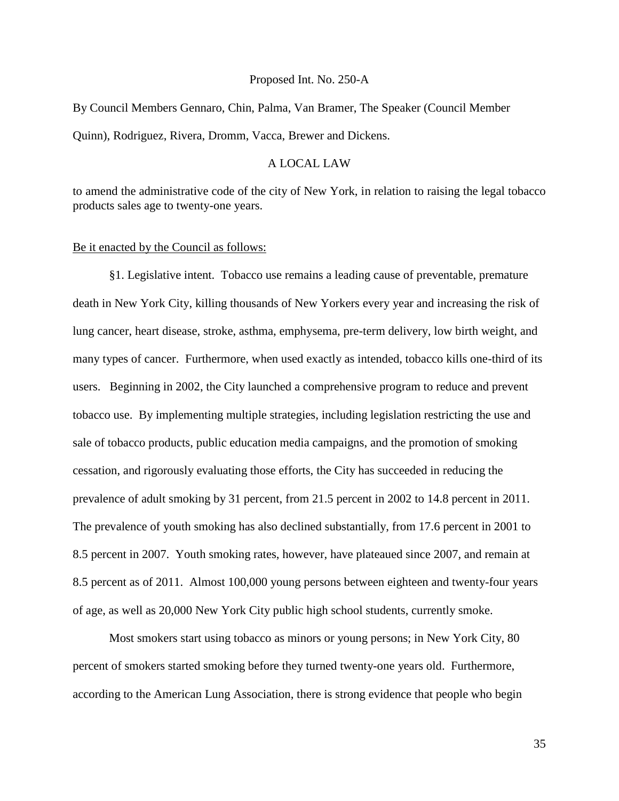#### Proposed Int. No. 250-A

By Council Members Gennaro, Chin, Palma, Van Bramer, The Speaker (Council Member Quinn), Rodriguez, Rivera, Dromm, Vacca, Brewer and Dickens.

## A LOCAL LAW

to amend the administrative code of the city of New York, in relation to raising the legal tobacco products sales age to twenty-one years.

#### Be it enacted by the Council as follows:

§1. Legislative intent. Tobacco use remains a leading cause of preventable, premature death in New York City, killing thousands of New Yorkers every year and increasing the risk of lung cancer, heart disease, stroke, asthma, emphysema, pre-term delivery, low birth weight, and many types of cancer. Furthermore, when used exactly as intended, tobacco kills one-third of its users. Beginning in 2002, the City launched a comprehensive program to reduce and prevent tobacco use. By implementing multiple strategies, including legislation restricting the use and sale of tobacco products, public education media campaigns, and the promotion of smoking cessation, and rigorously evaluating those efforts, the City has succeeded in reducing the prevalence of adult smoking by 31 percent, from 21.5 percent in 2002 to 14.8 percent in 2011. The prevalence of youth smoking has also declined substantially, from 17.6 percent in 2001 to 8.5 percent in 2007. Youth smoking rates, however, have plateaued since 2007, and remain at 8.5 percent as of 2011. Almost 100,000 young persons between eighteen and twenty-four years of age, as well as 20,000 New York City public high school students, currently smoke.

Most smokers start using tobacco as minors or young persons; in New York City, 80 percent of smokers started smoking before they turned twenty-one years old. Furthermore, according to the American Lung Association, there is strong evidence that people who begin

35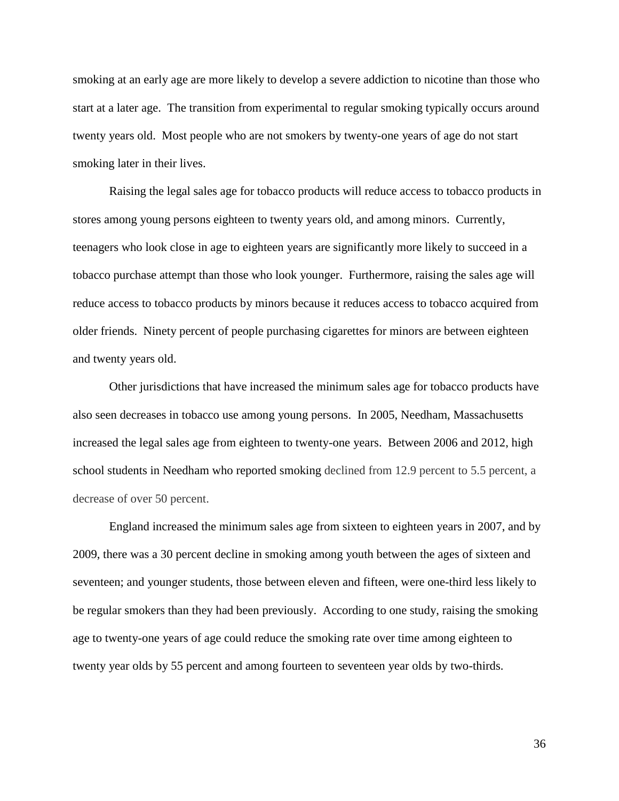smoking at an early age are more likely to develop a severe addiction to nicotine than those who start at a later age. The transition from experimental to regular smoking typically occurs around twenty years old. Most people who are not smokers by twenty-one years of age do not start smoking later in their lives.

Raising the legal sales age for tobacco products will reduce access to tobacco products in stores among young persons eighteen to twenty years old, and among minors. Currently, teenagers who look close in age to eighteen years are significantly more likely to succeed in a tobacco purchase attempt than those who look younger. Furthermore, raising the sales age will reduce access to tobacco products by minors because it reduces access to tobacco acquired from older friends. Ninety percent of people purchasing cigarettes for minors are between eighteen and twenty years old.

Other jurisdictions that have increased the minimum sales age for tobacco products have also seen decreases in tobacco use among young persons. In 2005, Needham, Massachusetts increased the legal sales age from eighteen to twenty-one years. Between 2006 and 2012, high school students in Needham who reported smoking declined from 12.9 percent to 5.5 percent, a decrease of over 50 percent.

England increased the minimum sales age from sixteen to eighteen years in 2007, and by 2009, there was a 30 percent decline in smoking among youth between the ages of sixteen and seventeen; and younger students, those between eleven and fifteen, were one-third less likely to be regular smokers than they had been previously. According to one study, raising the smoking age to twenty-one years of age could reduce the smoking rate over time among eighteen to twenty year olds by 55 percent and among fourteen to seventeen year olds by two-thirds.

36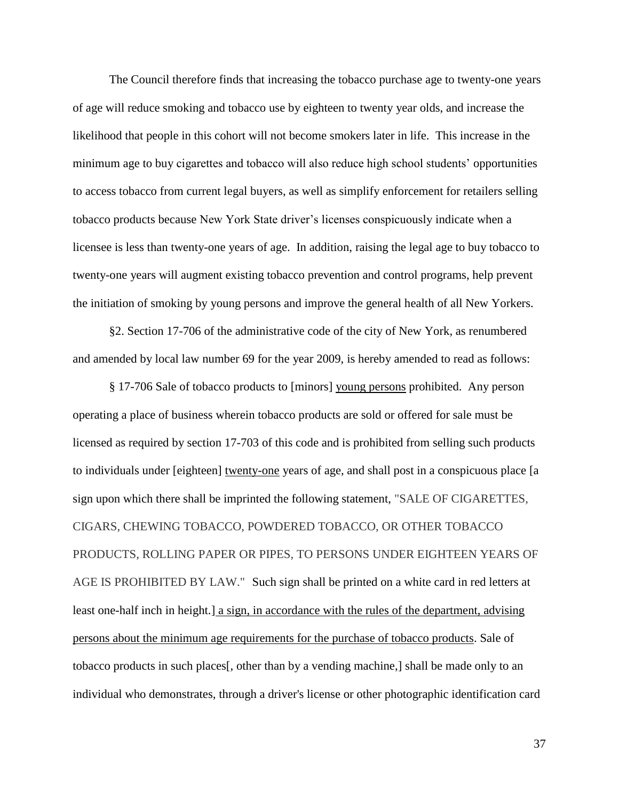The Council therefore finds that increasing the tobacco purchase age to twenty-one years of age will reduce smoking and tobacco use by eighteen to twenty year olds, and increase the likelihood that people in this cohort will not become smokers later in life. This increase in the minimum age to buy cigarettes and tobacco will also reduce high school students' opportunities to access tobacco from current legal buyers, as well as simplify enforcement for retailers selling tobacco products because New York State driver's licenses conspicuously indicate when a licensee is less than twenty-one years of age. In addition, raising the legal age to buy tobacco to twenty-one years will augment existing tobacco prevention and control programs, help prevent the initiation of smoking by young persons and improve the general health of all New Yorkers.

§2. Section 17-706 of the administrative code of the city of New York, as renumbered and amended by local law number 69 for the year 2009, is hereby amended to read as follows:

§ 17-706 Sale of tobacco products to [minors] young persons prohibited. Any person operating a place of business wherein tobacco products are sold or offered for sale must be licensed as required by section 17-703 of this code and is prohibited from selling such products to individuals under [eighteen] twenty-one years of age, and shall post in a conspicuous place [a sign upon which there shall be imprinted the following statement, "SALE OF CIGARETTES, CIGARS, CHEWING TOBACCO, POWDERED TOBACCO, OR OTHER TOBACCO PRODUCTS, ROLLING PAPER OR PIPES, TO PERSONS UNDER EIGHTEEN YEARS OF AGE IS PROHIBITED BY LAW." Such sign shall be printed on a white card in red letters at least one-half inch in height.] a sign, in accordance with the rules of the department, advising persons about the minimum age requirements for the purchase of tobacco products. Sale of tobacco products in such places[, other than by a vending machine,] shall be made only to an individual who demonstrates, through a driver's license or other photographic identification card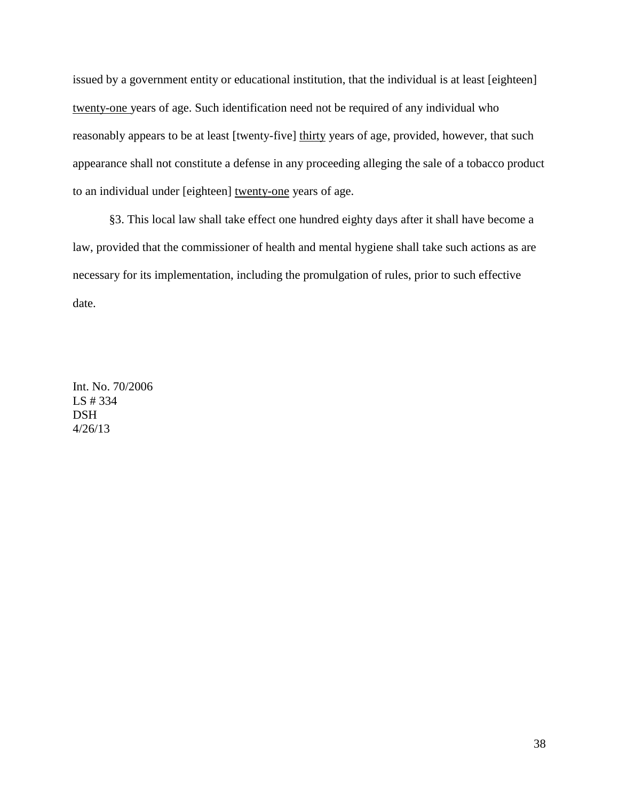issued by a government entity or educational institution, that the individual is at least [eighteen] twenty-one years of age. Such identification need not be required of any individual who reasonably appears to be at least [twenty-five] thirty years of age, provided, however, that such appearance shall not constitute a defense in any proceeding alleging the sale of a tobacco product to an individual under [eighteen] twenty-one years of age.

§3. This local law shall take effect one hundred eighty days after it shall have become a law, provided that the commissioner of health and mental hygiene shall take such actions as are necessary for its implementation, including the promulgation of rules, prior to such effective date.

Int. No. 70/2006 LS # 334 **DSH** 4/26/13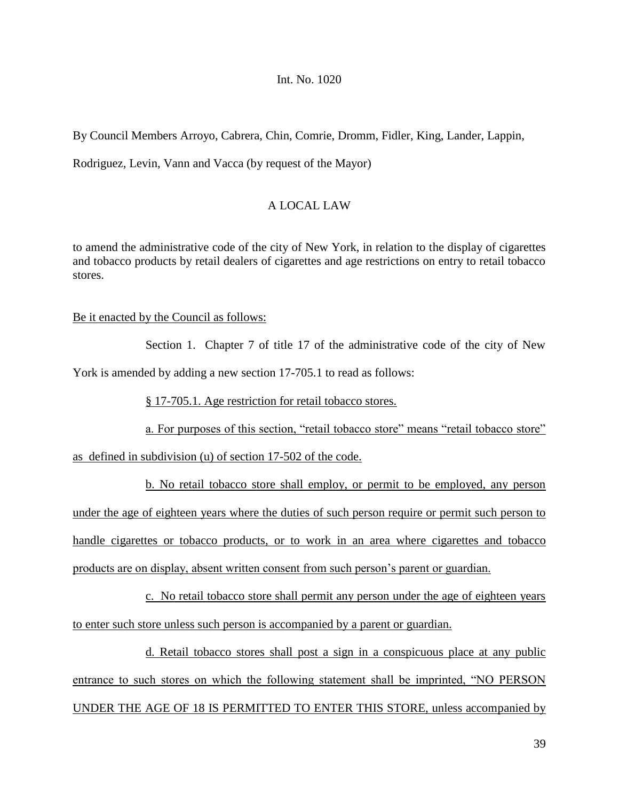# Int. No. 1020

By Council Members Arroyo, Cabrera, Chin, Comrie, Dromm, Fidler, King, Lander, Lappin, Rodriguez, Levin, Vann and Vacca (by request of the Mayor)

# A LOCAL LAW

to amend the administrative code of the city of New York, in relation to the display of cigarettes and tobacco products by retail dealers of cigarettes and age restrictions on entry to retail tobacco stores.

### Be it enacted by the Council as follows:

Section 1. Chapter 7 of title 17 of the administrative code of the city of New York is amended by adding a new section 17-705.1 to read as follows:

§ 17-705.1. Age restriction for retail tobacco stores.

a. For purposes of this section, "retail tobacco store" means "retail tobacco store"

as defined in subdivision (u) of section 17-502 of the code.

b. No retail tobacco store shall employ, or permit to be employed, any person under the age of eighteen years where the duties of such person require or permit such person to handle cigarettes or tobacco products, or to work in an area where cigarettes and tobacco products are on display, absent written consent from such person's parent or guardian.

c. No retail tobacco store shall permit any person under the age of eighteen years to enter such store unless such person is accompanied by a parent or guardian.

d. Retail tobacco stores shall post a sign in a conspicuous place at any public entrance to such stores on which the following statement shall be imprinted, "NO PERSON UNDER THE AGE OF 18 IS PERMITTED TO ENTER THIS STORE, unless accompanied by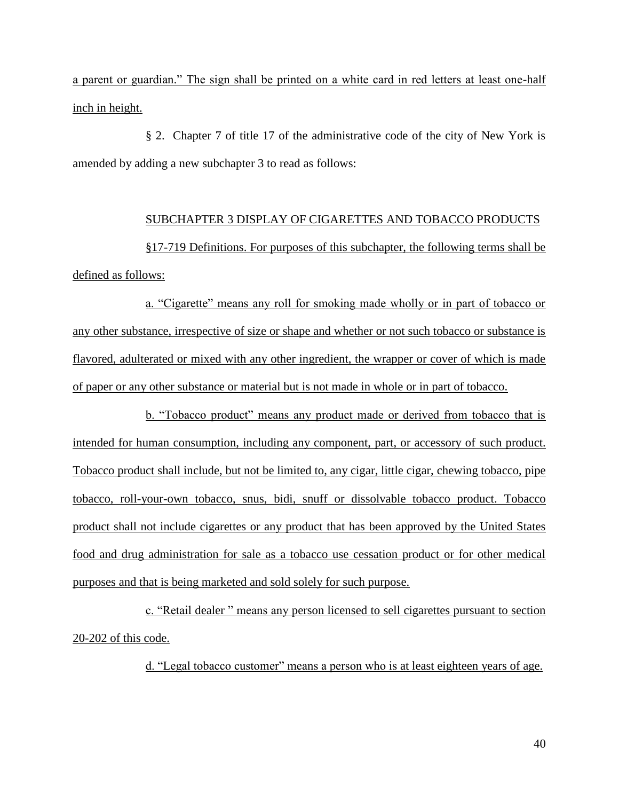a parent or guardian." The sign shall be printed on a white card in red letters at least one-half inch in height.

§ 2. Chapter 7 of title 17 of the administrative code of the city of New York is amended by adding a new subchapter 3 to read as follows:

# SUBCHAPTER 3 DISPLAY OF CIGARETTES AND TOBACCO PRODUCTS

§17-719 Definitions. For purposes of this subchapter, the following terms shall be defined as follows:

a. "Cigarette" means any roll for smoking made wholly or in part of tobacco or any other substance, irrespective of size or shape and whether or not such tobacco or substance is flavored, adulterated or mixed with any other ingredient, the wrapper or cover of which is made of paper or any other substance or material but is not made in whole or in part of tobacco.

b. "Tobacco product" means any product made or derived from tobacco that is intended for human consumption, including any component, part, or accessory of such product. Tobacco product shall include, but not be limited to, any cigar, little cigar, chewing tobacco, pipe tobacco, roll-your-own tobacco, snus, bidi, snuff or dissolvable tobacco product. Tobacco product shall not include cigarettes or any product that has been approved by the United States food and drug administration for sale as a tobacco use cessation product or for other medical purposes and that is being marketed and sold solely for such purpose.

c. "Retail dealer" means any person licensed to sell cigarettes pursuant to section 20-202 of this code.

d. "Legal tobacco customer" means a person who is at least eighteen years of age.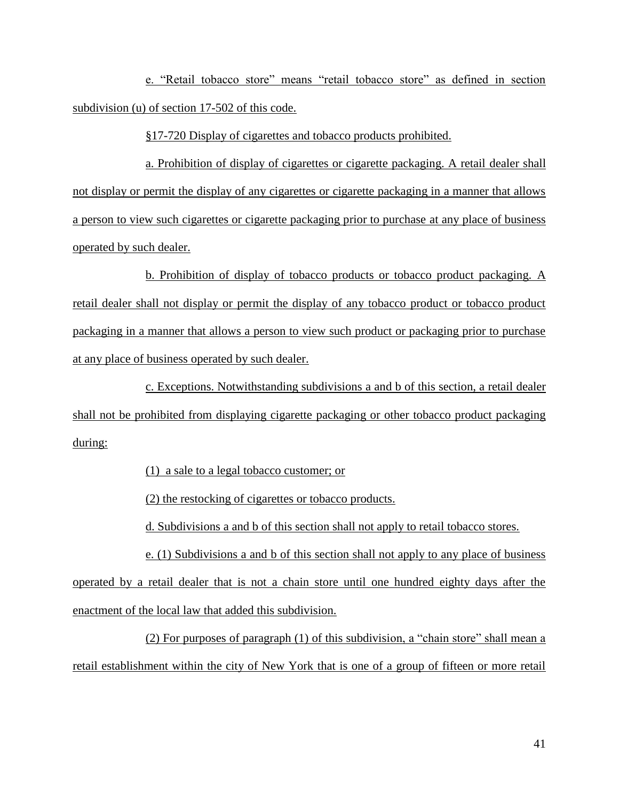e. "Retail tobacco store" means "retail tobacco store" as defined in section subdivision (u) of section 17-502 of this code.

§17-720 Display of cigarettes and tobacco products prohibited.

a. Prohibition of display of cigarettes or cigarette packaging. A retail dealer shall not display or permit the display of any cigarettes or cigarette packaging in a manner that allows a person to view such cigarettes or cigarette packaging prior to purchase at any place of business operated by such dealer.

b. Prohibition of display of tobacco products or tobacco product packaging. A retail dealer shall not display or permit the display of any tobacco product or tobacco product packaging in a manner that allows a person to view such product or packaging prior to purchase at any place of business operated by such dealer.

c. Exceptions. Notwithstanding subdivisions a and b of this section, a retail dealer shall not be prohibited from displaying cigarette packaging or other tobacco product packaging during:

(1) a sale to a legal tobacco customer; or

(2) the restocking of cigarettes or tobacco products.

d. Subdivisions a and b of this section shall not apply to retail tobacco stores.

e. (1) Subdivisions a and b of this section shall not apply to any place of business operated by a retail dealer that is not a chain store until one hundred eighty days after the enactment of the local law that added this subdivision.

 $(2)$  For purposes of paragraph  $(1)$  of this subdivision, a "chain store" shall mean a retail establishment within the city of New York that is one of a group of fifteen or more retail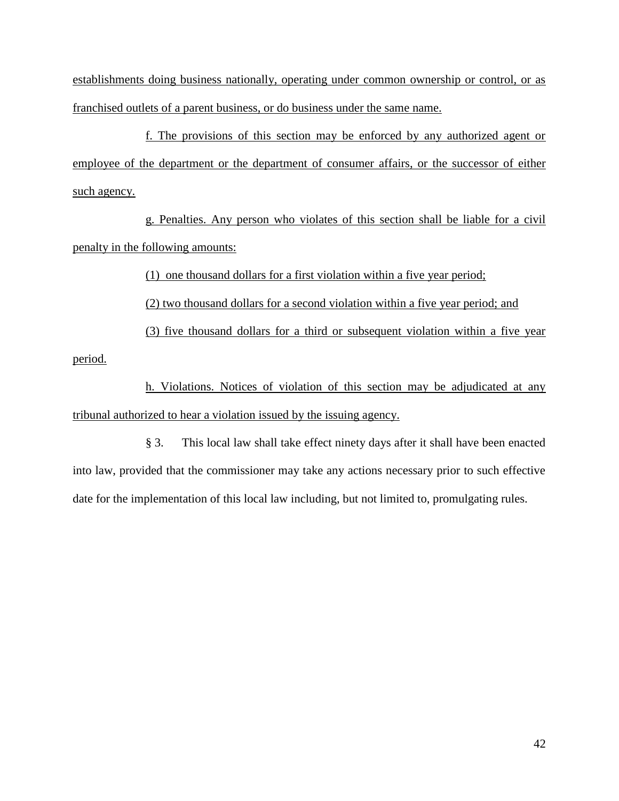establishments doing business nationally, operating under common ownership or control, or as franchised outlets of a parent business, or do business under the same name.

f. The provisions of this section may be enforced by any authorized agent or employee of the department or the department of consumer affairs, or the successor of either such agency.

g. Penalties. Any person who violates of this section shall be liable for a civil penalty in the following amounts:

(1) one thousand dollars for a first violation within a five year period;

(2) two thousand dollars for a second violation within a five year period; and

(3) five thousand dollars for a third or subsequent violation within a five year

period.

h. Violations. Notices of violation of this section may be adjudicated at any tribunal authorized to hear a violation issued by the issuing agency.

§ 3. This local law shall take effect ninety days after it shall have been enacted into law, provided that the commissioner may take any actions necessary prior to such effective date for the implementation of this local law including, but not limited to, promulgating rules.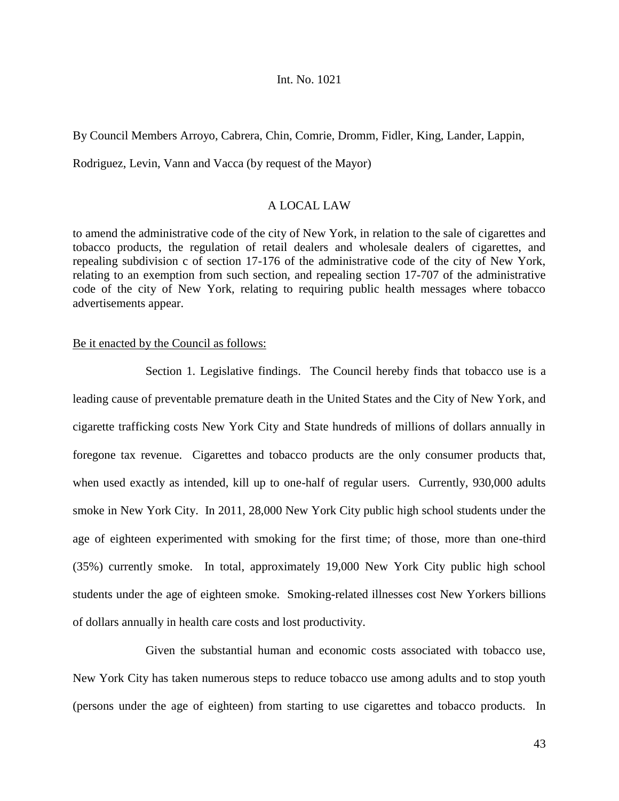#### Int. No. 1021

By Council Members Arroyo, Cabrera, Chin, Comrie, Dromm, Fidler, King, Lander, Lappin,

Rodriguez, Levin, Vann and Vacca (by request of the Mayor)

## A LOCAL LAW

to amend the administrative code of the city of New York, in relation to the sale of cigarettes and tobacco products, the regulation of retail dealers and wholesale dealers of cigarettes, and repealing subdivision c of section 17-176 of the administrative code of the city of New York, relating to an exemption from such section, and repealing section 17-707 of the administrative code of the city of New York, relating to requiring public health messages where tobacco advertisements appear.

### Be it enacted by the Council as follows:

Section 1. Legislative findings. The Council hereby finds that tobacco use is a leading cause of preventable premature death in the United States and the City of New York, and cigarette trafficking costs New York City and State hundreds of millions of dollars annually in foregone tax revenue. Cigarettes and tobacco products are the only consumer products that, when used exactly as intended, kill up to one-half of regular users. Currently, 930,000 adults smoke in New York City. In 2011, 28,000 New York City public high school students under the age of eighteen experimented with smoking for the first time; of those, more than one-third (35%) currently smoke. In total, approximately 19,000 New York City public high school students under the age of eighteen smoke. Smoking-related illnesses cost New Yorkers billions of dollars annually in health care costs and lost productivity.

Given the substantial human and economic costs associated with tobacco use, New York City has taken numerous steps to reduce tobacco use among adults and to stop youth (persons under the age of eighteen) from starting to use cigarettes and tobacco products. In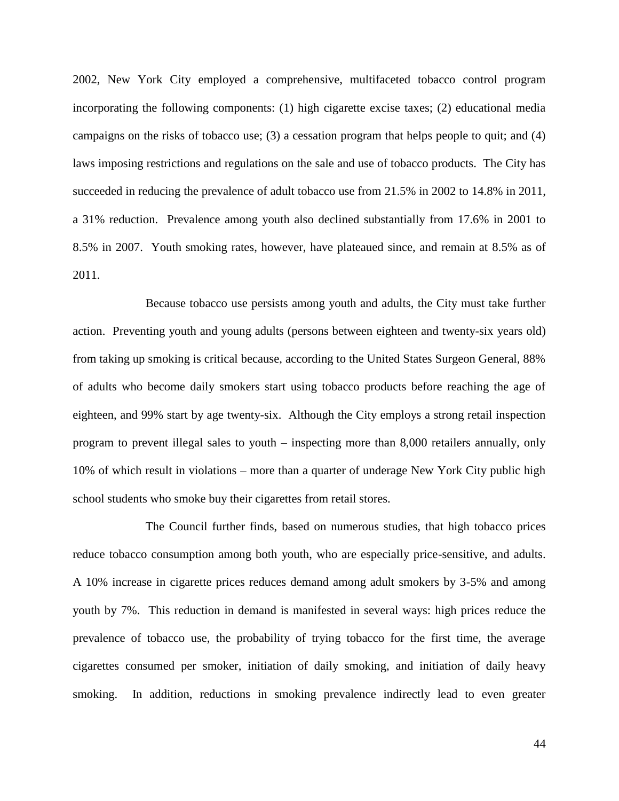2002, New York City employed a comprehensive, multifaceted tobacco control program incorporating the following components: (1) high cigarette excise taxes; (2) educational media campaigns on the risks of tobacco use; (3) a cessation program that helps people to quit; and (4) laws imposing restrictions and regulations on the sale and use of tobacco products. The City has succeeded in reducing the prevalence of adult tobacco use from 21.5% in 2002 to 14.8% in 2011, a 31% reduction. Prevalence among youth also declined substantially from 17.6% in 2001 to 8.5% in 2007. Youth smoking rates, however, have plateaued since, and remain at 8.5% as of 2011.

Because tobacco use persists among youth and adults, the City must take further action. Preventing youth and young adults (persons between eighteen and twenty-six years old) from taking up smoking is critical because, according to the United States Surgeon General, 88% of adults who become daily smokers start using tobacco products before reaching the age of eighteen, and 99% start by age twenty-six. Although the City employs a strong retail inspection program to prevent illegal sales to youth – inspecting more than 8,000 retailers annually, only 10% of which result in violations – more than a quarter of underage New York City public high school students who smoke buy their cigarettes from retail stores.

The Council further finds, based on numerous studies, that high tobacco prices reduce tobacco consumption among both youth, who are especially price-sensitive, and adults. A 10% increase in cigarette prices reduces demand among adult smokers by 3-5% and among youth by 7%. This reduction in demand is manifested in several ways: high prices reduce the prevalence of tobacco use, the probability of trying tobacco for the first time, the average cigarettes consumed per smoker, initiation of daily smoking, and initiation of daily heavy smoking. In addition, reductions in smoking prevalence indirectly lead to even greater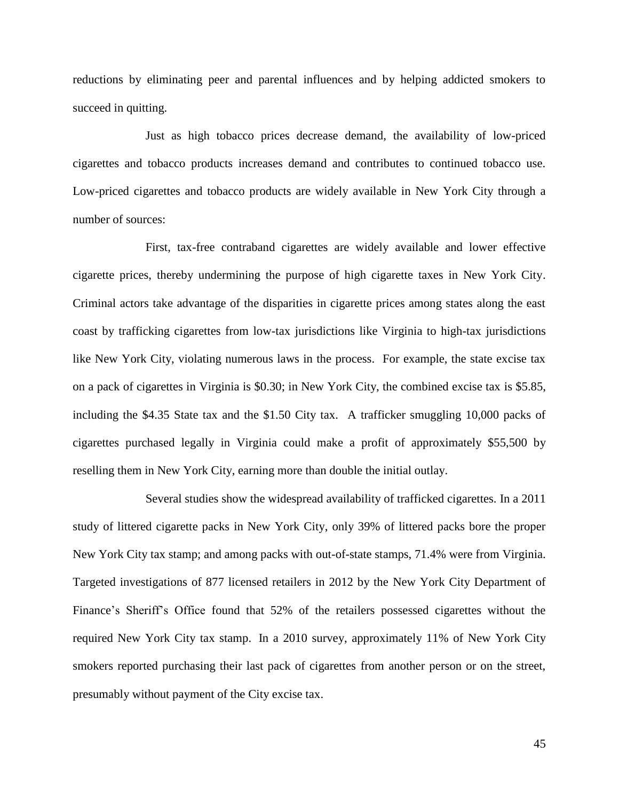reductions by eliminating peer and parental influences and by helping addicted smokers to succeed in quitting.

Just as high tobacco prices decrease demand, the availability of low-priced cigarettes and tobacco products increases demand and contributes to continued tobacco use. Low-priced cigarettes and tobacco products are widely available in New York City through a number of sources:

First, tax-free contraband cigarettes are widely available and lower effective cigarette prices, thereby undermining the purpose of high cigarette taxes in New York City. Criminal actors take advantage of the disparities in cigarette prices among states along the east coast by trafficking cigarettes from low-tax jurisdictions like Virginia to high-tax jurisdictions like New York City, violating numerous laws in the process. For example, the state excise tax on a pack of cigarettes in Virginia is \$0.30; in New York City, the combined excise tax is \$5.85, including the \$4.35 State tax and the \$1.50 City tax. A trafficker smuggling 10,000 packs of cigarettes purchased legally in Virginia could make a profit of approximately \$55,500 by reselling them in New York City, earning more than double the initial outlay.

Several studies show the widespread availability of trafficked cigarettes. In a 2011 study of littered cigarette packs in New York City, only 39% of littered packs bore the proper New York City tax stamp; and among packs with out-of-state stamps, 71.4% were from Virginia. Targeted investigations of 877 licensed retailers in 2012 by the New York City Department of Finance's Sheriff's Office found that 52% of the retailers possessed cigarettes without the required New York City tax stamp. In a 2010 survey, approximately 11% of New York City smokers reported purchasing their last pack of cigarettes from another person or on the street, presumably without payment of the City excise tax.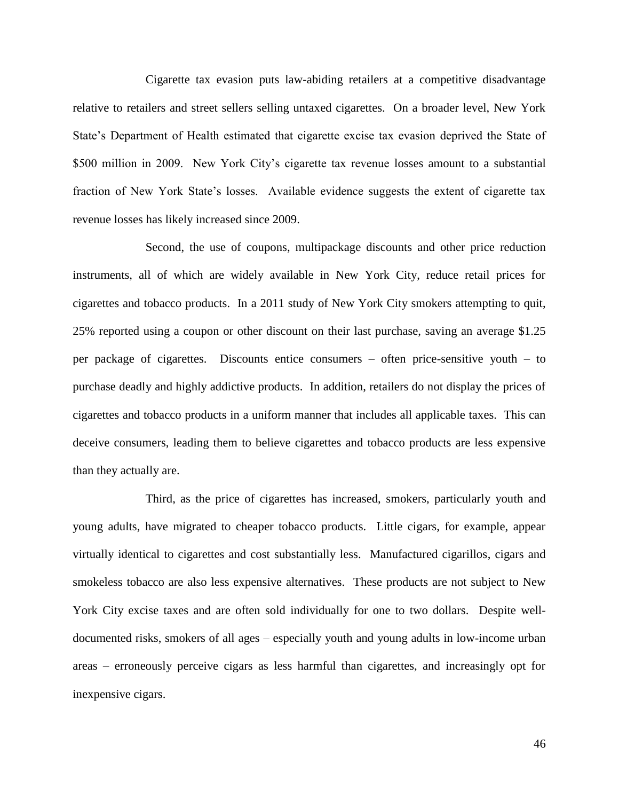Cigarette tax evasion puts law-abiding retailers at a competitive disadvantage relative to retailers and street sellers selling untaxed cigarettes. On a broader level, New York State's Department of Health estimated that cigarette excise tax evasion deprived the State of \$500 million in 2009. New York City's cigarette tax revenue losses amount to a substantial fraction of New York State's losses. Available evidence suggests the extent of cigarette tax revenue losses has likely increased since 2009.

Second, the use of coupons, multipackage discounts and other price reduction instruments, all of which are widely available in New York City, reduce retail prices for cigarettes and tobacco products. In a 2011 study of New York City smokers attempting to quit, 25% reported using a coupon or other discount on their last purchase, saving an average \$1.25 per package of cigarettes. Discounts entice consumers – often price-sensitive youth – to purchase deadly and highly addictive products. In addition, retailers do not display the prices of cigarettes and tobacco products in a uniform manner that includes all applicable taxes. This can deceive consumers, leading them to believe cigarettes and tobacco products are less expensive than they actually are.

Third, as the price of cigarettes has increased, smokers, particularly youth and young adults, have migrated to cheaper tobacco products. Little cigars, for example, appear virtually identical to cigarettes and cost substantially less. Manufactured cigarillos, cigars and smokeless tobacco are also less expensive alternatives. These products are not subject to New York City excise taxes and are often sold individually for one to two dollars. Despite welldocumented risks, smokers of all ages – especially youth and young adults in low-income urban areas – erroneously perceive cigars as less harmful than cigarettes, and increasingly opt for inexpensive cigars.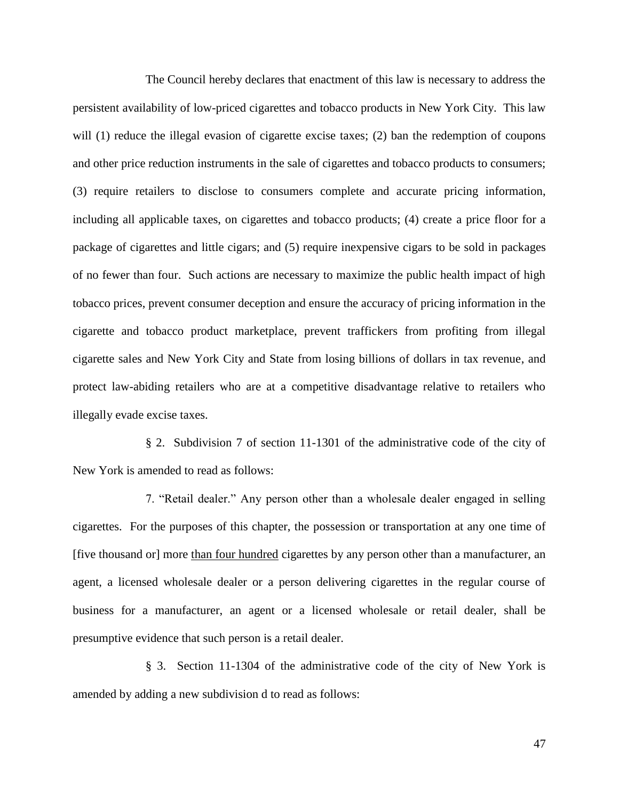The Council hereby declares that enactment of this law is necessary to address the persistent availability of low-priced cigarettes and tobacco products in New York City. This law will (1) reduce the illegal evasion of cigarette excise taxes; (2) ban the redemption of coupons and other price reduction instruments in the sale of cigarettes and tobacco products to consumers; (3) require retailers to disclose to consumers complete and accurate pricing information, including all applicable taxes, on cigarettes and tobacco products; (4) create a price floor for a package of cigarettes and little cigars; and (5) require inexpensive cigars to be sold in packages of no fewer than four. Such actions are necessary to maximize the public health impact of high tobacco prices, prevent consumer deception and ensure the accuracy of pricing information in the cigarette and tobacco product marketplace, prevent traffickers from profiting from illegal cigarette sales and New York City and State from losing billions of dollars in tax revenue, and protect law-abiding retailers who are at a competitive disadvantage relative to retailers who illegally evade excise taxes.

§ 2. Subdivision 7 of section 11-1301 of the administrative code of the city of New York is amended to read as follows:

7. "Retail dealer." Any person other than a wholesale dealer engaged in selling cigarettes. For the purposes of this chapter, the possession or transportation at any one time of [five thousand or] more than four hundred cigarettes by any person other than a manufacturer, an agent, a licensed wholesale dealer or a person delivering cigarettes in the regular course of business for a manufacturer, an agent or a licensed wholesale or retail dealer, shall be presumptive evidence that such person is a retail dealer.

§ 3. Section 11-1304 of the administrative code of the city of New York is amended by adding a new subdivision d to read as follows:

47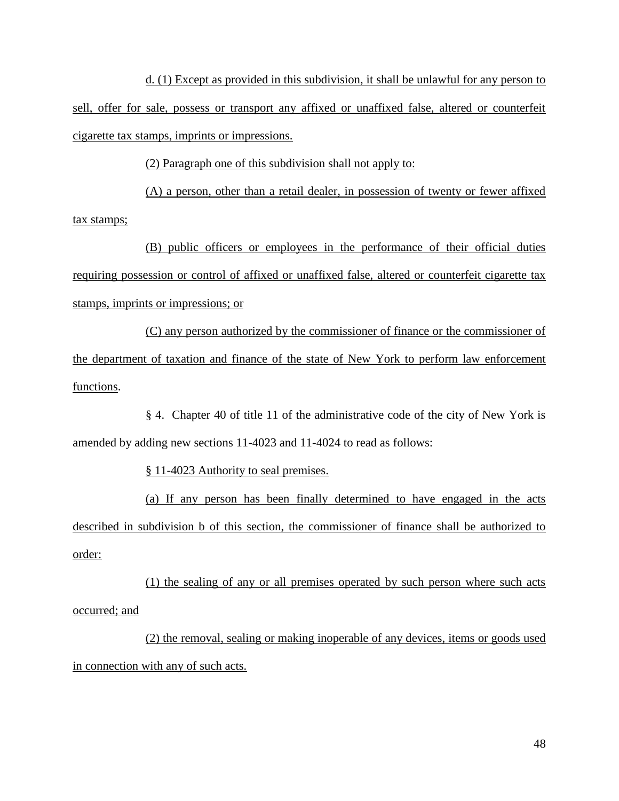d. (1) Except as provided in this subdivision, it shall be unlawful for any person to sell, offer for sale, possess or transport any affixed or unaffixed false, altered or counterfeit cigarette tax stamps, imprints or impressions.

(2) Paragraph one of this subdivision shall not apply to:

(A) a person, other than a retail dealer, in possession of twenty or fewer affixed tax stamps;

(B) public officers or employees in the performance of their official duties requiring possession or control of affixed or unaffixed false, altered or counterfeit cigarette tax stamps, imprints or impressions; or

(C) any person authorized by the commissioner of finance or the commissioner of the department of taxation and finance of the state of New York to perform law enforcement functions.

§ 4. Chapter 40 of title 11 of the administrative code of the city of New York is amended by adding new sections 11-4023 and 11-4024 to read as follows:

§ 11-4023 Authority to seal premises.

(a) If any person has been finally determined to have engaged in the acts described in subdivision b of this section, the commissioner of finance shall be authorized to order:

(1) the sealing of any or all premises operated by such person where such acts occurred; and

(2) the removal, sealing or making inoperable of any devices, items or goods used in connection with any of such acts.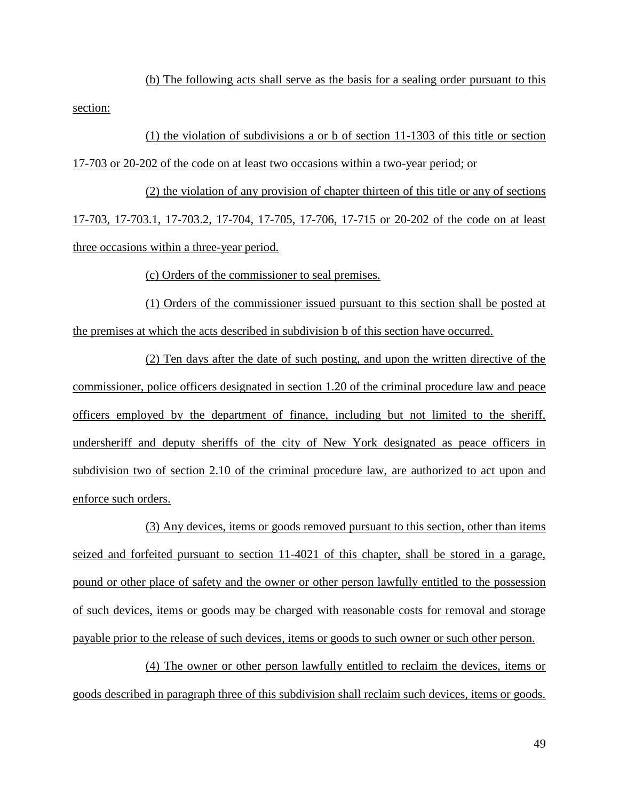(b) The following acts shall serve as the basis for a sealing order pursuant to this section:

(1) the violation of subdivisions a or b of section 11-1303 of this title or section 17-703 or 20-202 of the code on at least two occasions within a two-year period; or

(2) the violation of any provision of chapter thirteen of this title or any of sections 17-703, 17-703.1, 17-703.2, 17-704, 17-705, 17-706, 17-715 or 20-202 of the code on at least three occasions within a three-year period.

(c) Orders of the commissioner to seal premises.

(1) Orders of the commissioner issued pursuant to this section shall be posted at the premises at which the acts described in subdivision b of this section have occurred.

(2) Ten days after the date of such posting, and upon the written directive of the commissioner, police officers designated in section 1.20 of the criminal procedure law and peace officers employed by the department of finance, including but not limited to the sheriff, undersheriff and deputy sheriffs of the city of New York designated as peace officers in subdivision two of section 2.10 of the criminal procedure law, are authorized to act upon and enforce such orders.

(3) Any devices, items or goods removed pursuant to this section, other than items seized and forfeited pursuant to section 11-4021 of this chapter, shall be stored in a garage, pound or other place of safety and the owner or other person lawfully entitled to the possession of such devices, items or goods may be charged with reasonable costs for removal and storage payable prior to the release of such devices, items or goods to such owner or such other person.

(4) The owner or other person lawfully entitled to reclaim the devices, items or goods described in paragraph three of this subdivision shall reclaim such devices, items or goods.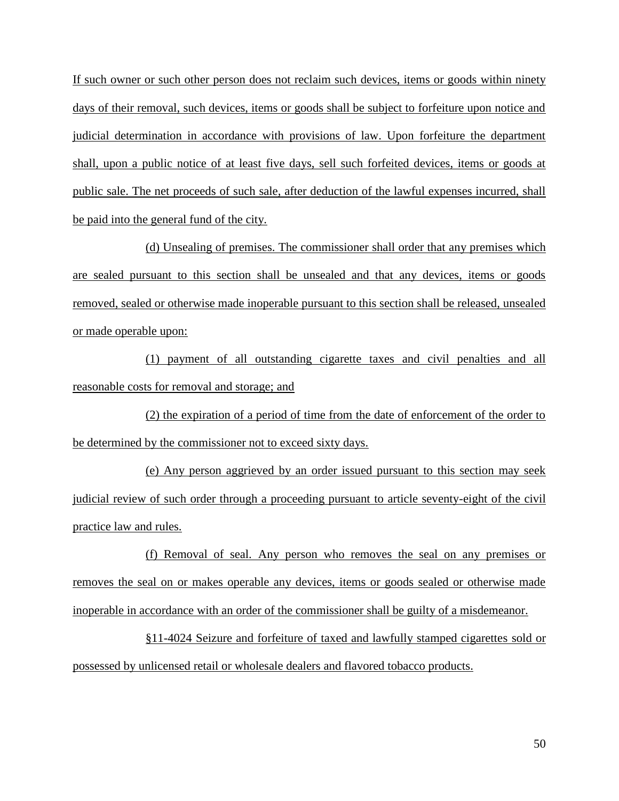If such owner or such other person does not reclaim such devices, items or goods within ninety days of their removal, such devices, items or goods shall be subject to forfeiture upon notice and judicial determination in accordance with provisions of law. Upon forfeiture the department shall, upon a public notice of at least five days, sell such forfeited devices, items or goods at public sale. The net proceeds of such sale, after deduction of the lawful expenses incurred, shall be paid into the general fund of the city.

(d) Unsealing of premises. The commissioner shall order that any premises which are sealed pursuant to this section shall be unsealed and that any devices, items or goods removed, sealed or otherwise made inoperable pursuant to this section shall be released, unsealed or made operable upon:

(1) payment of all outstanding cigarette taxes and civil penalties and all reasonable costs for removal and storage; and

(2) the expiration of a period of time from the date of enforcement of the order to be determined by the commissioner not to exceed sixty days.

(e) Any person aggrieved by an order issued pursuant to this section may seek judicial review of such order through a proceeding pursuant to article seventy-eight of the civil practice law and rules.

(f) Removal of seal. Any person who removes the seal on any premises or removes the seal on or makes operable any devices, items or goods sealed or otherwise made inoperable in accordance with an order of the commissioner shall be guilty of a misdemeanor.

§11-4024 Seizure and forfeiture of taxed and lawfully stamped cigarettes sold or possessed by unlicensed retail or wholesale dealers and flavored tobacco products.

50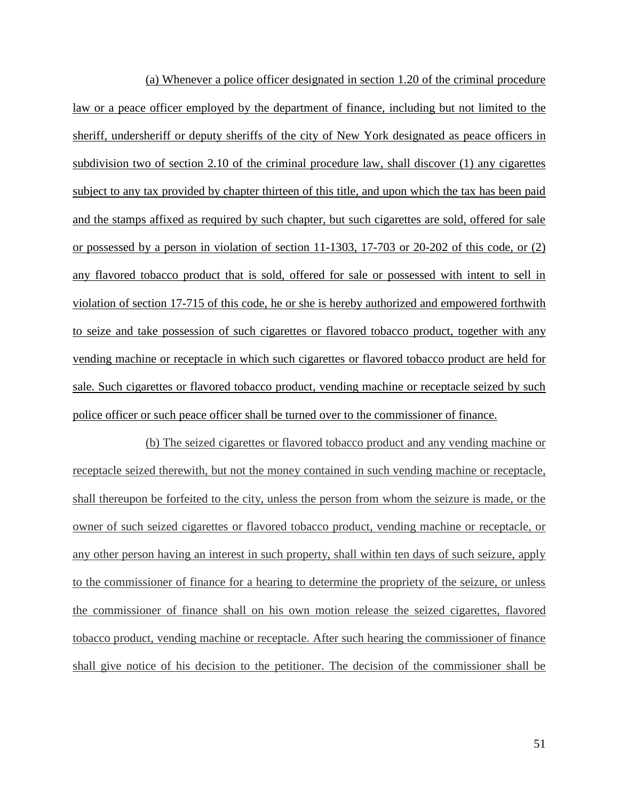(a) Whenever a police officer designated in section 1.20 of the criminal procedure law or a peace officer employed by the department of finance, including but not limited to the sheriff, undersheriff or deputy sheriffs of the city of New York designated as peace officers in subdivision two of section 2.10 of the criminal procedure law, shall discover (1) any cigarettes subject to any tax provided by chapter thirteen of this title, and upon which the tax has been paid and the stamps affixed as required by such chapter, but such cigarettes are sold, offered for sale or possessed by a person in violation of section 11-1303, 17-703 or 20-202 of this code, or (2) any flavored tobacco product that is sold, offered for sale or possessed with intent to sell in violation of section 17-715 of this code, he or she is hereby authorized and empowered forthwith to seize and take possession of such cigarettes or flavored tobacco product, together with any vending machine or receptacle in which such cigarettes or flavored tobacco product are held for sale. Such cigarettes or flavored tobacco product, vending machine or receptacle seized by such police officer or such peace officer shall be turned over to the commissioner of finance.

(b) The seized cigarettes or flavored tobacco product and any vending machine or receptacle seized therewith, but not the money contained in such vending machine or receptacle, shall thereupon be forfeited to the city, unless the person from whom the seizure is made, or the owner of such seized cigarettes or flavored tobacco product, vending machine or receptacle, or any other person having an interest in such property, shall within ten days of such seizure, apply to the commissioner of finance for a hearing to determine the propriety of the seizure, or unless the commissioner of finance shall on his own motion release the seized cigarettes, flavored tobacco product, vending machine or receptacle. After such hearing the commissioner of finance shall give notice of his decision to the petitioner. The decision of the commissioner shall be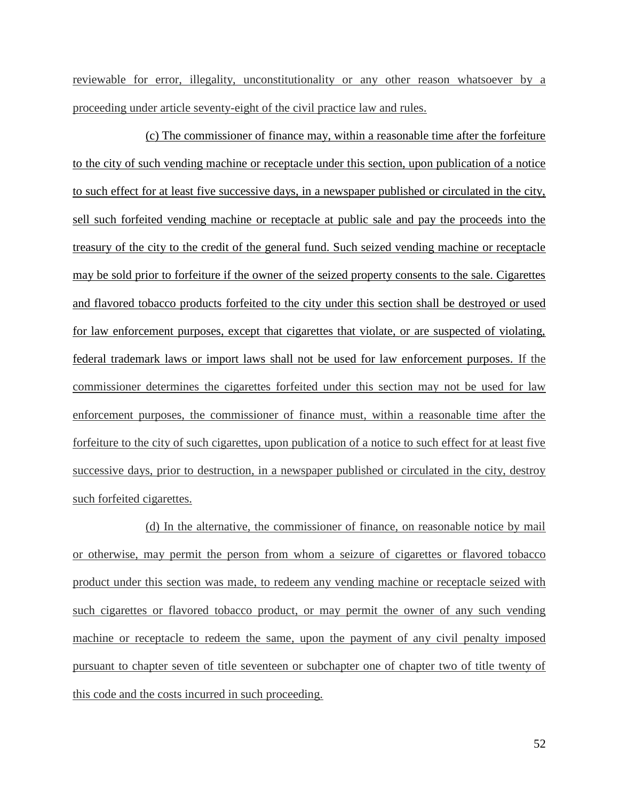reviewable for error, illegality, unconstitutionality or any other reason whatsoever by a proceeding under article seventy-eight of the civil practice law and rules.

(c) The commissioner of finance may, within a reasonable time after the forfeiture to the city of such vending machine or receptacle under this section, upon publication of a notice to such effect for at least five successive days, in a newspaper published or circulated in the city, sell such forfeited vending machine or receptacle at public sale and pay the proceeds into the treasury of the city to the credit of the general fund. Such seized vending machine or receptacle may be sold prior to forfeiture if the owner of the seized property consents to the sale. Cigarettes and flavored tobacco products forfeited to the city under this section shall be destroyed or used for law enforcement purposes, except that cigarettes that violate, or are suspected of violating, federal trademark laws or import laws shall not be used for law enforcement purposes. If the commissioner determines the cigarettes forfeited under this section may not be used for law enforcement purposes, the commissioner of finance must, within a reasonable time after the forfeiture to the city of such cigarettes, upon publication of a notice to such effect for at least five successive days, prior to destruction, in a newspaper published or circulated in the city, destroy such forfeited cigarettes.

(d) In the alternative, the commissioner of finance, on reasonable notice by mail or otherwise, may permit the person from whom a seizure of cigarettes or flavored tobacco product under this section was made, to redeem any vending machine or receptacle seized with such cigarettes or flavored tobacco product, or may permit the owner of any such vending machine or receptacle to redeem the same, upon the payment of any civil penalty imposed pursuant to chapter seven of title seventeen or subchapter one of chapter two of title twenty of this code and the costs incurred in such proceeding.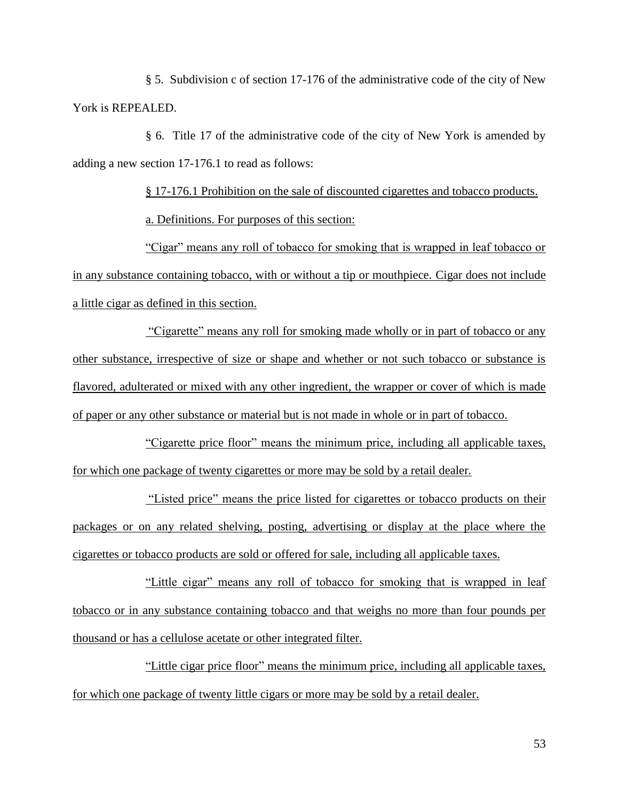§ 5. Subdivision c of section 17-176 of the administrative code of the city of New York is REPEALED.

§ 6. Title 17 of the administrative code of the city of New York is amended by adding a new section 17-176.1 to read as follows:

§ 17-176.1 Prohibition on the sale of discounted cigarettes and tobacco products.

a. Definitions. For purposes of this section:

"Cigar" means any roll of tobacco for smoking that is wrapped in leaf tobacco or in any substance containing tobacco, with or without a tip or mouthpiece. Cigar does not include a little cigar as defined in this section.

―Cigarette‖ means any roll for smoking made wholly or in part of tobacco or any other substance, irrespective of size or shape and whether or not such tobacco or substance is flavored, adulterated or mixed with any other ingredient, the wrapper or cover of which is made of paper or any other substance or material but is not made in whole or in part of tobacco.

"Cigarette price floor" means the minimum price, including all applicable taxes, for which one package of twenty cigarettes or more may be sold by a retail dealer.

―Listed price‖ means the price listed for cigarettes or tobacco products on their packages or on any related shelving, posting, advertising or display at the place where the cigarettes or tobacco products are sold or offered for sale, including all applicable taxes.

―Little cigar‖ means any roll of tobacco for smoking that is wrapped in leaf tobacco or in any substance containing tobacco and that weighs no more than four pounds per thousand or has a cellulose acetate or other integrated filter.

―Little cigar price floor‖ means the minimum price, including all applicable taxes, for which one package of twenty little cigars or more may be sold by a retail dealer.

53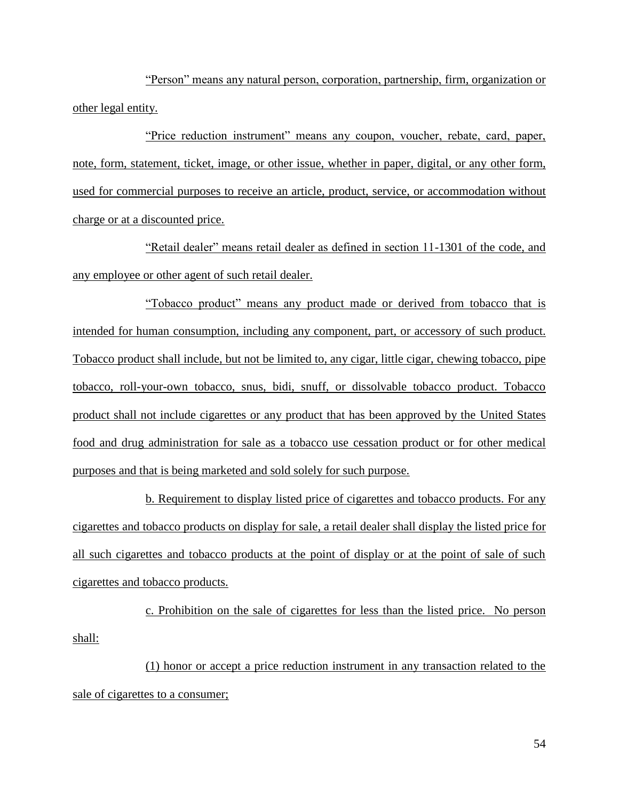"Person" means any natural person, corporation, partnership, firm, organization or other legal entity.

"Price reduction instrument" means any coupon, voucher, rebate, card, paper, note, form, statement, ticket, image, or other issue, whether in paper, digital, or any other form, used for commercial purposes to receive an article, product, service, or accommodation without charge or at a discounted price.

"Retail dealer" means retail dealer as defined in section 11-1301 of the code, and any employee or other agent of such retail dealer.

―Tobacco product‖ means any product made or derived from tobacco that is intended for human consumption, including any component, part, or accessory of such product. Tobacco product shall include, but not be limited to, any cigar, little cigar, chewing tobacco, pipe tobacco, roll-your-own tobacco, snus, bidi, snuff, or dissolvable tobacco product. Tobacco product shall not include cigarettes or any product that has been approved by the United States food and drug administration for sale as a tobacco use cessation product or for other medical purposes and that is being marketed and sold solely for such purpose.

b. Requirement to display listed price of cigarettes and tobacco products. For any cigarettes and tobacco products on display for sale, a retail dealer shall display the listed price for all such cigarettes and tobacco products at the point of display or at the point of sale of such cigarettes and tobacco products.

c. Prohibition on the sale of cigarettes for less than the listed price. No person shall:

(1) honor or accept a price reduction instrument in any transaction related to the sale of cigarettes to a consumer;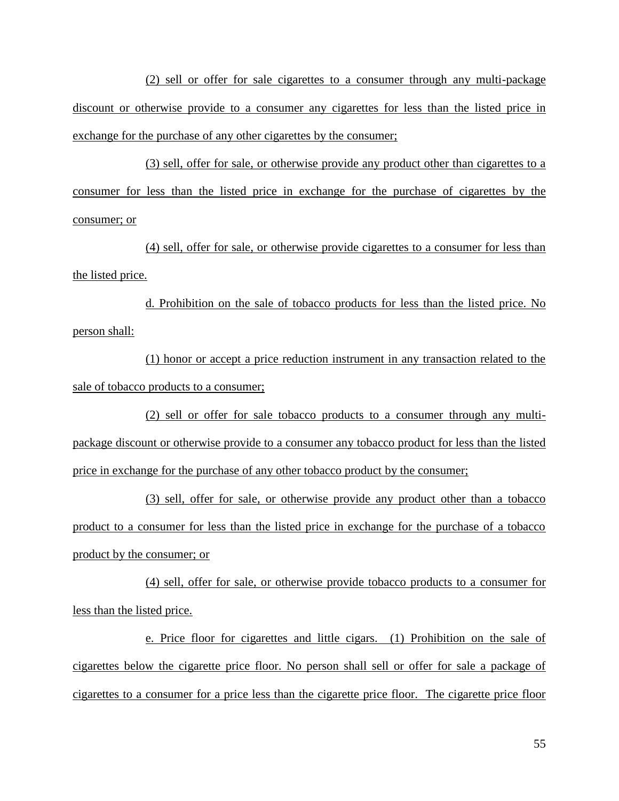(2) sell or offer for sale cigarettes to a consumer through any multi-package discount or otherwise provide to a consumer any cigarettes for less than the listed price in exchange for the purchase of any other cigarettes by the consumer;

(3) sell, offer for sale, or otherwise provide any product other than cigarettes to a consumer for less than the listed price in exchange for the purchase of cigarettes by the consumer; or

(4) sell, offer for sale, or otherwise provide cigarettes to a consumer for less than the listed price.

d. Prohibition on the sale of tobacco products for less than the listed price. No person shall:

(1) honor or accept a price reduction instrument in any transaction related to the sale of tobacco products to a consumer;

(2) sell or offer for sale tobacco products to a consumer through any multipackage discount or otherwise provide to a consumer any tobacco product for less than the listed price in exchange for the purchase of any other tobacco product by the consumer;

(3) sell, offer for sale, or otherwise provide any product other than a tobacco product to a consumer for less than the listed price in exchange for the purchase of a tobacco product by the consumer; or

(4) sell, offer for sale, or otherwise provide tobacco products to a consumer for less than the listed price.

e. Price floor for cigarettes and little cigars. (1) Prohibition on the sale of cigarettes below the cigarette price floor. No person shall sell or offer for sale a package of cigarettes to a consumer for a price less than the cigarette price floor. The cigarette price floor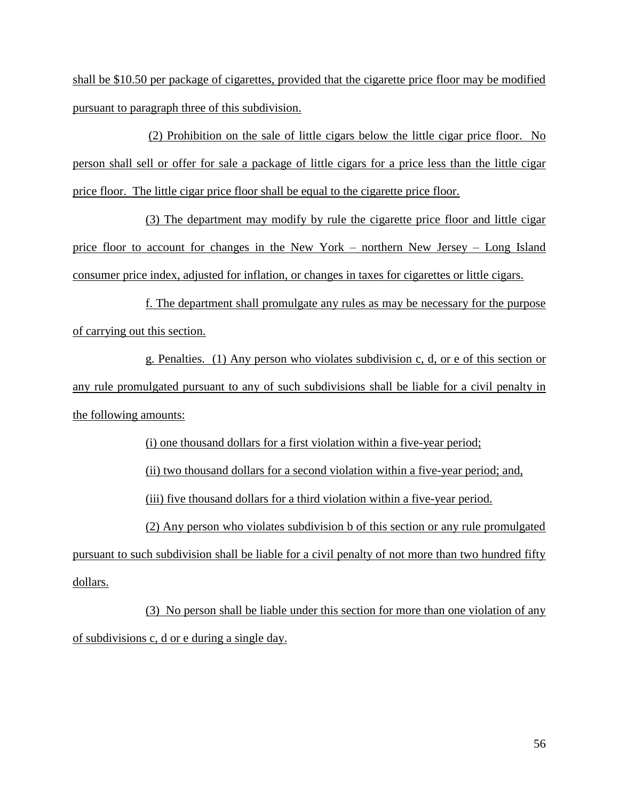shall be \$10.50 per package of cigarettes, provided that the cigarette price floor may be modified pursuant to paragraph three of this subdivision.

(2) Prohibition on the sale of little cigars below the little cigar price floor. No person shall sell or offer for sale a package of little cigars for a price less than the little cigar price floor. The little cigar price floor shall be equal to the cigarette price floor.

(3) The department may modify by rule the cigarette price floor and little cigar price floor to account for changes in the New York – northern New Jersey – Long Island consumer price index, adjusted for inflation, or changes in taxes for cigarettes or little cigars.

f. The department shall promulgate any rules as may be necessary for the purpose of carrying out this section.

g. Penalties. (1) Any person who violates subdivision c, d, or e of this section or any rule promulgated pursuant to any of such subdivisions shall be liable for a civil penalty in the following amounts:

(i) one thousand dollars for a first violation within a five-year period;

(ii) two thousand dollars for a second violation within a five-year period; and,

(iii) five thousand dollars for a third violation within a five-year period.

(2) Any person who violates subdivision b of this section or any rule promulgated

pursuant to such subdivision shall be liable for a civil penalty of not more than two hundred fifty dollars.

(3) No person shall be liable under this section for more than one violation of any of subdivisions c, d or e during a single day.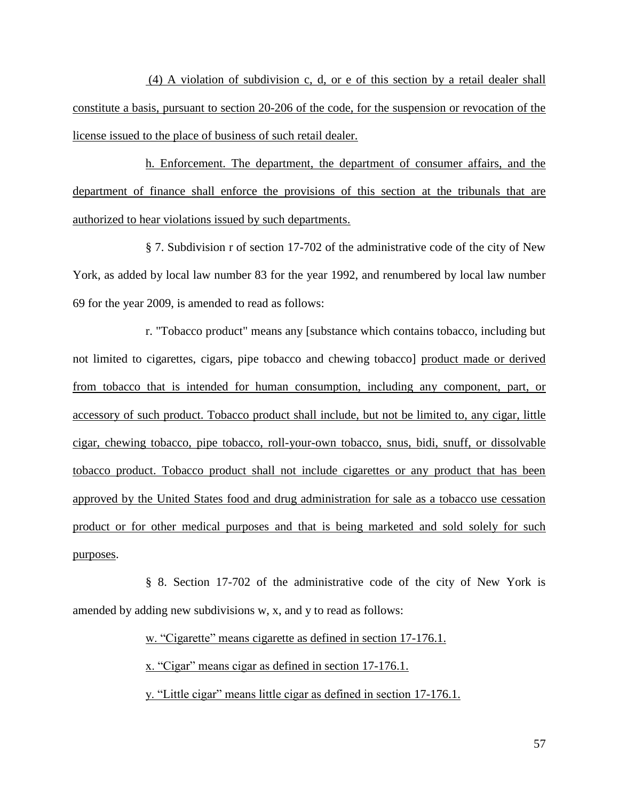(4) A violation of subdivision c, d, or e of this section by a retail dealer shall constitute a basis, pursuant to section 20-206 of the code, for the suspension or revocation of the license issued to the place of business of such retail dealer.

h. Enforcement. The department, the department of consumer affairs, and the department of finance shall enforce the provisions of this section at the tribunals that are authorized to hear violations issued by such departments.

§ 7. Subdivision r of section 17-702 of the administrative code of the city of New York, as added by local law number 83 for the year 1992, and renumbered by local law number 69 for the year 2009, is amended to read as follows:

r. "Tobacco product" means any [substance which contains tobacco, including but not limited to cigarettes, cigars, pipe tobacco and chewing tobacco] product made or derived from tobacco that is intended for human consumption, including any component, part, or accessory of such product. Tobacco product shall include, but not be limited to, any cigar, little cigar, chewing tobacco, pipe tobacco, roll-your-own tobacco, snus, bidi, snuff, or dissolvable tobacco product. Tobacco product shall not include cigarettes or any product that has been approved by the United States food and drug administration for sale as a tobacco use cessation product or for other medical purposes and that is being marketed and sold solely for such purposes.

§ 8. Section 17-702 of the administrative code of the city of New York is amended by adding new subdivisions w, x, and y to read as follows:

> w. "Cigarette" means cigarette as defined in section 17-176.1. x. "Cigar" means cigar as defined in section 17-176.1. y. "Little cigar" means little cigar as defined in section 17-176.1.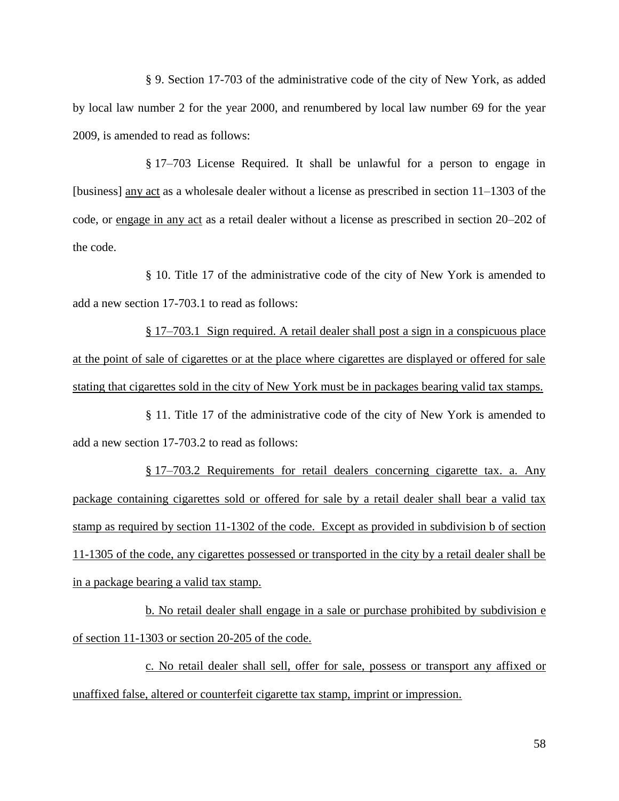§ 9. Section 17-703 of the administrative code of the city of New York, as added by local law number 2 for the year 2000, and renumbered by local law number 69 for the year 2009, is amended to read as follows:

§ 17–703 License Required. It shall be unlawful for a person to engage in [business] any act as a wholesale dealer without a license as prescribed in section 11–1303 of the code, or engage in any act as a retail dealer without a license as prescribed in section 20–202 of the code.

§ 10. Title 17 of the administrative code of the city of New York is amended to add a new section 17-703.1 to read as follows:

§ 17–703.1 Sign required. A retail dealer shall post a sign in a conspicuous place at the point of sale of cigarettes or at the place where cigarettes are displayed or offered for sale stating that cigarettes sold in the city of New York must be in packages bearing valid tax stamps.

§ 11. Title 17 of the administrative code of the city of New York is amended to add a new section 17-703.2 to read as follows:

§ 17–703.2 Requirements for retail dealers concerning cigarette tax. a. Any package containing cigarettes sold or offered for sale by a retail dealer shall bear a valid tax stamp as required by section 11-1302 of the code. Except as provided in subdivision b of section 11-1305 of the code, any cigarettes possessed or transported in the city by a retail dealer shall be in a package bearing a valid tax stamp.

b. No retail dealer shall engage in a sale or purchase prohibited by subdivision e of section 11-1303 or section 20-205 of the code.

c. No retail dealer shall sell, offer for sale, possess or transport any affixed or unaffixed false, altered or counterfeit cigarette tax stamp, imprint or impression.

58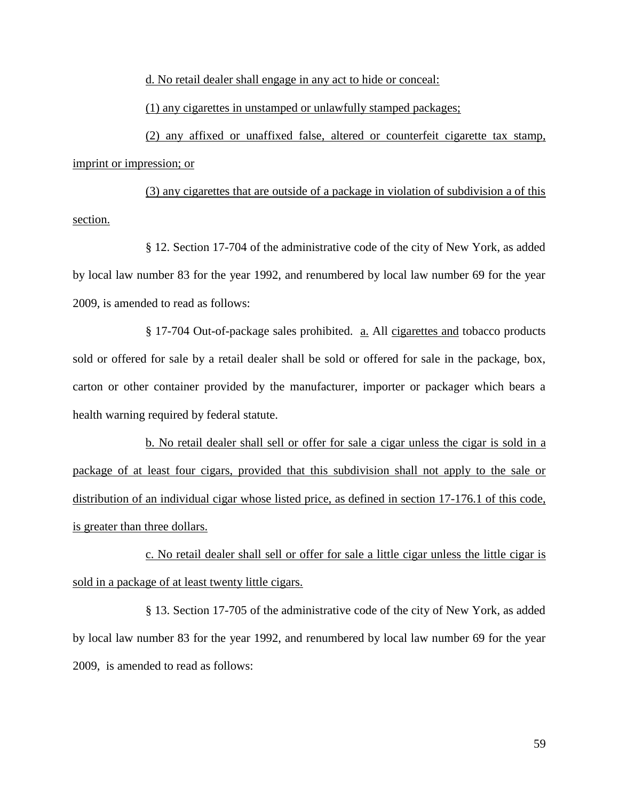d. No retail dealer shall engage in any act to hide or conceal:

(1) any cigarettes in unstamped or unlawfully stamped packages;

(2) any affixed or unaffixed false, altered or counterfeit cigarette tax stamp, imprint or impression; or

(3) any cigarettes that are outside of a package in violation of subdivision a of this section.

§ 12. Section 17-704 of the administrative code of the city of New York, as added by local law number 83 for the year 1992, and renumbered by local law number 69 for the year 2009, is amended to read as follows:

§ 17-704 Out-of-package sales prohibited. <u>a.</u> All cigarettes and tobacco products sold or offered for sale by a retail dealer shall be sold or offered for sale in the package, box, carton or other container provided by the manufacturer, importer or packager which bears a health warning required by federal statute.

b. No retail dealer shall sell or offer for sale a cigar unless the cigar is sold in a package of at least four cigars, provided that this subdivision shall not apply to the sale or distribution of an individual cigar whose listed price, as defined in section 17-176.1 of this code, is greater than three dollars.

c. No retail dealer shall sell or offer for sale a little cigar unless the little cigar is sold in a package of at least twenty little cigars.

§ 13. Section 17-705 of the administrative code of the city of New York, as added by local law number 83 for the year 1992, and renumbered by local law number 69 for the year 2009, is amended to read as follows: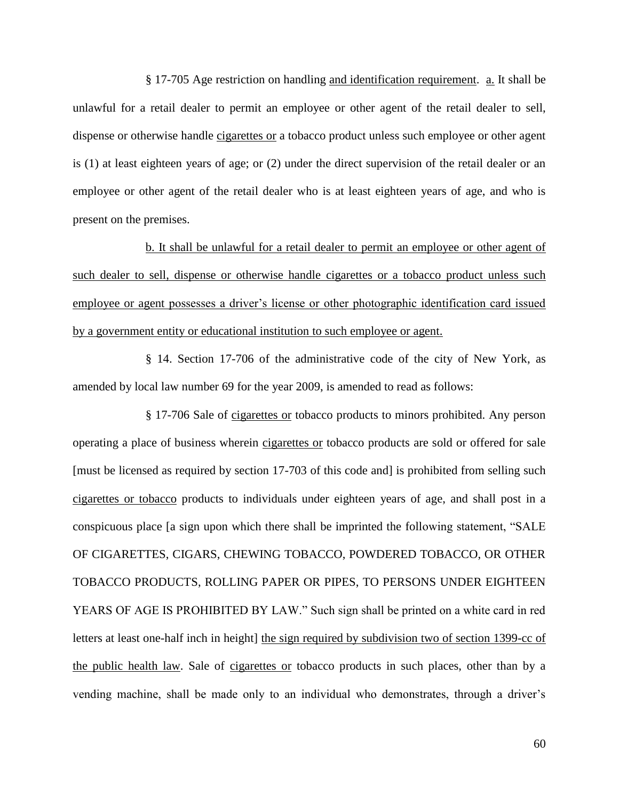§ 17-705 Age restriction on handling and identification requirement. a. It shall be unlawful for a retail dealer to permit an employee or other agent of the retail dealer to sell, dispense or otherwise handle cigarettes or a tobacco product unless such employee or other agent is (1) at least eighteen years of age; or (2) under the direct supervision of the retail dealer or an employee or other agent of the retail dealer who is at least eighteen years of age, and who is present on the premises.

b. It shall be unlawful for a retail dealer to permit an employee or other agent of such dealer to sell, dispense or otherwise handle cigarettes or a tobacco product unless such employee or agent possesses a driver's license or other photographic identification card issued by a government entity or educational institution to such employee or agent.

§ 14. Section 17-706 of the administrative code of the city of New York, as amended by local law number 69 for the year 2009, is amended to read as follows:

§ 17-706 Sale of cigarettes or tobacco products to minors prohibited. Any person operating a place of business wherein cigarettes or tobacco products are sold or offered for sale [must be licensed as required by section 17-703 of this code and] is prohibited from selling such cigarettes or tobacco products to individuals under eighteen years of age, and shall post in a conspicuous place [a sign upon which there shall be imprinted the following statement, "SALE" OF CIGARETTES, CIGARS, CHEWING TOBACCO, POWDERED TOBACCO, OR OTHER TOBACCO PRODUCTS, ROLLING PAPER OR PIPES, TO PERSONS UNDER EIGHTEEN YEARS OF AGE IS PROHIBITED BY LAW." Such sign shall be printed on a white card in red letters at least one-half inch in height] the sign required by subdivision two of section 1399-cc of the public health law. Sale of cigarettes or tobacco products in such places, other than by a vending machine, shall be made only to an individual who demonstrates, through a driver's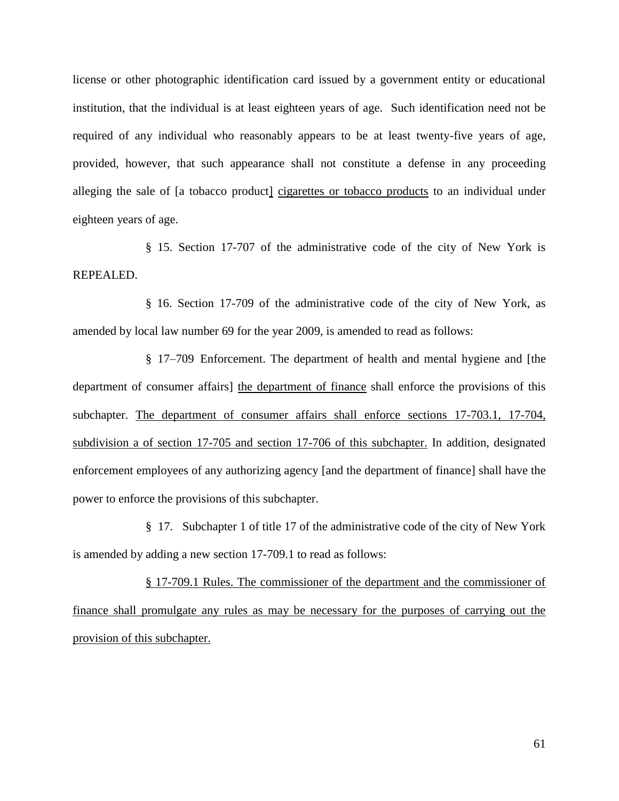license or other photographic identification card issued by a government entity or educational institution, that the individual is at least eighteen years of age. Such identification need not be required of any individual who reasonably appears to be at least twenty-five years of age, provided, however, that such appearance shall not constitute a defense in any proceeding alleging the sale of [a tobacco product] cigarettes or tobacco products to an individual under eighteen years of age.

§ 15. Section 17-707 of the administrative code of the city of New York is REPEALED.

§ 16. Section 17-709 of the administrative code of the city of New York, as amended by local law number 69 for the year 2009, is amended to read as follows:

§ 17–709 Enforcement. The department of health and mental hygiene and [the department of consumer affairs] the department of finance shall enforce the provisions of this subchapter. The department of consumer affairs shall enforce sections 17-703.1, 17-704, subdivision a of section 17-705 and section 17-706 of this subchapter. In addition, designated enforcement employees of any authorizing agency [and the department of finance] shall have the power to enforce the provisions of this subchapter.

§ 17. Subchapter 1 of title 17 of the administrative code of the city of New York is amended by adding a new section 17-709.1 to read as follows:

§ 17-709.1 Rules. The commissioner of the department and the commissioner of finance shall promulgate any rules as may be necessary for the purposes of carrying out the provision of this subchapter.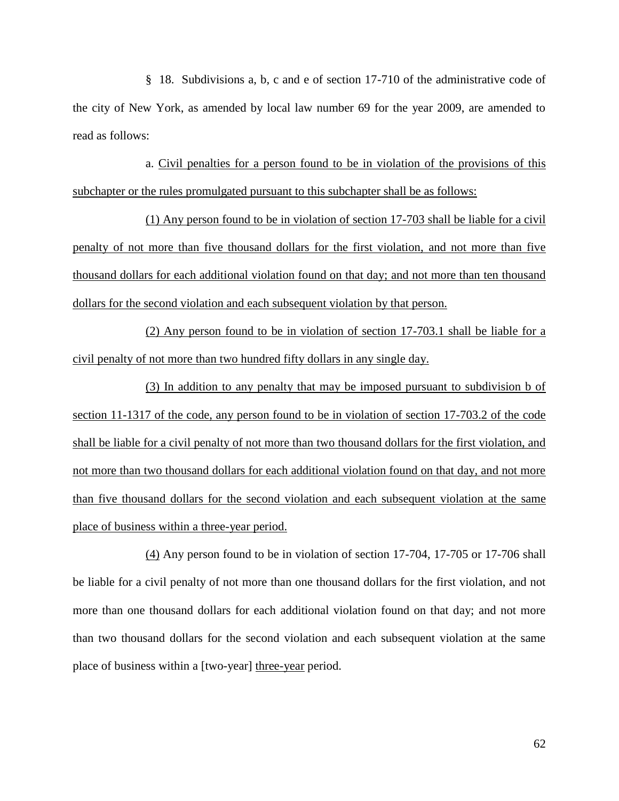§ 18. Subdivisions a, b, c and e of section 17-710 of the administrative code of the city of New York, as amended by local law number 69 for the year 2009, are amended to read as follows:

a. Civil penalties for a person found to be in violation of the provisions of this subchapter or the rules promulgated pursuant to this subchapter shall be as follows:

(1) Any person found to be in violation of section 17-703 shall be liable for a civil penalty of not more than five thousand dollars for the first violation, and not more than five thousand dollars for each additional violation found on that day; and not more than ten thousand dollars for the second violation and each subsequent violation by that person.

(2) Any person found to be in violation of section 17-703.1 shall be liable for a civil penalty of not more than two hundred fifty dollars in any single day.

(3) In addition to any penalty that may be imposed pursuant to subdivision b of section 11-1317 of the code, any person found to be in violation of section 17-703.2 of the code shall be liable for a civil penalty of not more than two thousand dollars for the first violation, and not more than two thousand dollars for each additional violation found on that day, and not more than five thousand dollars for the second violation and each subsequent violation at the same place of business within a three-year period.

(4) Any person found to be in violation of section 17-704, 17-705 or 17-706 shall be liable for a civil penalty of not more than one thousand dollars for the first violation, and not more than one thousand dollars for each additional violation found on that day; and not more than two thousand dollars for the second violation and each subsequent violation at the same place of business within a [two-year] three-year period.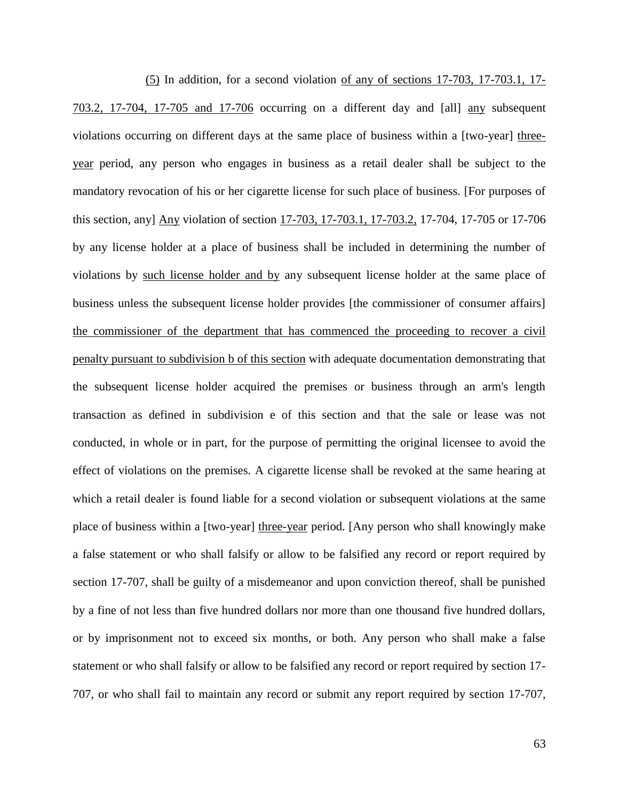(5) In addition, for a second violation of any of sections 17-703, 17-703.1, 17- 703.2, 17-704, 17-705 and 17-706 occurring on a different day and [all] any subsequent violations occurring on different days at the same place of business within a [two-year] threeyear period, any person who engages in business as a retail dealer shall be subject to the mandatory revocation of his or her cigarette license for such place of business. [For purposes of this section, any] Any violation of section 17-703, 17-703.1, 17-703.2, 17-704, 17-705 or 17-706 by any license holder at a place of business shall be included in determining the number of violations by such license holder and by any subsequent license holder at the same place of business unless the subsequent license holder provides [the commissioner of consumer affairs] the commissioner of the department that has commenced the proceeding to recover a civil penalty pursuant to subdivision b of this section with adequate documentation demonstrating that the subsequent license holder acquired the premises or business through an arm's length transaction as defined in subdivision e of this section and that the sale or lease was not conducted, in whole or in part, for the purpose of permitting the original licensee to avoid the effect of violations on the premises. A cigarette license shall be revoked at the same hearing at which a retail dealer is found liable for a second violation or subsequent violations at the same place of business within a [two-year] three-year period. [Any person who shall knowingly make a false statement or who shall falsify or allow to be falsified any record or report required by section 17-707, shall be guilty of a misdemeanor and upon conviction thereof, shall be punished by a fine of not less than five hundred dollars nor more than one thousand five hundred dollars, or by imprisonment not to exceed six months, or both. Any person who shall make a false statement or who shall falsify or allow to be falsified any record or report required by section 17- 707, or who shall fail to maintain any record or submit any report required by section 17-707,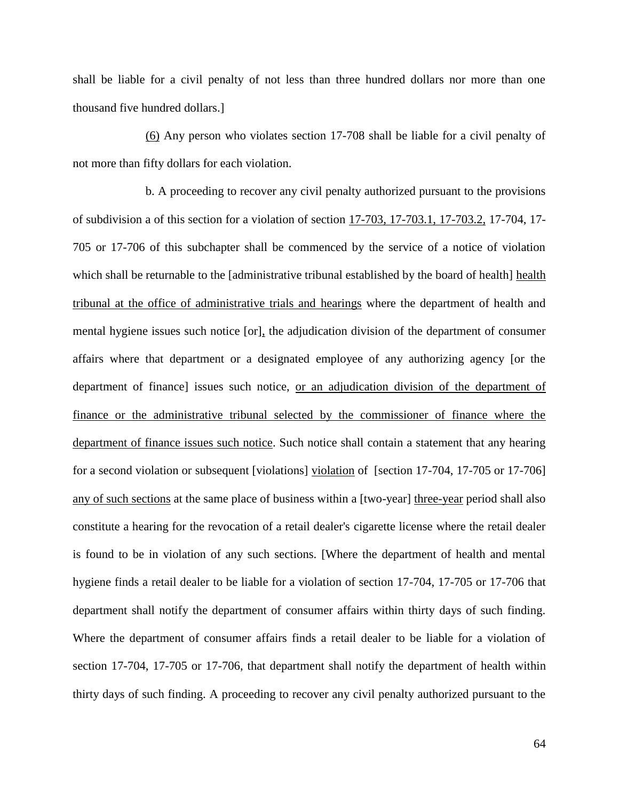shall be liable for a civil penalty of not less than three hundred dollars nor more than one thousand five hundred dollars.]

(6) Any person who violates section 17-708 shall be liable for a civil penalty of not more than fifty dollars for each violation.

b. A proceeding to recover any civil penalty authorized pursuant to the provisions of subdivision a of this section for a violation of section 17-703, 17-703.1, 17-703.2, 17-704, 17- 705 or 17-706 of this subchapter shall be commenced by the service of a notice of violation which shall be returnable to the [administrative tribunal established by the board of health] health tribunal at the office of administrative trials and hearings where the department of health and mental hygiene issues such notice [or], the adjudication division of the department of consumer affairs where that department or a designated employee of any authorizing agency [or the department of finance] issues such notice, or an adjudication division of the department of finance or the administrative tribunal selected by the commissioner of finance where the department of finance issues such notice. Such notice shall contain a statement that any hearing for a second violation or subsequent [violations] violation of [section 17-704, 17-705 or 17-706] any of such sections at the same place of business within a [two-year] three-year period shall also constitute a hearing for the revocation of a retail dealer's cigarette license where the retail dealer is found to be in violation of any such sections. [Where the department of health and mental hygiene finds a retail dealer to be liable for a violation of section 17-704, 17-705 or 17-706 that department shall notify the department of consumer affairs within thirty days of such finding. Where the department of consumer affairs finds a retail dealer to be liable for a violation of section 17-704, 17-705 or 17-706, that department shall notify the department of health within thirty days of such finding. A proceeding to recover any civil penalty authorized pursuant to the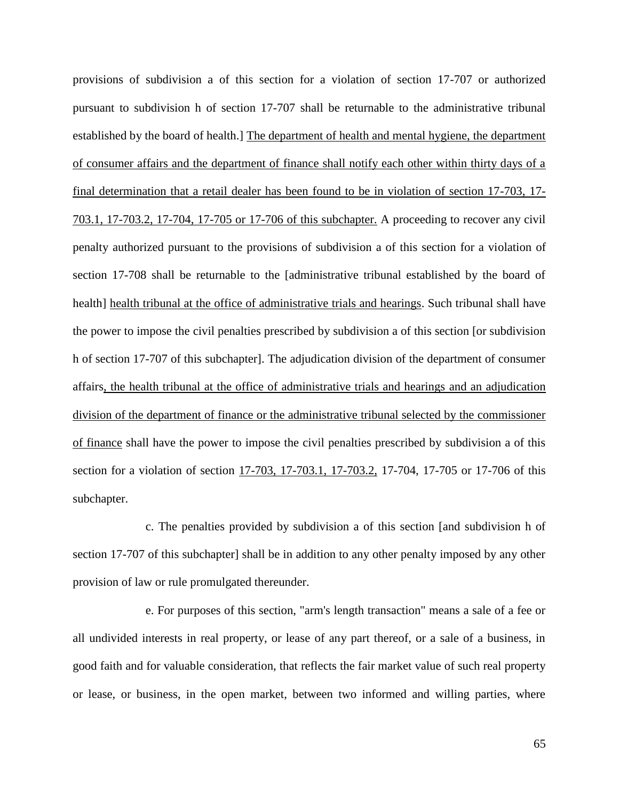provisions of subdivision a of this section for a violation of section 17-707 or authorized pursuant to subdivision h of section 17-707 shall be returnable to the administrative tribunal established by the board of health.] The department of health and mental hygiene, the department of consumer affairs and the department of finance shall notify each other within thirty days of a final determination that a retail dealer has been found to be in violation of section 17-703, 17- 703.1, 17-703.2, 17-704, 17-705 or 17-706 of this subchapter. A proceeding to recover any civil penalty authorized pursuant to the provisions of subdivision a of this section for a violation of section 17-708 shall be returnable to the [administrative tribunal established by the board of health] health tribunal at the office of administrative trials and hearings. Such tribunal shall have the power to impose the civil penalties prescribed by subdivision a of this section [or subdivision h of section 17-707 of this subchapter]. The adjudication division of the department of consumer affairs, the health tribunal at the office of administrative trials and hearings and an adjudication division of the department of finance or the administrative tribunal selected by the commissioner of finance shall have the power to impose the civil penalties prescribed by subdivision a of this section for a violation of section 17-703, 17-703.1, 17-703.2, 17-704, 17-705 or 17-706 of this subchapter.

c. The penalties provided by subdivision a of this section [and subdivision h of section 17-707 of this subchapter] shall be in addition to any other penalty imposed by any other provision of law or rule promulgated thereunder.

e. For purposes of this section, "arm's length transaction" means a sale of a fee or all undivided interests in real property, or lease of any part thereof, or a sale of a business, in good faith and for valuable consideration, that reflects the fair market value of such real property or lease, or business, in the open market, between two informed and willing parties, where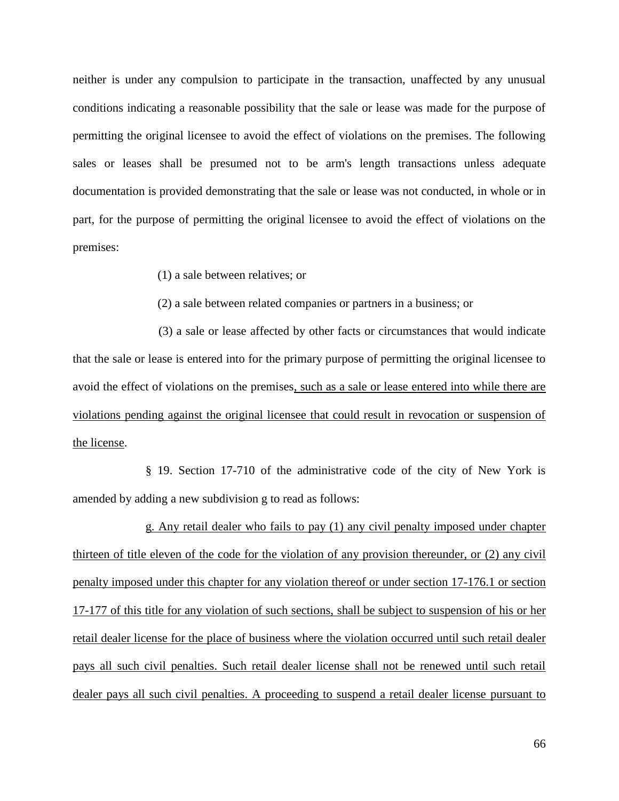neither is under any compulsion to participate in the transaction, unaffected by any unusual conditions indicating a reasonable possibility that the sale or lease was made for the purpose of permitting the original licensee to avoid the effect of violations on the premises. The following sales or leases shall be presumed not to be arm's length transactions unless adequate documentation is provided demonstrating that the sale or lease was not conducted, in whole or in part, for the purpose of permitting the original licensee to avoid the effect of violations on the premises:

(1) a sale between relatives; or

(2) a sale between related companies or partners in a business; or

 (3) a sale or lease affected by other facts or circumstances that would indicate that the sale or lease is entered into for the primary purpose of permitting the original licensee to avoid the effect of violations on the premises, such as a sale or lease entered into while there are violations pending against the original licensee that could result in revocation or suspension of the license.

§ 19. Section 17-710 of the administrative code of the city of New York is amended by adding a new subdivision g to read as follows:

g. Any retail dealer who fails to pay (1) any civil penalty imposed under chapter thirteen of title eleven of the code for the violation of any provision thereunder, or (2) any civil penalty imposed under this chapter for any violation thereof or under section 17-176.1 or section 17-177 of this title for any violation of such sections, shall be subject to suspension of his or her retail dealer license for the place of business where the violation occurred until such retail dealer pays all such civil penalties. Such retail dealer license shall not be renewed until such retail dealer pays all such civil penalties. A proceeding to suspend a retail dealer license pursuant to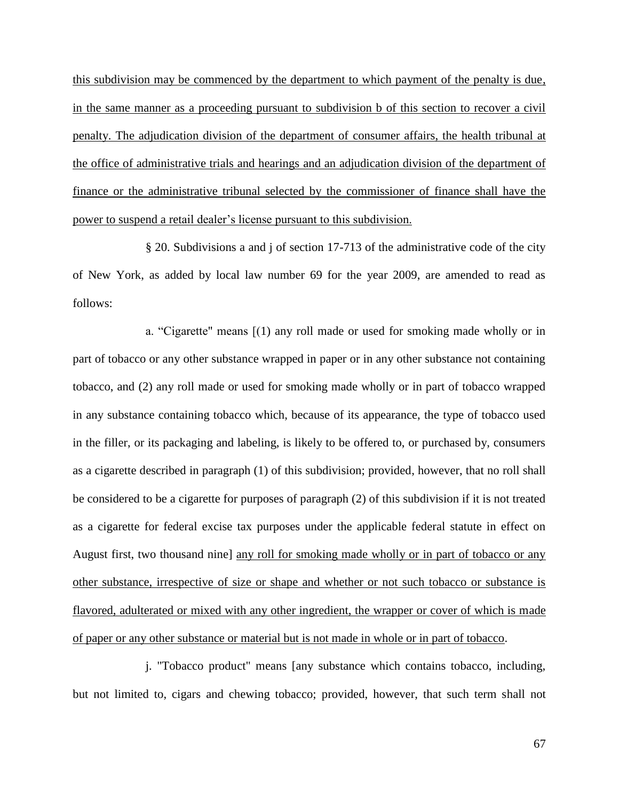this subdivision may be commenced by the department to which payment of the penalty is due, in the same manner as a proceeding pursuant to subdivision b of this section to recover a civil penalty. The adjudication division of the department of consumer affairs, the health tribunal at the office of administrative trials and hearings and an adjudication division of the department of finance or the administrative tribunal selected by the commissioner of finance shall have the power to suspend a retail dealer's license pursuant to this subdivision.

§ 20. Subdivisions a and j of section 17-713 of the administrative code of the city of New York, as added by local law number 69 for the year 2009, are amended to read as follows:

a. "Cigarette" means  $[(1)$  any roll made or used for smoking made wholly or in part of tobacco or any other substance wrapped in paper or in any other substance not containing tobacco, and (2) any roll made or used for smoking made wholly or in part of tobacco wrapped in any substance containing tobacco which, because of its appearance, the type of tobacco used in the filler, or its packaging and labeling, is likely to be offered to, or purchased by, consumers as a cigarette described in paragraph (1) of this subdivision; provided, however, that no roll shall be considered to be a cigarette for purposes of paragraph (2) of this subdivision if it is not treated as a cigarette for federal excise tax purposes under the applicable federal statute in effect on August first, two thousand nine] any roll for smoking made wholly or in part of tobacco or any other substance, irrespective of size or shape and whether or not such tobacco or substance is flavored, adulterated or mixed with any other ingredient, the wrapper or cover of which is made of paper or any other substance or material but is not made in whole or in part of tobacco.

j. "Tobacco product" means [any substance which contains tobacco, including, but not limited to, cigars and chewing tobacco; provided, however, that such term shall not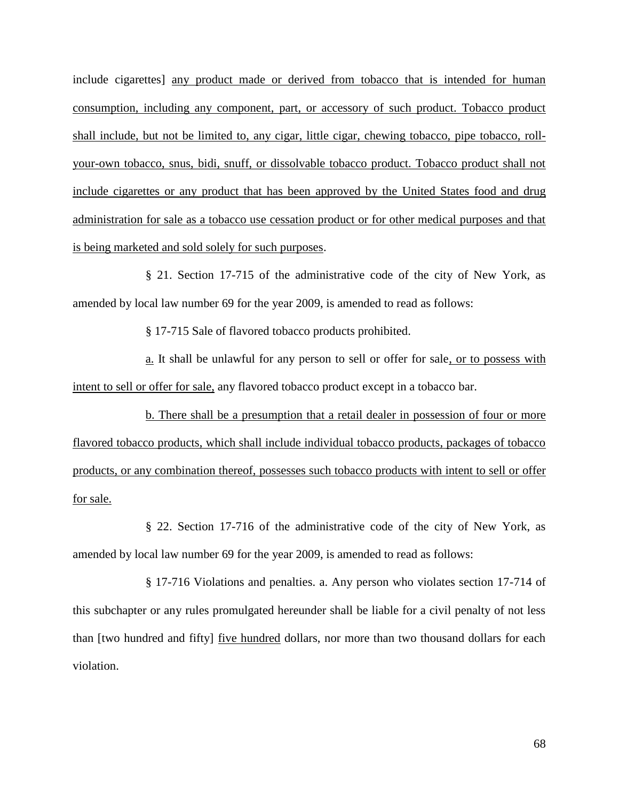include cigarettes] any product made or derived from tobacco that is intended for human consumption, including any component, part, or accessory of such product. Tobacco product shall include, but not be limited to, any cigar, little cigar, chewing tobacco, pipe tobacco, rollyour-own tobacco, snus, bidi, snuff, or dissolvable tobacco product. Tobacco product shall not include cigarettes or any product that has been approved by the United States food and drug administration for sale as a tobacco use cessation product or for other medical purposes and that is being marketed and sold solely for such purposes.

§ 21. Section 17-715 of the administrative code of the city of New York, as amended by local law number 69 for the year 2009, is amended to read as follows:

§ 17-715 Sale of flavored tobacco products prohibited.

a. It shall be unlawful for any person to sell or offer for sale, or to possess with intent to sell or offer for sale, any flavored tobacco product except in a tobacco bar.

b. There shall be a presumption that a retail dealer in possession of four or more flavored tobacco products, which shall include individual tobacco products, packages of tobacco products, or any combination thereof, possesses such tobacco products with intent to sell or offer for sale.

§ 22. Section 17-716 of the administrative code of the city of New York, as amended by local law number 69 for the year 2009, is amended to read as follows:

§ 17-716 Violations and penalties. a. Any person who violates section 17-714 of this subchapter or any rules promulgated hereunder shall be liable for a civil penalty of not less than [two hundred and fifty] <u>five hundred</u> dollars, nor more than two thousand dollars for each violation.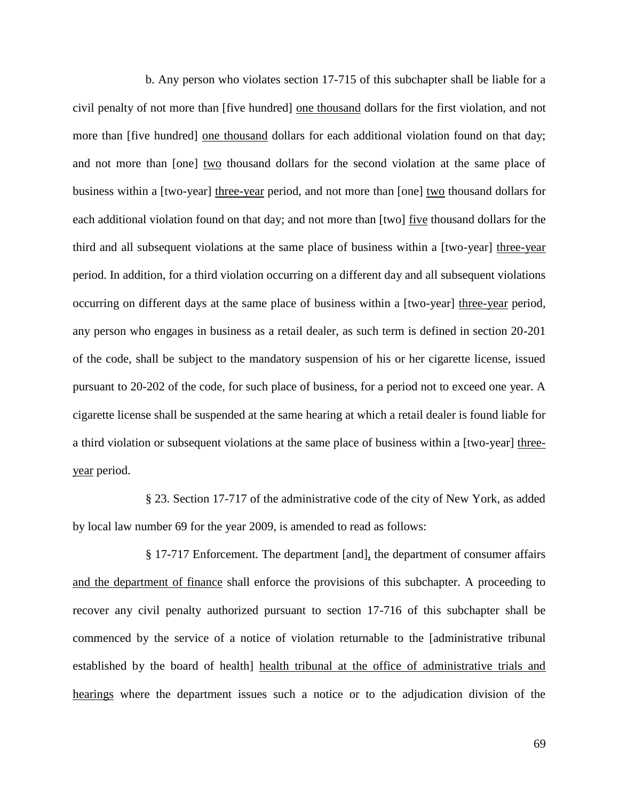b. Any person who violates section 17-715 of this subchapter shall be liable for a civil penalty of not more than [five hundred] one thousand dollars for the first violation, and not more than [five hundred] one thousand dollars for each additional violation found on that day; and not more than [one] two thousand dollars for the second violation at the same place of business within a [two-year] three-year period, and not more than [one] two thousand dollars for each additional violation found on that day; and not more than [two] five thousand dollars for the third and all subsequent violations at the same place of business within a [two-year] three-year period. In addition, for a third violation occurring on a different day and all subsequent violations occurring on different days at the same place of business within a [two-year] three-year period, any person who engages in business as a retail dealer, as such term is defined in section 20-201 of the code, shall be subject to the mandatory suspension of his or her cigarette license, issued pursuant to 20-202 of the code, for such place of business, for a period not to exceed one year. A cigarette license shall be suspended at the same hearing at which a retail dealer is found liable for a third violation or subsequent violations at the same place of business within a [two-year] threeyear period.

§ 23. Section 17-717 of the administrative code of the city of New York, as added by local law number 69 for the year 2009, is amended to read as follows:

§ 17-717 Enforcement. The department [and], the department of consumer affairs and the department of finance shall enforce the provisions of this subchapter. A proceeding to recover any civil penalty authorized pursuant to section 17-716 of this subchapter shall be commenced by the service of a notice of violation returnable to the [administrative tribunal established by the board of health] health tribunal at the office of administrative trials and hearings where the department issues such a notice or to the adjudication division of the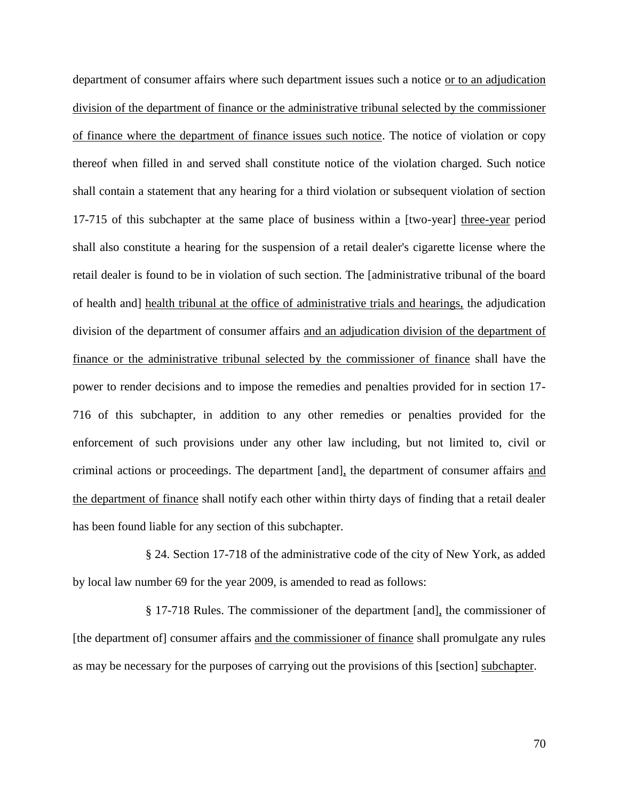department of consumer affairs where such department issues such a notice or to an adjudication division of the department of finance or the administrative tribunal selected by the commissioner of finance where the department of finance issues such notice. The notice of violation or copy thereof when filled in and served shall constitute notice of the violation charged. Such notice shall contain a statement that any hearing for a third violation or subsequent violation of section 17-715 of this subchapter at the same place of business within a [two-year] three-year period shall also constitute a hearing for the suspension of a retail dealer's cigarette license where the retail dealer is found to be in violation of such section. The [administrative tribunal of the board of health and] health tribunal at the office of administrative trials and hearings, the adjudication division of the department of consumer affairs and an adjudication division of the department of finance or the administrative tribunal selected by the commissioner of finance shall have the power to render decisions and to impose the remedies and penalties provided for in section 17- 716 of this subchapter, in addition to any other remedies or penalties provided for the enforcement of such provisions under any other law including, but not limited to, civil or criminal actions or proceedings. The department [and], the department of consumer affairs and the department of finance shall notify each other within thirty days of finding that a retail dealer has been found liable for any section of this subchapter.

§ 24. Section 17-718 of the administrative code of the city of New York, as added by local law number 69 for the year 2009, is amended to read as follows:

§ 17-718 Rules. The commissioner of the department [and], the commissioner of [the department of] consumer affairs and the commissioner of finance shall promulgate any rules as may be necessary for the purposes of carrying out the provisions of this [section] subchapter.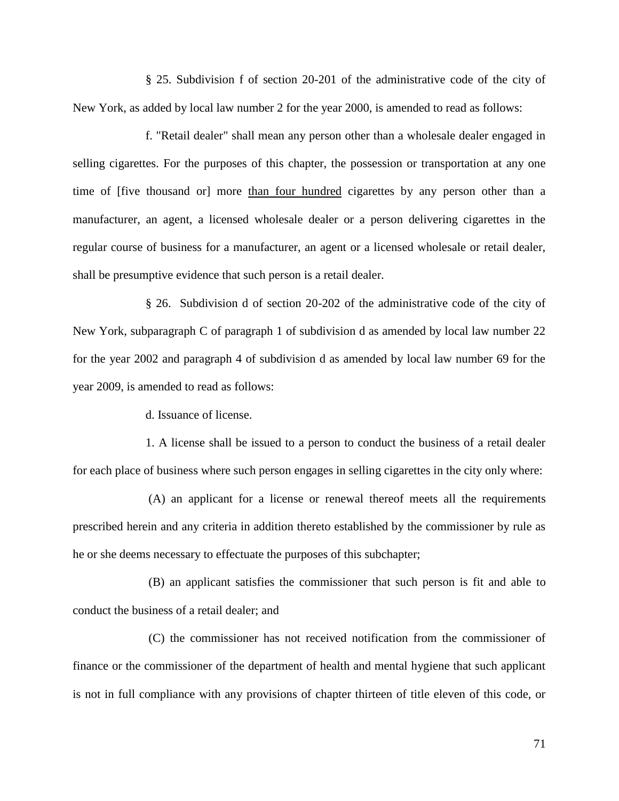§ 25. Subdivision f of section 20-201 of the administrative code of the city of New York, as added by local law number 2 for the year 2000, is amended to read as follows:

f. "Retail dealer" shall mean any person other than a wholesale dealer engaged in selling cigarettes. For the purposes of this chapter, the possession or transportation at any one time of [five thousand or] more than four hundred cigarettes by any person other than a manufacturer, an agent, a licensed wholesale dealer or a person delivering cigarettes in the regular course of business for a manufacturer, an agent or a licensed wholesale or retail dealer, shall be presumptive evidence that such person is a retail dealer.

§ 26. Subdivision d of section 20-202 of the administrative code of the city of New York, subparagraph C of paragraph 1 of subdivision d as amended by local law number 22 for the year 2002 and paragraph 4 of subdivision d as amended by local law number 69 for the year 2009, is amended to read as follows:

d. Issuance of license.

1. A license shall be issued to a person to conduct the business of a retail dealer for each place of business where such person engages in selling cigarettes in the city only where:

(A) an applicant for a license or renewal thereof meets all the requirements prescribed herein and any criteria in addition thereto established by the commissioner by rule as he or she deems necessary to effectuate the purposes of this subchapter;

(B) an applicant satisfies the commissioner that such person is fit and able to conduct the business of a retail dealer; and

(C) the commissioner has not received notification from the commissioner of finance or the commissioner of the department of health and mental hygiene that such applicant is not in full compliance with any provisions of chapter thirteen of title eleven of this code, or

71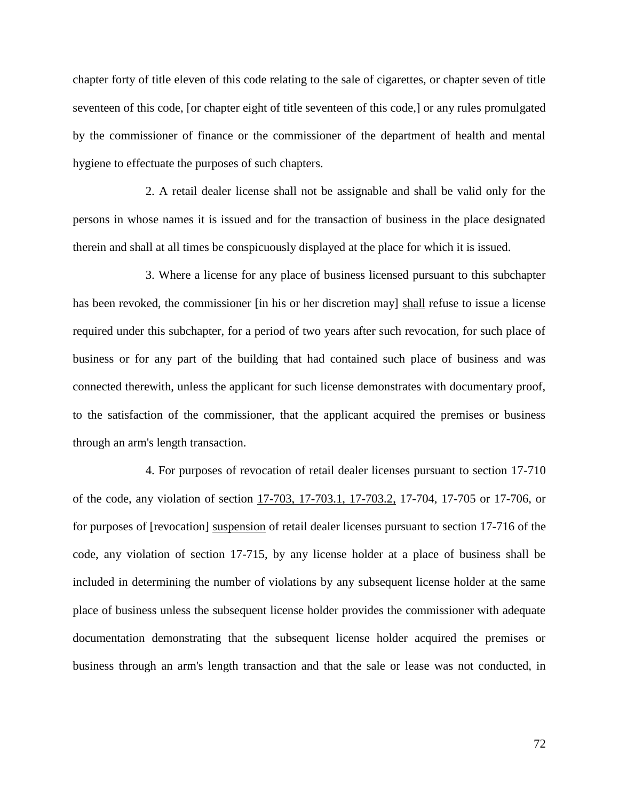chapter forty of title eleven of this code relating to the sale of cigarettes, or chapter seven of title seventeen of this code, [or chapter eight of title seventeen of this code,] or any rules promulgated by the commissioner of finance or the commissioner of the department of health and mental hygiene to effectuate the purposes of such chapters.

2. A retail dealer license shall not be assignable and shall be valid only for the persons in whose names it is issued and for the transaction of business in the place designated therein and shall at all times be conspicuously displayed at the place for which it is issued.

3. Where a license for any place of business licensed pursuant to this subchapter has been revoked, the commissioner [in his or her discretion may] shall refuse to issue a license required under this subchapter, for a period of two years after such revocation, for such place of business or for any part of the building that had contained such place of business and was connected therewith, unless the applicant for such license demonstrates with documentary proof, to the satisfaction of the commissioner, that the applicant acquired the premises or business through an arm's length transaction.

4. For purposes of revocation of retail dealer licenses pursuant to section 17-710 of the code, any violation of section 17-703, 17-703.1, 17-703.2, 17-704, 17-705 or 17-706, or for purposes of [revocation] suspension of retail dealer licenses pursuant to section 17-716 of the code, any violation of section 17-715, by any license holder at a place of business shall be included in determining the number of violations by any subsequent license holder at the same place of business unless the subsequent license holder provides the commissioner with adequate documentation demonstrating that the subsequent license holder acquired the premises or business through an arm's length transaction and that the sale or lease was not conducted, in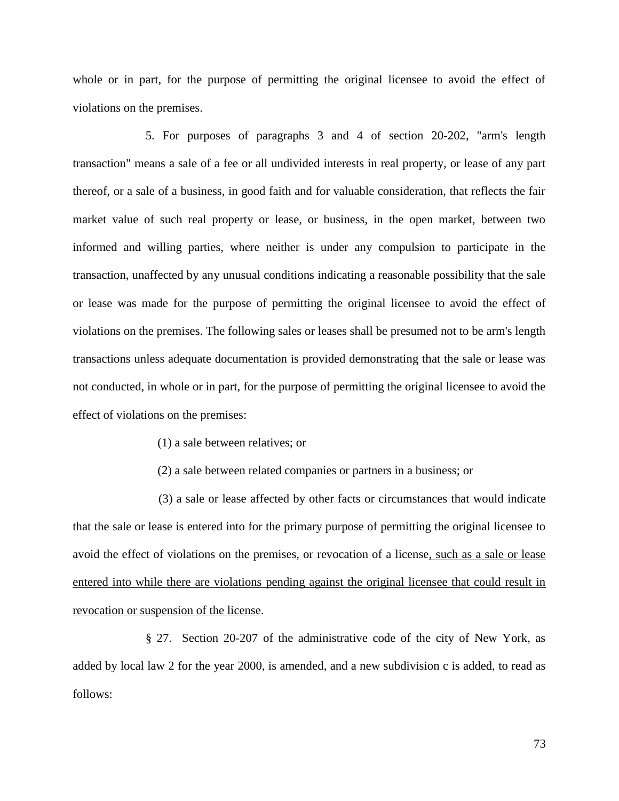whole or in part, for the purpose of permitting the original licensee to avoid the effect of violations on the premises.

5. For purposes of paragraphs 3 and 4 of section 20-202, "arm's length transaction" means a sale of a fee or all undivided interests in real property, or lease of any part thereof, or a sale of a business, in good faith and for valuable consideration, that reflects the fair market value of such real property or lease, or business, in the open market, between two informed and willing parties, where neither is under any compulsion to participate in the transaction, unaffected by any unusual conditions indicating a reasonable possibility that the sale or lease was made for the purpose of permitting the original licensee to avoid the effect of violations on the premises. The following sales or leases shall be presumed not to be arm's length transactions unless adequate documentation is provided demonstrating that the sale or lease was not conducted, in whole or in part, for the purpose of permitting the original licensee to avoid the effect of violations on the premises:

- (1) a sale between relatives; or
- (2) a sale between related companies or partners in a business; or

 (3) a sale or lease affected by other facts or circumstances that would indicate that the sale or lease is entered into for the primary purpose of permitting the original licensee to avoid the effect of violations on the premises, or revocation of a license, such as a sale or lease entered into while there are violations pending against the original licensee that could result in revocation or suspension of the license.

§ 27. Section 20-207 of the administrative code of the city of New York, as added by local law 2 for the year 2000, is amended, and a new subdivision c is added, to read as follows:

73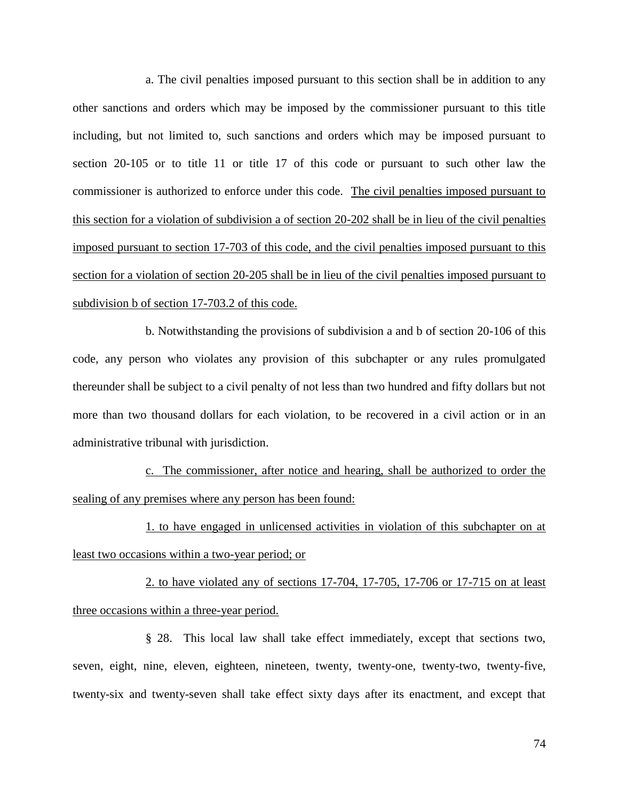a. The civil penalties imposed pursuant to this section shall be in addition to any other sanctions and orders which may be imposed by the commissioner pursuant to this title including, but not limited to, such sanctions and orders which may be imposed pursuant to section 20-105 or to title 11 or title 17 of this code or pursuant to such other law the commissioner is authorized to enforce under this code. The civil penalties imposed pursuant to this section for a violation of subdivision a of section 20-202 shall be in lieu of the civil penalties imposed pursuant to section 17-703 of this code, and the civil penalties imposed pursuant to this section for a violation of section 20-205 shall be in lieu of the civil penalties imposed pursuant to subdivision b of section 17-703.2 of this code.

b. Notwithstanding the provisions of subdivision a and b of section 20-106 of this code, any person who violates any provision of this subchapter or any rules promulgated thereunder shall be subject to a civil penalty of not less than two hundred and fifty dollars but not more than two thousand dollars for each violation, to be recovered in a civil action or in an administrative tribunal with jurisdiction.

c. The commissioner, after notice and hearing, shall be authorized to order the sealing of any premises where any person has been found:

1. to have engaged in unlicensed activities in violation of this subchapter on at least two occasions within a two-year period; or

2. to have violated any of sections 17-704, 17-705, 17-706 or 17-715 on at least three occasions within a three-year period.

§ 28. This local law shall take effect immediately, except that sections two, seven, eight, nine, eleven, eighteen, nineteen, twenty, twenty-one, twenty-two, twenty-five, twenty-six and twenty-seven shall take effect sixty days after its enactment, and except that

74